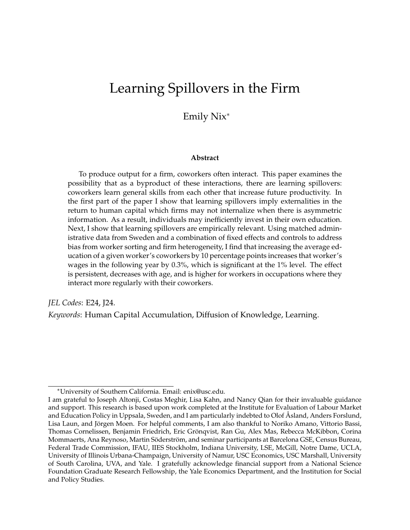# <span id="page-0-0"></span>Learning Spillovers in the Firm

### Emily Nix<sup>∗</sup>

#### **Abstract**

To produce output for a firm, coworkers often interact. This paper examines the possibility that as a byproduct of these interactions, there are learning spillovers: coworkers learn general skills from each other that increase future productivity. In the first part of the paper I show that learning spillovers imply externalities in the return to human capital which firms may not internalize when there is asymmetric information. As a result, individuals may inefficiently invest in their own education. Next, I show that learning spillovers are empirically relevant. Using matched administrative data from Sweden and a combination of fixed effects and controls to address bias from worker sorting and firm heterogeneity, I find that increasing the average education of a given worker's coworkers by 10 percentage points increases that worker's wages in the following year by 0.3%, which is significant at the 1% level. The effect is persistent, decreases with age, and is higher for workers in occupations where they interact more regularly with their coworkers.

*JEL Codes*: E24, J24.

*Keywords*: Human Capital Accumulation, Diffusion of Knowledge, Learning.

<sup>∗</sup>University of Southern California. Email: enix@usc.edu.

I am grateful to Joseph Altonji, Costas Meghir, Lisa Kahn, and Nancy Qian for their invaluable guidance and support. This research is based upon work completed at the Institute for Evaluation of Labour Market and Education Policy in Uppsala, Sweden, and I am particularly indebted to Olof Åsland, Anders Forslund, Lisa Laun, and Jörgen Moen. For helpful comments, I am also thankful to Noriko Amano, Vittorio Bassi, Thomas Cornelissen, Benjamin Friedrich, Eric Grönqvist, Ran Gu, Alex Mas, Rebecca McKibbon, Corina Mommaerts, Ana Reynoso, Martin Söderström, and seminar participants at Barcelona GSE, Census Bureau, Federal Trade Commission, IFAU, IIES Stockholm, Indiana University, LSE, McGill, Notre Dame, UCLA, University of Illinois Urbana-Champaign, University of Namur, USC Economics, USC Marshall, University of South Carolina, UVA, and Yale. I gratefully acknowledge financial support from a National Science Foundation Graduate Research Fellowship, the Yale Economics Department, and the Institution for Social and Policy Studies.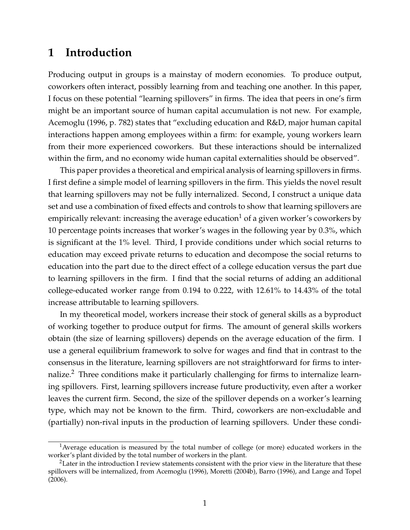### **1 Introduction**

Producing output in groups is a mainstay of modern economies. To produce output, coworkers often interact, possibly learning from and teaching one another. In this paper, I focus on these potential "learning spillovers" in firms. The idea that peers in one's firm might be an important source of human capital accumulation is not new. For example, [Acemoglu](#page-31-0) [\(1996,](#page-31-0) p. 782) states that "excluding education and R&D, major human capital interactions happen among employees within a firm: for example, young workers learn from their more experienced coworkers. But these interactions should be internalized within the firm, and no economy wide human capital externalities should be observed".

This paper provides a theoretical and empirical analysis of learning spillovers in firms. I first define a simple model of learning spillovers in the firm. This yields the novel result that learning spillovers may not be fully internalized. Second, I construct a unique data set and use a combination of fixed effects and controls to show that learning spillovers are empirically relevant: increasing the average education<sup>[1](#page-0-0)</sup> of a given worker's coworkers by 10 percentage points increases that worker's wages in the following year by 0.3%, which is significant at the 1% level. Third, I provide conditions under which social returns to education may exceed private returns to education and decompose the social returns to education into the part due to the direct effect of a college education versus the part due to learning spillovers in the firm. I find that the social returns of adding an additional college-educated worker range from 0.194 to 0.222, with 12.61% to 14.43% of the total increase attributable to learning spillovers.

In my theoretical model, workers increase their stock of general skills as a byproduct of working together to produce output for firms. The amount of general skills workers obtain (the size of learning spillovers) depends on the average education of the firm. I use a general equilibrium framework to solve for wages and find that in contrast to the consensus in the literature, learning spillovers are not straightforward for firms to inter-nalize.<sup>[2](#page-0-0)</sup> Three conditions make it particularly challenging for firms to internalize learning spillovers. First, learning spillovers increase future productivity, even after a worker leaves the current firm. Second, the size of the spillover depends on a worker's learning type, which may not be known to the firm. Third, coworkers are non-excludable and (partially) non-rival inputs in the production of learning spillovers. Under these condi-

<sup>&</sup>lt;sup>1</sup> Average education is measured by the total number of college (or more) educated workers in the worker's plant divided by the total number of workers in the plant.

<sup>&</sup>lt;sup>2</sup>Later in the introduction I review statements consistent with the prior view in the literature that these spillovers will be internalized, from [Acemoglu](#page-31-0) [\(1996\)](#page-31-0), [Moretti](#page-34-0) [\(2004b\)](#page-34-0), [Barro](#page-32-0) [\(1996\)](#page-32-0), and [Lange and Topel](#page-33-0) [\(2006\)](#page-33-0).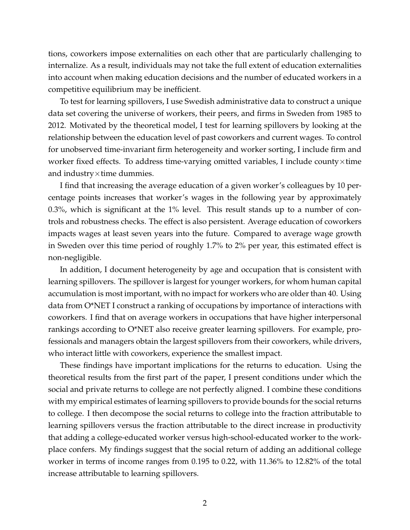tions, coworkers impose externalities on each other that are particularly challenging to internalize. As a result, individuals may not take the full extent of education externalities into account when making education decisions and the number of educated workers in a competitive equilibrium may be inefficient.

To test for learning spillovers, I use Swedish administrative data to construct a unique data set covering the universe of workers, their peers, and firms in Sweden from 1985 to 2012. Motivated by the theoretical model, I test for learning spillovers by looking at the relationship between the education level of past coworkers and current wages. To control for unobserved time-invariant firm heterogeneity and worker sorting, I include firm and worker fixed effects. To address time-varying omitted variables, I include county×time and industry $\times$ time dummies.

I find that increasing the average education of a given worker's colleagues by 10 percentage points increases that worker's wages in the following year by approximately 0.3%, which is significant at the 1% level. This result stands up to a number of controls and robustness checks. The effect is also persistent. Average education of coworkers impacts wages at least seven years into the future. Compared to average wage growth in Sweden over this time period of roughly 1.7% to 2% per year, this estimated effect is non-negligible.

In addition, I document heterogeneity by age and occupation that is consistent with learning spillovers. The spillover is largest for younger workers, for whom human capital accumulation is most important, with no impact for workers who are older than 40. Using data from O\*NET I construct a ranking of occupations by importance of interactions with coworkers. I find that on average workers in occupations that have higher interpersonal rankings according to O\*NET also receive greater learning spillovers. For example, professionals and managers obtain the largest spillovers from their coworkers, while drivers, who interact little with coworkers, experience the smallest impact.

These findings have important implications for the returns to education. Using the theoretical results from the first part of the paper, I present conditions under which the social and private returns to college are not perfectly aligned. I combine these conditions with my empirical estimates of learning spillovers to provide bounds for the social returns to college. I then decompose the social returns to college into the fraction attributable to learning spillovers versus the fraction attributable to the direct increase in productivity that adding a college-educated worker versus high-school-educated worker to the workplace confers. My findings suggest that the social return of adding an additional college worker in terms of income ranges from 0.195 to 0.22, with 11.36% to 12.82% of the total increase attributable to learning spillovers.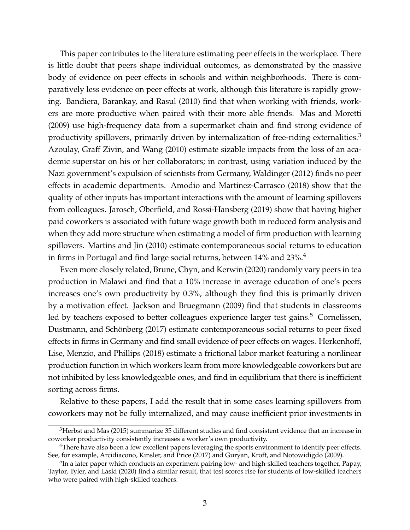This paper contributes to the literature estimating peer effects in the workplace. There is little doubt that peers shape individual outcomes, as demonstrated by the massive body of evidence on peer effects in schools and within neighborhoods. There is comparatively less evidence on peer effects at work, although this literature is rapidly growing. [Bandiera, Barankay, and Rasul](#page-31-1) [\(2010\)](#page-31-1) find that when working with friends, workers are more productive when paired with their more able friends. [Mas and Moretti](#page-33-1) [\(2009\)](#page-33-1) use high-frequency data from a supermarket chain and find strong evidence of productivity spillovers, primarily driven by internalization of free-riding externalities. $3$ [Azoulay, Graff Zivin, and Wang](#page-31-2) [\(2010\)](#page-31-2) estimate sizable impacts from the loss of an academic superstar on his or her collaborators; in contrast, using variation induced by the Nazi government's expulsion of scientists from Germany, [Waldinger](#page-34-1) [\(2012\)](#page-34-1) finds no peer effects in academic departments. [Amodio and Martinez-Carrasco](#page-31-3) [\(2018\)](#page-31-3) show that the quality of other inputs has important interactions with the amount of learning spillovers from colleagues. [Jarosch, Oberfield, and Rossi-Hansberg](#page-33-2) [\(2019\)](#page-33-2) show that having higher paid coworkers is associated with future wage growth both in reduced form analysis and when they add more structure when estimating a model of firm production with learning spillovers. [Martins and Jin](#page-33-3) [\(2010\)](#page-33-3) estimate contemporaneous social returns to education in firms in Portugal and find large social returns, between 1[4](#page-0-0)% and 23%.<sup>4</sup>

Even more closely related, [Brune, Chyn, and Kerwin](#page-32-1) [\(2020\)](#page-32-1) randomly vary peers in tea production in Malawi and find that a 10% increase in average education of one's peers increases one's own productivity by 0.3%, although they find this is primarily driven by a motivation effect. [Jackson and Bruegmann](#page-33-4) [\(2009\)](#page-33-4) find that students in classrooms led by teachers exposed to better colleagues experience larger test gains.<sup>[5](#page-0-0)</sup> [Cornelissen,](#page-32-2) [Dustmann, and Schönberg](#page-32-2) [\(2017\)](#page-32-2) estimate contemporaneous social returns to peer fixed effects in firms in Germany and find small evidence of peer effects on wages. [Herkenhoff,](#page-32-3) [Lise, Menzio, and Phillips](#page-32-3) [\(2018\)](#page-32-3) estimate a frictional labor market featuring a nonlinear production function in which workers learn from more knowledgeable coworkers but are not inhibited by less knowledgeable ones, and find in equilibrium that there is inefficient sorting across firms.

Relative to these papers, I add the result that in some cases learning spillovers from coworkers may not be fully internalized, and may cause inefficient prior investments in

<sup>&</sup>lt;sup>3</sup>[Herbst and Mas](#page-32-4) [\(2015\)](#page-32-4) summarize 35 different studies and find consistent evidence that an increase in coworker productivity consistently increases a worker's own productivity.

<sup>4</sup>There have also been a few excellent papers leveraging the sports environment to identify peer effects. See, for example, [Arcidiacono, Kinsler, and Price](#page-31-4) [\(2017\)](#page-31-4) and [Guryan, Kroft, and Notowidigdo](#page-32-5) [\(2009\)](#page-32-5).

 $^5$ In a later paper which conducts an experiment pairing low- and high-skilled teachers together, [Papay,](#page-34-2) [Taylor, Tyler, and Laski](#page-34-2) [\(2020\)](#page-34-2) find a similar result, that test scores rise for students of low-skilled teachers who were paired with high-skilled teachers.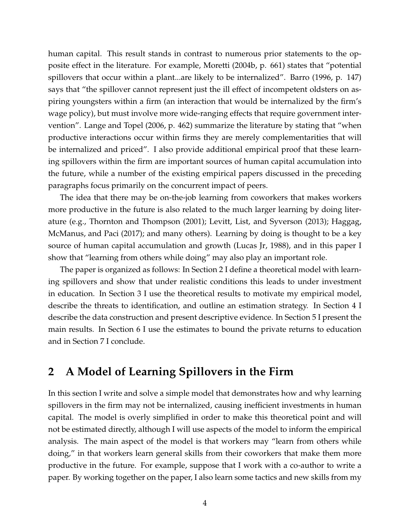human capital. This result stands in contrast to numerous prior statements to the opposite effect in the literature. For example, [Moretti](#page-34-0) [\(2004b,](#page-34-0) p. 661) states that "potential spillovers that occur within a plant...are likely to be internalized". [Barro](#page-32-0) [\(1996,](#page-32-0) p. 147) says that "the spillover cannot represent just the ill effect of incompetent oldsters on aspiring youngsters within a firm (an interaction that would be internalized by the firm's wage policy), but must involve more wide-ranging effects that require government intervention". [Lange and Topel](#page-33-0) [\(2006,](#page-33-0) p. 462) summarize the literature by stating that "when productive interactions occur within firms they are merely complementarities that will be internalized and priced". I also provide additional empirical proof that these learning spillovers within the firm are important sources of human capital accumulation into the future, while a number of the existing empirical papers discussed in the preceding paragraphs focus primarily on the concurrent impact of peers.

The idea that there may be on-the-job learning from coworkers that makes workers more productive in the future is also related to the much larger learning by doing literature (e.g., [Thornton and Thompson](#page-34-3) [\(2001\)](#page-34-3); [Levitt, List, and Syverson](#page-33-5) [\(2013\)](#page-33-5); [Haggag,](#page-32-6) [McManus, and Paci](#page-32-6) [\(2017\)](#page-32-6); and many others). Learning by doing is thought to be a key source of human capital accumulation and growth [\(Lucas Jr, 1988\)](#page-33-6), and in this paper I show that "learning from others while doing" may also play an important role.

The paper is organized as follows: In Section [2](#page-4-0) I define a theoretical model with learning spillovers and show that under realistic conditions this leads to under investment in education. In Section [3](#page-11-0) I use the theoretical results to motivate my empirical model, describe the threats to identification, and outline an estimation strategy. In Section [4](#page-15-0) I describe the data construction and present descriptive evidence. In Section [5](#page-19-0) I present the main results. In Section [6](#page-27-0) I use the estimates to bound the private returns to education and in Section [7](#page-29-0) I conclude.

### <span id="page-4-0"></span>**2 A Model of Learning Spillovers in the Firm**

In this section I write and solve a simple model that demonstrates how and why learning spillovers in the firm may not be internalized, causing inefficient investments in human capital. The model is overly simplified in order to make this theoretical point and will not be estimated directly, although I will use aspects of the model to inform the empirical analysis. The main aspect of the model is that workers may "learn from others while doing," in that workers learn general skills from their coworkers that make them more productive in the future. For example, suppose that I work with a co-author to write a paper. By working together on the paper, I also learn some tactics and new skills from my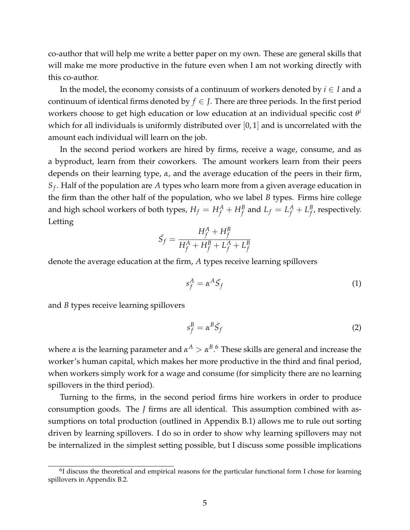co-author that will help me write a better paper on my own. These are general skills that will make me more productive in the future even when I am not working directly with this co-author.

In the model, the economy consists of a continuum of workers denoted by *i* ∈ *I* and a continuum of identical firms denoted by  $f \in J$ . There are three periods. In the first period workers choose to get high education or low education at an individual specific cost *θ i* which for all individuals is uniformly distributed over [0, 1] and is uncorrelated with the amount each individual will learn on the job.

In the second period workers are hired by firms, receive a wage, consume, and as a byproduct, learn from their coworkers. The amount workers learn from their peers depends on their learning type, *α*, and the average education of the peers in their firm, *Sf* . Half of the population are *A* types who learn more from a given average education in the firm than the other half of the population, who we label *B* types. Firms hire college and high school workers of both types,  $H_f = H_f^A + H_f^B$  and  $L_f = L_f^A + L_f^B$  $f$ <sup>*b*</sup>, respectively. Letting

$$
\bar{S}_f = \frac{H_f^A + H_f^B}{H_f^A + H_f^B + L_f^A + L_f^B}
$$

denote the average education at the firm, *A* types receive learning spillovers

<span id="page-5-0"></span>
$$
s_f^A = \alpha^A \bar{S}_f \tag{1}
$$

and *B* types receive learning spillovers

<span id="page-5-1"></span>
$$
s_f^B = \alpha^B \bar{S}_f \tag{2}
$$

where  $\alpha$  is the learning parameter and  $\alpha^A > \alpha^B.$ <sup>[6](#page-0-0)</sup> These skills are general and increase the worker's human capital, which makes her more productive in the third and final period, when workers simply work for a wage and consume (for simplicity there are no learning spillovers in the third period).

Turning to the firms, in the second period firms hire workers in order to produce consumption goods. The *J* firms are all identical. This assumption combined with assumptions on total production (outlined in Appendix [B.1\)](#page-56-0) allows me to rule out sorting driven by learning spillovers. I do so in order to show why learning spillovers may not be internalized in the simplest setting possible, but I discuss some possible implications

 $6$ I discuss the theoretical and empirical reasons for the particular functional form I chose for learning spillovers in Appendix [B.2.](#page-57-0)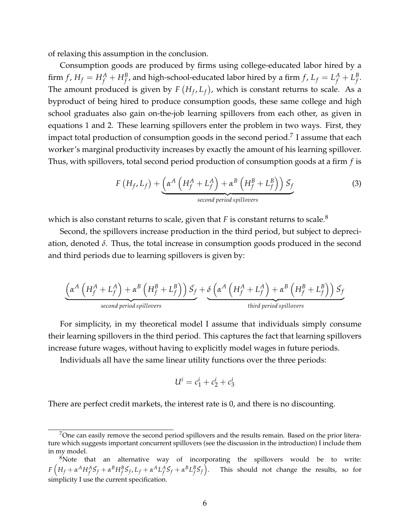of relaxing this assumption in the conclusion.

Consumption goods are produced by firms using college-educated labor hired by a firm  $f$  ,  $H_f = H_f^A + H_f^B$ , and high-school-educated labor hired by a firm  $f$  ,  $L_f = L_f^A + L_f^B$ *f* . The amount produced is given by  $F(H_f, L_f)$ , which is constant returns to scale. As a byproduct of being hired to produce consumption goods, these same college and high school graduates also gain on-the-job learning spillovers from each other, as given in equations [1](#page-5-0) and [2.](#page-5-1) These learning spillovers enter the problem in two ways. First, they impact total production of consumption goods in the second period.<sup>[7](#page-0-0)</sup> I assume that each worker's marginal productivity increases by exactly the amount of his learning spillover. Thus, with spillovers, total second period production of consumption goods at a firm *f* is

$$
F(H_f, L_f) + \underbrace{\left(\alpha^A \left(H_f^A + L_f^A\right) + \alpha^B \left(H_f^B + L_f^B\right)\right) \bar{S}_f}_{second\ period\ spillovers}
$$
\n(3)

which is also constant returns to scale, given that  $F$  is constant returns to scale.<sup>[8](#page-0-0)</sup>

Second, the spillovers increase production in the third period, but subject to depreciation, denoted *δ*. Thus, the total increase in consumption goods produced in the second and third periods due to learning spillovers is given by:

$$
\underbrace{\left(\alpha^A\left(H_f^A + L_f^A\right) + \alpha^B\left(H_f^B + L_f^B\right)\right)S_f}_{second\ period\ spillovers} + \underbrace{\delta\left(\alpha^A\left(H_f^A + L_f^A\right) + \alpha^B\left(H_f^B + L_f^B\right)\right)S_f}_{third\ period\ spillovers}
$$

For simplicity, in my theoretical model I assume that individuals simply consume their learning spillovers in the third period. This captures the fact that learning spillovers increase future wages, without having to explicitly model wages in future periods.

Individuals all have the same linear utility functions over the three periods:

$$
U^i = c_1^i + c_2^i + c_3^i
$$

There are perfect credit markets, the interest rate is 0, and there is no discounting.

<sup>&</sup>lt;sup>7</sup>One can easily remove the second period spillovers and the results remain. Based on the prior literature which suggests important concurrent spillovers (see the discussion in the introduction) I include them in my model.

 $8$ Note that an alternative way of incorporating the spillovers would be to write:  $F\left(H_f+\alpha^A H_f^A \bar{S}_f+\alpha^B H_f^B \bar{S}_f, L_f+\alpha^A L_f^A \bar{S}_f+\alpha^B L_f^B \bar{S}_f\right)$ . This should not change the results, so for simplicity I use the current specification.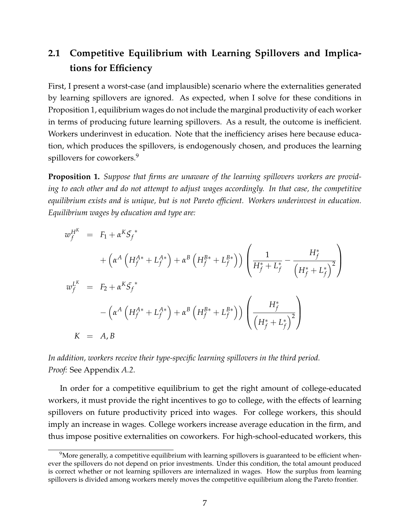## **2.1 Competitive Equilibrium with Learning Spillovers and Implications for Efficiency**

First, I present a worst-case (and implausible) scenario where the externalities generated by learning spillovers are ignored. As expected, when I solve for these conditions in Proposition [1,](#page-7-0) equilibrium wages do not include the marginal productivity of each worker in terms of producing future learning spillovers. As a result, the outcome is inefficient. Workers underinvest in education. Note that the inefficiency arises here because education, which produces the spillovers, is endogenously chosen, and produces the learning spillovers for coworkers.<sup>[9](#page-0-0)</sup>

<span id="page-7-0"></span>**Proposition 1.** *Suppose that firms are unaware of the learning spillovers workers are providing to each other and do not attempt to adjust wages accordingly. In that case, the competitive equilibrium exists and is unique, but is not Pareto efficient. Workers underinvest in education. Equilibrium wages by education and type are:*

$$
w_f^{H^K} = F_1 + \alpha^K \mathcal{S}_f^*
$$
  
+  $\left(\alpha^A \left(H_f^{A*} + L_f^{A*}\right) + \alpha^B \left(H_f^{B*} + L_f^{B*}\right)\right) \left(\frac{1}{H_f^* + L_f^*} - \frac{H_f^*}{\left(H_f^* + L_f^*\right)^2}\right)$   

$$
w_f^{L^K} = F_2 + \alpha^K \mathcal{S}_f^*
$$
  
-  $\left(\alpha^A \left(H_f^{A*} + L_f^{A*}\right) + \alpha^B \left(H_f^{B*} + L_f^{B*}\right)\right) \left(\frac{H_f^*}{\left(H_f^* + L_f^*\right)^2}\right)$   

$$
K = A, B
$$

*In addition, workers receive their type-specific learning spillovers in the third period. Proof:* See Appendix *[A.2](#page-35-0)*.

In order for a competitive equilibrium to get the right amount of college-educated workers, it must provide the right incentives to go to college, with the effects of learning spillovers on future productivity priced into wages. For college workers, this should imply an increase in wages. College workers increase average education in the firm, and thus impose positive externalities on coworkers. For high-school-educated workers, this

 $9$ More generally, a competitive equilibrium with learning spillovers is guaranteed to be efficient whenever the spillovers do not depend on prior investments. Under this condition, the total amount produced is correct whether or not learning spillovers are internalized in wages. How the surplus from learning spillovers is divided among workers merely moves the competitive equilibrium along the Pareto frontier.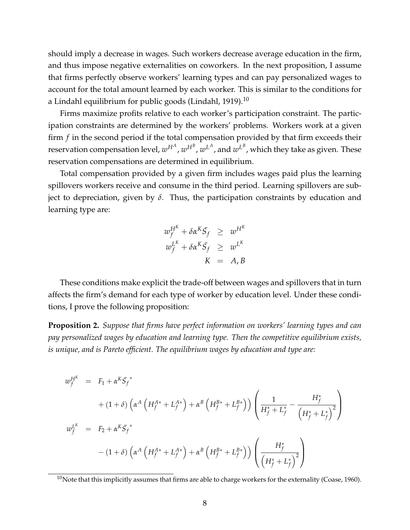should imply a decrease in wages. Such workers decrease average education in the firm, and thus impose negative externalities on coworkers. In the next proposition, I assume that firms perfectly observe workers' learning types and can pay personalized wages to account for the total amount learned by each worker. This is similar to the conditions for a Lindahl equilibrium for public goods [\(Lindahl, 1919\)](#page-33-7).<sup>[10](#page-0-0)</sup>

Firms maximize profits relative to each worker's participation constraint. The participation constraints are determined by the workers' problems. Workers work at a given firm *f* in the second period if the total compensation provided by that firm exceeds their reservation compensation level*,*  $w^{H^A}$ *,*  $w^{H^B}$ *,*  $w^{L^A}$ *,* and  $w^{L^B}$ , which they take as given. These reservation compensations are determined in equilibrium.

Total compensation provided by a given firm includes wages paid plus the learning spillovers workers receive and consume in the third period. Learning spillovers are subject to depreciation, given by *δ*. Thus, the participation constraints by education and learning type are:

$$
w_f^{H^K} + \delta \alpha^K \bar{S}_f \geq w^{H^K}
$$
  

$$
w_f^{L^K} + \delta \alpha^K \bar{S}_f \geq w^{L^K}
$$
  

$$
K = A, B
$$

These conditions make explicit the trade-off between wages and spillovers that in turn affects the firm's demand for each type of worker by education level. Under these conditions, I prove the following proposition:

<span id="page-8-0"></span>**Proposition 2.** *Suppose that firms have perfect information on workers' learning types and can pay personalized wages by education and learning type. Then the competitive equilibrium exists, is unique, and is Pareto efficient. The equilibrium wages by education and type are:*

$$
w_f^{H^K} = F_1 + \alpha^K \overline{S}_f^*
$$
  
+  $(1 + \delta) \left( \alpha^A \left( H_f^{A*} + L_f^{A*} \right) + \alpha^B \left( H_f^{B*} + L_f^{B*} \right) \right) \left( \frac{1}{H_f^* + L_f^*} - \frac{H_f^*}{\left( H_f^* + L_f^* \right)^2} \right)$   

$$
w_f^{L^K} = F_2 + \alpha^K \overline{S}_f^*
$$
  
-  $(1 + \delta) \left( \alpha^A \left( H_f^{A*} + L_f^{A*} \right) + \alpha^B \left( H_f^{B*} + L_f^{B*} \right) \right) \left( \frac{H_f^*}{\left( H_f^* + L_f^* \right)^2} \right)$ 

 $10$ Note that this implicitly assumes that firms are able to charge workers for the externality [\(Coase, 1960\)](#page-32-7).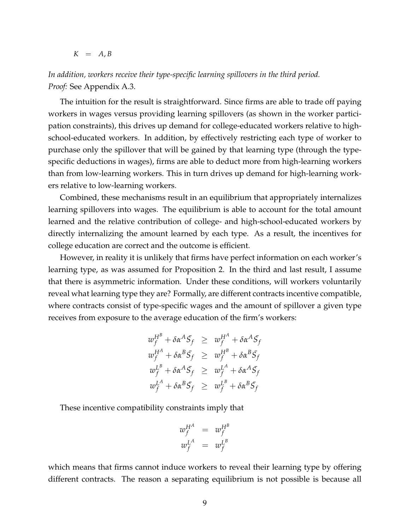$K = A, B$ 

*In addition, workers receive their type-specific learning spillovers in the third period. Proof:* See Appendix [A.3.](#page-40-0)

The intuition for the result is straightforward. Since firms are able to trade off paying workers in wages versus providing learning spillovers (as shown in the worker participation constraints), this drives up demand for college-educated workers relative to highschool-educated workers. In addition, by effectively restricting each type of worker to purchase only the spillover that will be gained by that learning type (through the typespecific deductions in wages), firms are able to deduct more from high-learning workers than from low-learning workers. This in turn drives up demand for high-learning workers relative to low-learning workers.

Combined, these mechanisms result in an equilibrium that appropriately internalizes learning spillovers into wages. The equilibrium is able to account for the total amount learned and the relative contribution of college- and high-school-educated workers by directly internalizing the amount learned by each type. As a result, the incentives for college education are correct and the outcome is efficient.

However, in reality it is unlikely that firms have perfect information on each worker's learning type, as was assumed for Proposition [2.](#page-8-0) In the third and last result, I assume that there is asymmetric information. Under these conditions, will workers voluntarily reveal what learning type they are? Formally, are different contracts incentive compatible, where contracts consist of type-specific wages and the amount of spillover a given type receives from exposure to the average education of the firm's workers:

$$
w_f^{H^B} + \delta \alpha^A \bar{S}_f \geq w_f^{H^A} + \delta \alpha^A \bar{S}_f
$$
  
\n
$$
w_f^{H^A} + \delta \alpha^B \bar{S}_f \geq w_f^{H^B} + \delta \alpha^B \bar{S}_f
$$
  
\n
$$
w_f^{L^B} + \delta \alpha^A \bar{S}_f \geq w_f^{L^A} + \delta \alpha^A \bar{S}_f
$$
  
\n
$$
w_f^{L^A} + \delta \alpha^B \bar{S}_f \geq w_f^{L^B} + \delta \alpha^B \bar{S}_f
$$

These incentive compatibility constraints imply that

$$
w_f^{H^A} = w_f^{H^B}
$$
  

$$
w_f^{L^A} = w_f^{L^B}
$$

which means that firms cannot induce workers to reveal their learning type by offering different contracts. The reason a separating equilibrium is not possible is because all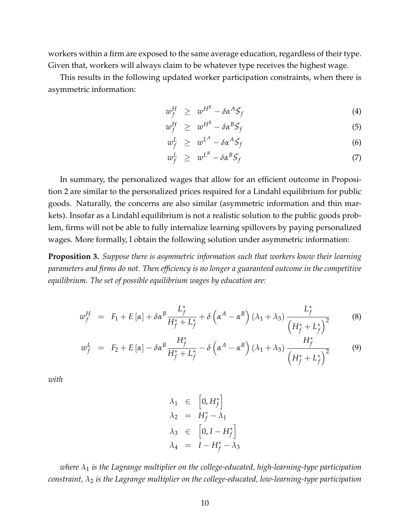workers within a firm are exposed to the same average education, regardless of their type. Given that, workers will always claim to be whatever type receives the highest wage.

This results in the following updated worker participation constraints, when there is asymmetric information:

<span id="page-10-1"></span>
$$
w_f^H \geq w^{H^K} - \delta \alpha^A \bar{S}_f \tag{4}
$$

$$
w_f^H \geq w^{H^B} - \delta \alpha^B \bar{S}_f \tag{5}
$$

$$
w_f^L \geq w^{L^A} - \delta \alpha^A \bar{S}_f \tag{6}
$$

$$
w_f^L \geq w^{L^B} - \delta \alpha^B \bar{S}_f \tag{7}
$$

In summary, the personalized wages that allow for an efficient outcome in Proposition [2](#page-8-0) are similar to the personalized prices required for a Lindahl equilibrium for public goods. Naturally, the concerns are also similar (asymmetric information and thin markets). Insofar as a Lindahl equilibrium is not a realistic solution to the public goods problem, firms will not be able to fully internalize learning spillovers by paying personalized wages. More formally, I obtain the following solution under asymmetric information:

<span id="page-10-0"></span>**Proposition 3.** *Suppose there is asymmetric information such that workers know their learning parameters and firms do not. Then efficiency is no longer a guaranteed outcome in the competitive equilibrium. The set of possible equilibrium wages by education are:*

<span id="page-10-2"></span>
$$
w_f^H = F_1 + E[\alpha] + \delta \alpha^B \frac{L_f^*}{H_f^* + L_f^*} + \delta \left(\alpha^A - \alpha^B\right) (\lambda_1 + \lambda_3) \frac{L_f^*}{\left(H_f^* + L_f^*\right)^2}
$$
(8)

$$
w_f^L = F_2 + E[\alpha] - \delta \alpha^B \frac{H_f^*}{H_f^* + L_f^*} - \delta \left(\alpha^A - \alpha^B\right) (\lambda_1 + \lambda_3) \frac{H_f^*}{\left(H_f^* + L_f^*\right)^2}
$$
(9)

*with*

$$
\lambda_1 \in [0, H_f^*] \n\lambda_2 = H_f^* - \lambda_1 \n\lambda_3 \in [0, I - H_f^*] \n\lambda_4 = I - H_f^* - \lambda_3
$$

*where λ*<sup>1</sup> *is the Lagrange multiplier on the college-educated, high-learning-type participation constraint, λ*<sup>2</sup> *is the Lagrange multiplier on the college-educated, low-learning-type participation*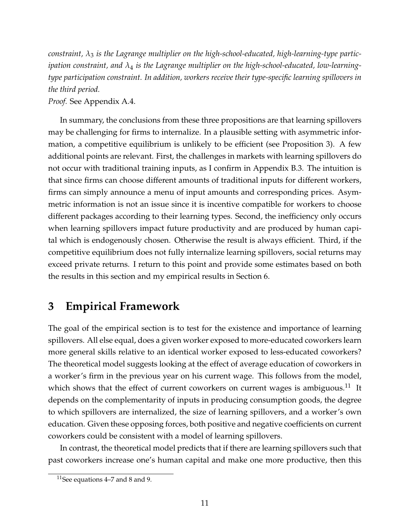*constraint, λ*<sup>3</sup> *is the Lagrange multiplier on the high-school-educated, high-learning-type participation constraint, and λ*<sup>4</sup> *is the Lagrange multiplier on the high-school-educated, low-learningtype participation constraint. In addition, workers receive their type-specific learning spillovers in the third period.*

*Proof.* See Appendix [A.4.](#page-46-0)

In summary, the conclusions from these three propositions are that learning spillovers may be challenging for firms to internalize. In a plausible setting with asymmetric information, a competitive equilibrium is unlikely to be efficient (see Proposition [3\)](#page-10-0). A few additional points are relevant. First, the challenges in markets with learning spillovers do not occur with traditional training inputs, as I confirm in Appendix [B.3.](#page-58-0) The intuition is that since firms can choose different amounts of traditional inputs for different workers, firms can simply announce a menu of input amounts and corresponding prices. Asymmetric information is not an issue since it is incentive compatible for workers to choose different packages according to their learning types. Second, the inefficiency only occurs when learning spillovers impact future productivity and are produced by human capital which is endogenously chosen. Otherwise the result is always efficient. Third, if the competitive equilibrium does not fully internalize learning spillovers, social returns may exceed private returns. I return to this point and provide some estimates based on both the results in this section and my empirical results in Section [6.](#page-27-0)

## <span id="page-11-0"></span>**3 Empirical Framework**

The goal of the empirical section is to test for the existence and importance of learning spillovers. All else equal, does a given worker exposed to more-educated coworkers learn more general skills relative to an identical worker exposed to less-educated coworkers? The theoretical model suggests looking at the effect of average education of coworkers in a worker's firm in the previous year on his current wage. This follows from the model, which shows that the effect of current coworkers on current wages is ambiguous.<sup>[11](#page-0-0)</sup> It depends on the complementarity of inputs in producing consumption goods, the degree to which spillovers are internalized, the size of learning spillovers, and a worker's own education. Given these opposing forces, both positive and negative coefficients on current coworkers could be consistent with a model of learning spillovers.

In contrast, the theoretical model predicts that if there are learning spillovers such that past coworkers increase one's human capital and make one more productive, then this

<sup>&</sup>lt;sup>11</sup>See equations [4–7](#page-10-1) and [8](#page-10-2) and [9.](#page-10-2)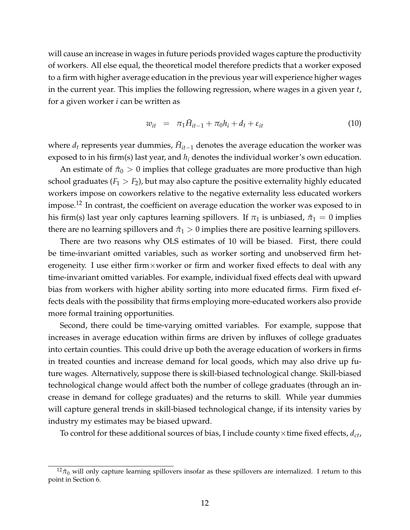will cause an increase in wages in future periods provided wages capture the productivity of workers. All else equal, the theoretical model therefore predicts that a worker exposed to a firm with higher average education in the previous year will experience higher wages in the current year. This implies the following regression, where wages in a given year *t*, for a given worker *i* can be written as

<span id="page-12-0"></span>
$$
w_{it} = \pi_1 \bar{H}_{it-1} + \pi_0 h_i + d_t + \varepsilon_{it}
$$
 (10)

where  $d_t$  represents year dummies,  $\bar{H}_{it-1}$  denotes the average education the worker was exposed to in his firm(s) last year, and *h<sup>i</sup>* denotes the individual worker's own education.

An estimate of  $\hat{\pi}_0 > 0$  implies that college graduates are more productive than high school graduates  $(F_1 > F_2)$ , but may also capture the positive externality highly educated workers impose on coworkers relative to the negative externality less educated workers impose.<sup>[12](#page-0-0)</sup> In contrast, the coefficient on average education the worker was exposed to in his firm(s) last year only captures learning spillovers. If  $\pi_1$  is unbiased,  $\hat{\pi}_1 = 0$  implies there are no learning spillovers and  $\hat{\pi}_1 > 0$  implies there are positive learning spillovers.

There are two reasons why OLS estimates of [10](#page-12-0) will be biased. First, there could be time-invariant omitted variables, such as worker sorting and unobserved firm heterogeneity. I use either firm $\times$ worker or firm and worker fixed effects to deal with any time-invariant omitted variables. For example, individual fixed effects deal with upward bias from workers with higher ability sorting into more educated firms. Firm fixed effects deals with the possibility that firms employing more-educated workers also provide more formal training opportunities.

Second, there could be time-varying omitted variables. For example, suppose that increases in average education within firms are driven by influxes of college graduates into certain counties. This could drive up both the average education of workers in firms in treated counties and increase demand for local goods, which may also drive up future wages. Alternatively, suppose there is skill-biased technological change. Skill-biased technological change would affect both the number of college graduates (through an increase in demand for college graduates) and the returns to skill. While year dummies will capture general trends in skill-biased technological change, if its intensity varies by industry my estimates may be biased upward.

To control for these additional sources of bias, I include county×time fixed effects, *dct*,

 $12\hat{\tau}_0$  will only capture learning spillovers insofar as these spillovers are internalized. I return to this point in Section [6.](#page-27-0)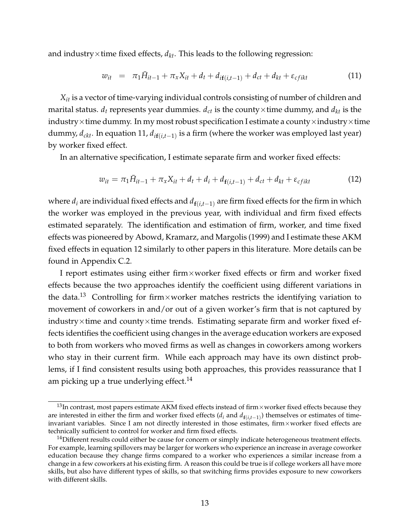and industry $\times$ time fixed effects,  $d_{kt}$ . This leads to the following regression:

<span id="page-13-0"></span>
$$
w_{it} = \pi_1 \bar{H}_{it-1} + \pi_x X_{it} + d_t + d_{if(i, t-1)} + d_{ct} + d_{kt} + \varepsilon_{cfikt}
$$
(11)

*Xit* is a vector of time-varying individual controls consisting of number of children and marital status.  $d_t$  represents year dummies.  $d_{ct}$  is the county  $\times$  time dummy, and  $d_{kt}$  is the industry $\times$ time dummy. In my most robust specification I estimate a county $\times$ industry $\times$ time dummy, *dckt*. In equation [11,](#page-13-0) *di***f**(*i*,*t*−1) is a firm (where the worker was employed last year) by worker fixed effect.

In an alternative specification, I estimate separate firm and worker fixed effects:

<span id="page-13-1"></span>
$$
w_{it} = \pi_1 \bar{H}_{it-1} + \pi_x X_{it} + d_t + d_i + d_{f(i,t-1)} + d_{ct} + d_{kt} + \varepsilon_{cfikt}
$$
(12)

where  $d_i$  are individual fixed effects and  $d_{f(i,t-1)}$  are firm fixed effects for the firm in which the worker was employed in the previous year, with individual and firm fixed effects estimated separately. The identification and estimation of firm, worker, and time fixed effects was pioneered by [Abowd, Kramarz, and Margolis](#page-31-5) [\(1999\)](#page-31-5) and I estimate these AKM fixed effects in equation [12](#page-13-1) similarly to other papers in this literature. More details can be found in Appendix [C.2.](#page-66-0)

I report estimates using either firm×worker fixed effects or firm and worker fixed effects because the two approaches identify the coefficient using different variations in the data.<sup>[13](#page-0-0)</sup> Controlling for firm×worker matches restricts the identifying variation to movement of coworkers in and/or out of a given worker's firm that is not captured by industry $\times$ time and county $\times$ time trends. Estimating separate firm and worker fixed effects identifies the coefficient using changes in the average education workers are exposed to both from workers who moved firms as well as changes in coworkers among workers who stay in their current firm. While each approach may have its own distinct problems, if I find consistent results using both approaches, this provides reassurance that I am picking up a true underlying effect.<sup>[14](#page-0-0)</sup>

<sup>&</sup>lt;sup>13</sup>In contrast, most papers estimate AKM fixed effects instead of firm×worker fixed effects because they are interested in either the firm and worker fixed effects (*d<sup>i</sup>* and *d***f**(*i*,*t*−1) ) themselves or estimates of timeinvariant variables. Since I am not directly interested in those estimates, firm×worker fixed effects are technically sufficient to control for worker and firm fixed effects.

 $14$ Different results could either be cause for concern or simply indicate heterogeneous treatment effects. For example, learning spillovers may be larger for workers who experience an increase in average coworker education because they change firms compared to a worker who experiences a similar increase from a change in a few coworkers at his existing firm. A reason this could be true is if college workers all have more skills, but also have different types of skills, so that switching firms provides exposure to new coworkers with different skills.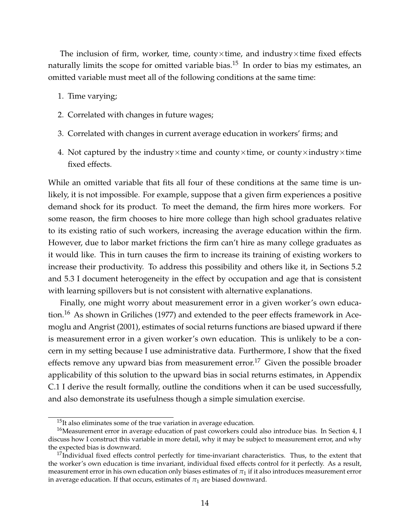The inclusion of firm, worker, time, county $\times$ time, and industry $\times$ time fixed effects naturally limits the scope for omitted variable bias.<sup>[15](#page-0-0)</sup> In order to bias my estimates, an omitted variable must meet all of the following conditions at the same time:

- 1. Time varying;
- 2. Correlated with changes in future wages;
- 3. Correlated with changes in current average education in workers' firms; and
- 4. Not captured by the industry $\times$ time and county $\times$ time, or county $\times$ industry $\times$ time fixed effects.

While an omitted variable that fits all four of these conditions at the same time is unlikely, it is not impossible. For example, suppose that a given firm experiences a positive demand shock for its product. To meet the demand, the firm hires more workers. For some reason, the firm chooses to hire more college than high school graduates relative to its existing ratio of such workers, increasing the average education within the firm. However, due to labor market frictions the firm can't hire as many college graduates as it would like. This in turn causes the firm to increase its training of existing workers to increase their productivity. To address this possibility and others like it, in Sections [5.2](#page-23-0) and [5.3](#page-24-0) I document heterogeneity in the effect by occupation and age that is consistent with learning spillovers but is not consistent with alternative explanations.

Finally, one might worry about measurement error in a given worker's own educa-tion.<sup>[16](#page-0-0)</sup> As shown in [Griliches](#page-32-8) [\(1977\)](#page-32-8) and extended to the peer effects framework in [Ace](#page-31-6)[moglu and Angrist](#page-31-6) [\(2001\)](#page-31-6), estimates of social returns functions are biased upward if there is measurement error in a given worker's own education. This is unlikely to be a concern in my setting because I use administrative data. Furthermore, I show that the fixed effects remove any upward bias from measurement error.<sup>[17](#page-0-0)</sup> Given the possible broader applicability of this solution to the upward bias in social returns estimates, in Appendix [C.1](#page-63-0) I derive the result formally, outline the conditions when it can be used successfully, and also demonstrate its usefulness though a simple simulation exercise.

 $15$ It also eliminates some of the true variation in average education.

<sup>&</sup>lt;sup>16</sup>Measurement error in average education of past coworkers could also introduce bias. In Section [4,](#page-15-0) I discuss how I construct this variable in more detail, why it may be subject to measurement error, and why the expected bias is downward.

<sup>&</sup>lt;sup>17</sup>Individual fixed effects control perfectly for time-invariant characteristics. Thus, to the extent that the worker's own education is time invariant, individual fixed effects control for it perfectly. As a result, measurement error in his own education only biases estimates of  $\pi_1$  if it also introduces measurement error in average education. If that occurs, estimates of  $\pi_1$  are biased downward.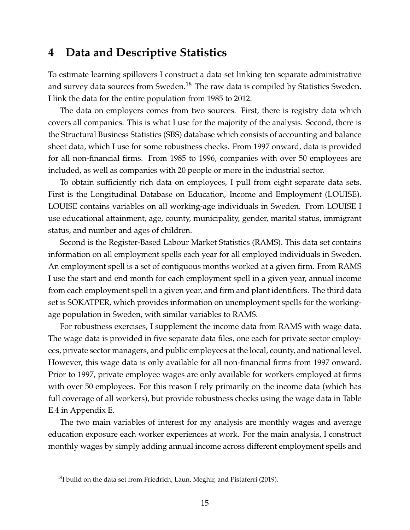### <span id="page-15-0"></span>**4 Data and Descriptive Statistics**

To estimate learning spillovers I construct a data set linking ten separate administrative and survey data sources from Sweden.<sup>[18](#page-0-0)</sup> The raw data is compiled by Statistics Sweden. I link the data for the entire population from 1985 to 2012.

The data on employers comes from two sources. First, there is registry data which covers all companies. This is what I use for the majority of the analysis. Second, there is the Structural Business Statistics (SBS) database which consists of accounting and balance sheet data, which I use for some robustness checks. From 1997 onward, data is provided for all non-financial firms. From 1985 to 1996, companies with over 50 employees are included, as well as companies with 20 people or more in the industrial sector.

To obtain sufficiently rich data on employees, I pull from eight separate data sets. First is the Longitudinal Database on Education, Income and Employment (LOUISE). LOUISE contains variables on all working-age individuals in Sweden. From LOUISE I use educational attainment, age, county, municipality, gender, marital status, immigrant status, and number and ages of children.

Second is the Register-Based Labour Market Statistics (RAMS). This data set contains information on all employment spells each year for all employed individuals in Sweden. An employment spell is a set of contiguous months worked at a given firm. From RAMS I use the start and end month for each employment spell in a given year, annual income from each employment spell in a given year, and firm and plant identifiers. The third data set is SOKATPER, which provides information on unemployment spells for the workingage population in Sweden, with similar variables to RAMS.

For robustness exercises, I supplement the income data from RAMS with wage data. The wage data is provided in five separate data files, one each for private sector employees, private sector managers, and public employees at the local, county, and national level. However, this wage data is only available for all non-financial firms from 1997 onward. Prior to 1997, private employee wages are only available for workers employed at firms with over 50 employees. For this reason I rely primarily on the income data (which has full coverage of all workers), but provide robustness checks using the wage data in Table [E.4](#page-74-0) in Appendix [E.](#page-72-0)

The two main variables of interest for my analysis are monthly wages and average education exposure each worker experiences at work. For the main analysis, I construct monthly wages by simply adding annual income across different employment spells and

 $^{18}$ I build on the data set from [Friedrich, Laun, Meghir, and Pistaferri](#page-32-9) [\(2019\)](#page-32-9).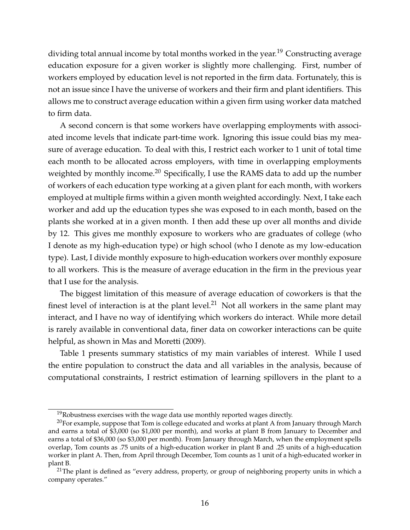dividing total annual income by total months worked in the year.<sup>[19](#page-0-0)</sup> Constructing average education exposure for a given worker is slightly more challenging. First, number of workers employed by education level is not reported in the firm data. Fortunately, this is not an issue since I have the universe of workers and their firm and plant identifiers. This allows me to construct average education within a given firm using worker data matched to firm data.

A second concern is that some workers have overlapping employments with associated income levels that indicate part-time work. Ignoring this issue could bias my measure of average education. To deal with this, I restrict each worker to 1 unit of total time each month to be allocated across employers, with time in overlapping employments weighted by monthly income.<sup>[20](#page-0-0)</sup> Specifically, I use the RAMS data to add up the number of workers of each education type working at a given plant for each month, with workers employed at multiple firms within a given month weighted accordingly. Next, I take each worker and add up the education types she was exposed to in each month, based on the plants she worked at in a given month. I then add these up over all months and divide by 12. This gives me monthly exposure to workers who are graduates of college (who I denote as my high-education type) or high school (who I denote as my low-education type). Last, I divide monthly exposure to high-education workers over monthly exposure to all workers. This is the measure of average education in the firm in the previous year that I use for the analysis.

The biggest limitation of this measure of average education of coworkers is that the finest level of interaction is at the plant level.<sup>[21](#page-0-0)</sup> Not all workers in the same plant may interact, and I have no way of identifying which workers do interact. While more detail is rarely available in conventional data, finer data on coworker interactions can be quite helpful, as shown in [Mas and Moretti](#page-33-1) [\(2009\)](#page-33-1).

Table [1](#page-17-0) presents summary statistics of my main variables of interest. While I used the entire population to construct the data and all variables in the analysis, because of computational constraints, I restrict estimation of learning spillovers in the plant to a

 $19R$ obustness exercises with the wage data use monthly reported wages directly.

 $20$ For example, suppose that Tom is college educated and works at plant A from January through March and earns a total of \$3,000 (so \$1,000 per month), and works at plant B from January to December and earns a total of \$36,000 (so \$3,000 per month). From January through March, when the employment spells overlap, Tom counts as .75 units of a high-education worker in plant B and .25 units of a high-education worker in plant A. Then, from April through December, Tom counts as 1 unit of a high-educated worker in plant B.

 $21$ The plant is defined as "every address, property, or group of neighboring property units in which a company operates."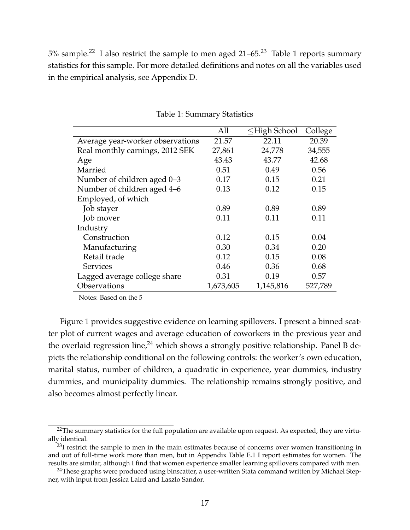$5\%$  sample.<sup>[22](#page-0-0)</sup> I also restrict the sample to men aged 21–65.<sup>[23](#page-0-0)</sup> Table [1](#page-17-0) reports summary statistics for this sample. For more detailed definitions and notes on all the variables used in the empirical analysis, see Appendix [D.](#page-68-0)

<span id="page-17-0"></span>

|                                  | All       | $\leq$ High School | College |
|----------------------------------|-----------|--------------------|---------|
| Average year-worker observations | 21.57     | 22.11              | 20.39   |
| Real monthly earnings, 2012 SEK  | 27,861    | 24,778             | 34,555  |
| Age                              | 43.43     | 43.77              | 42.68   |
| Married                          | 0.51      | 0.49               | 0.56    |
| Number of children aged 0-3      | 0.17      | 0.15               | 0.21    |
| Number of children aged 4–6      | 0.13      | 0.12               | 0.15    |
| Employed, of which               |           |                    |         |
| Job stayer                       | 0.89      | 0.89               | 0.89    |
| Job mover                        | 0.11      | 0.11               | 0.11    |
| Industry                         |           |                    |         |
| Construction                     | 0.12      | 0.15               | 0.04    |
| Manufacturing                    | 0.30      | 0.34               | 0.20    |
| Retail trade                     | 0.12      | 0.15               | 0.08    |
| <b>Services</b>                  | 0.46      | 0.36               | 0.68    |
| Lagged average college share     | 0.31      | 0.19               | 0.57    |
| Observations                     | 1,673,605 | 1,145,816          | 527,789 |

Table 1: Summary Statistics

Notes: Based on the 5

Figure [1](#page-18-0) provides suggestive evidence on learning spillovers. I present a binned scatter plot of current wages and average education of coworkers in the previous year and the overlaid regression line,<sup>[24](#page-0-0)</sup> which shows a strongly positive relationship. Panel B depicts the relationship conditional on the following controls: the worker's own education, marital status, number of children, a quadratic in experience, year dummies, industry dummies, and municipality dummies. The relationship remains strongly positive, and also becomes almost perfectly linear.

<sup>&</sup>lt;sup>22</sup>The summary statistics for the full population are available upon request. As expected, they are virtually identical.

 $^{23}$ I restrict the sample to men in the main estimates because of concerns over women transitioning in and out of full-time work more than men, but in Appendix Table [E.1](#page-72-1) I report estimates for women. The results are similar, although I find that women experience smaller learning spillovers compared with men.

<sup>&</sup>lt;sup>24</sup>These graphs were produced using binscatter, a user-written Stata command written by Michael Stepner, with input from Jessica Laird and Laszlo Sandor.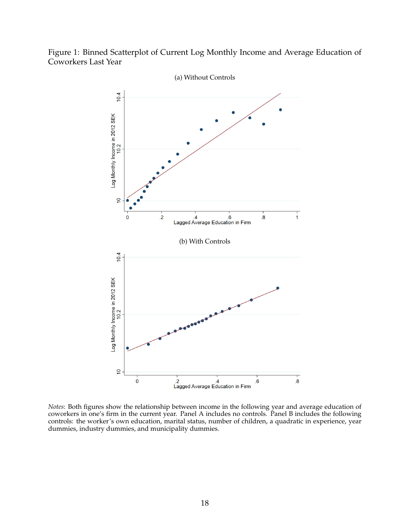<span id="page-18-0"></span>



*Notes*: Both figures show the relationship between income in the following year and average education of coworkers in one's firm in the current year. Panel A includes no controls. Panel B includes the following controls: the worker's own education, marital status, number of children, a quadratic in experience, year dummies, industry dummies, and municipality dummies.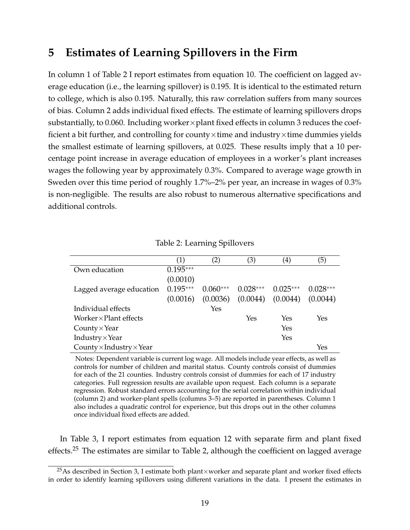## <span id="page-19-0"></span>**5 Estimates of Learning Spillovers in the Firm**

In column 1 of Table [2](#page-19-1) I report estimates from equation [10.](#page-12-0) The coefficient on lagged average education (i.e., the learning spillover) is 0.195. It is identical to the estimated return to college, which is also 0.195. Naturally, this raw correlation suffers from many sources of bias. Column 2 adds individual fixed effects. The estimate of learning spillovers drops substantially, to 0.060. Including worker×plant fixed effects in column 3 reduces the coefficient a bit further, and controlling for county $\times$ time and industry $\times$ time dummies yields the smallest estimate of learning spillovers, at 0.025. These results imply that a 10 percentage point increase in average education of employees in a worker's plant increases wages the following year by approximately 0.3%. Compared to average wage growth in Sweden over this time period of roughly 1.7%–2% per year, an increase in wages of 0.3% is non-negligible. The results are also robust to numerous alternative specifications and additional controls.

<span id="page-19-1"></span>

|                                        | (1)        | $\left( 2\right)$ | (3)        | $\scriptstyle{(4)}$ | (5)        |
|----------------------------------------|------------|-------------------|------------|---------------------|------------|
| Own education                          | $0.195***$ |                   |            |                     |            |
|                                        | (0.0010)   |                   |            |                     |            |
| Lagged average education               | $0.195***$ | $0.060***$        | $0.028***$ | $0.025***$          | $0.028***$ |
|                                        | (0.0016)   | (0.0036)          | (0.0044)   | (0.0044)            | (0.0044)   |
| Individual effects                     |            | Yes               |            |                     |            |
| Worker $\times$ Plant effects          |            |                   | Yes        | Yes                 | Yes        |
| County $\times$ Year                   |            |                   |            | Yes                 |            |
| Industry $\times$ Year                 |            |                   |            | Yes                 |            |
| County $\times$ Industry $\times$ Year |            |                   |            |                     | Yes        |

Table 2: Learning Spillovers

Notes: Dependent variable is current log wage. All models include year effects, as well as controls for number of children and marital status. County controls consist of dummies for each of the 21 counties. Industry controls consist of dummies for each of 17 industry categories. Full regression results are available upon request. Each column is a separate regression. Robust standard errors accounting for the serial correlation within individual (column 2) and worker-plant spells (columns 3–5) are reported in parentheses. Column 1 also includes a quadratic control for experience, but this drops out in the other columns once individual fixed effects are added.

In Table [3,](#page-20-0) I report estimates from equation [12](#page-13-1) with separate firm and plant fixed effects.[25](#page-0-0) The estimates are similar to Table [2,](#page-19-1) although the coefficient on lagged average

<sup>&</sup>lt;sup>25</sup>As described in Section [3,](#page-11-0) I estimate both plant×worker and separate plant and worker fixed effects in order to identify learning spillovers using different variations in the data. I present the estimates in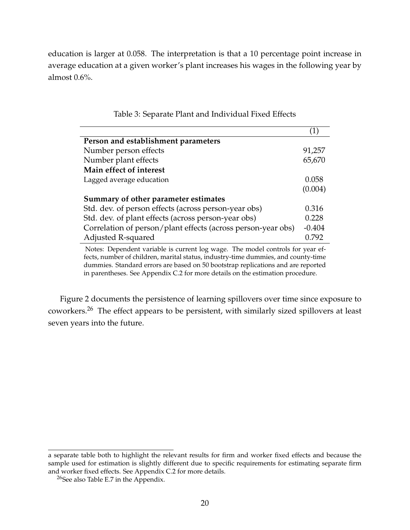education is larger at 0.058. The interpretation is that a 10 percentage point increase in average education at a given worker's plant increases his wages in the following year by almost 0.6%.

<span id="page-20-0"></span>

| Person and establishment parameters                          |          |
|--------------------------------------------------------------|----------|
| Number person effects                                        | 91,257   |
| Number plant effects                                         | 65,670   |
| Main effect of interest                                      |          |
| Lagged average education                                     | 0.058    |
|                                                              | (0.004)  |
| Summary of other parameter estimates                         |          |
| Std. dev. of person effects (across person-year obs)         | 0.316    |
| Std. dev. of plant effects (across person-year obs)          | 0.228    |
| Correlation of person/plant effects (across person-year obs) | $-0.404$ |
| Adjusted R-squared                                           | 0.792    |

Table 3: Separate Plant and Individual Fixed Effects

Notes: Dependent variable is current log wage. The model controls for year effects, number of children, marital status, industry-time dummies, and county-time dummies. Standard errors are based on 50 bootstrap replications and are reported in parentheses. See Appendix C.2 for more details on the estimation procedure.

Figure [2](#page-21-0) documents the persistence of learning spillovers over time since exposure to coworkers.[26](#page-0-0) The effect appears to be persistent, with similarly sized spillovers at least seven years into the future.

a separate table both to highlight the relevant results for firm and worker fixed effects and because the sample used for estimation is slightly different due to specific requirements for estimating separate firm and worker fixed effects. See Appendix [C.2](#page-66-0) for more details.

<sup>&</sup>lt;sup>26</sup>See also Table [E.7](#page-76-0) in the Appendix.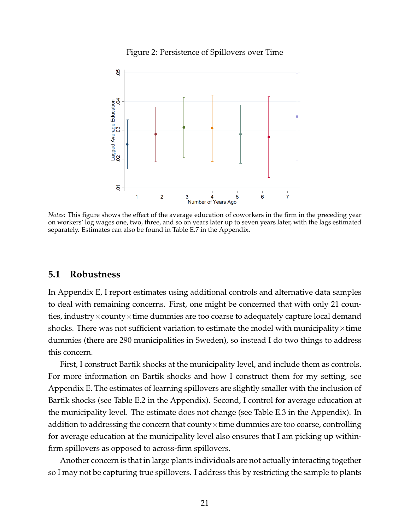

<span id="page-21-0"></span>

*Notes*: This figure shows the effect of the average education of coworkers in the firm in the preceding year on workers' log wages one, two, three, and so on years later up to seven years later, with the lags estimated separately. Estimates can also be found in Table [E.7](#page-76-0) in the Appendix.

#### **5.1 Robustness**

In Appendix [E,](#page-72-0) I report estimates using additional controls and alternative data samples to deal with remaining concerns. First, one might be concerned that with only 21 counties, industry $\times$ county $\times$ time dummies are too coarse to adequately capture local demand shocks. There was not sufficient variation to estimate the model with municipality $\times$ time dummies (there are 290 municipalities in Sweden), so instead I do two things to address this concern.

First, I construct Bartik shocks at the municipality level, and include them as controls. For more information on Bartik shocks and how I construct them for my setting, see Appendix [E.](#page-72-0) The estimates of learning spillovers are slightly smaller with the inclusion of Bartik shocks (see Table [E.2](#page-73-0) in the Appendix). Second, I control for average education at the municipality level. The estimate does not change (see Table [E.3](#page-74-1) in the Appendix). In addition to addressing the concern that county $\times$ time dummies are too coarse, controlling for average education at the municipality level also ensures that I am picking up withinfirm spillovers as opposed to across-firm spillovers.

Another concern is that in large plants individuals are not actually interacting together so I may not be capturing true spillovers. I address this by restricting the sample to plants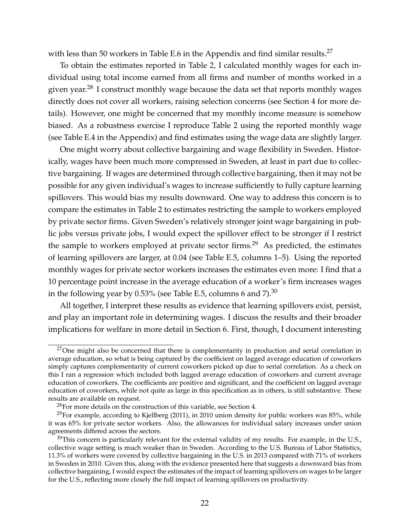with less than 50 workers in Table [E.6](#page-75-0) in the Appendix and find similar results.<sup>[27](#page-0-0)</sup>

To obtain the estimates reported in Table [2,](#page-19-1) I calculated monthly wages for each individual using total income earned from all firms and number of months worked in a given year.<sup>[28](#page-0-0)</sup> I construct monthly wage because the data set that reports monthly wages directly does not cover all workers, raising selection concerns (see Section [4](#page-15-0) for more details). However, one might be concerned that my monthly income measure is somehow biased. As a robustness exercise I reproduce Table [2](#page-19-1) using the reported monthly wage (see Table [E.4](#page-74-0) in the Appendix) and find estimates using the wage data are slightly larger.

One might worry about collective bargaining and wage flexibility in Sweden. Historically, wages have been much more compressed in Sweden, at least in part due to collective bargaining. If wages are determined through collective bargaining, then it may not be possible for any given individual's wages to increase sufficiently to fully capture learning spillovers. This would bias my results downward. One way to address this concern is to compare the estimates in Table [2](#page-19-1) to estimates restricting the sample to workers employed by private sector firms. Given Sweden's relatively stronger joint wage bargaining in public jobs versus private jobs, I would expect the spillover effect to be stronger if I restrict the sample to workers employed at private sector firms.<sup>[29](#page-0-0)</sup> As predicted, the estimates of learning spillovers are larger, at 0.04 (see Table [E.5,](#page-75-1) columns 1–5). Using the reported monthly wages for private sector workers increases the estimates even more: I find that a 10 percentage point increase in the average education of a worker's firm increases wages in the following year by 0.53% (see Table [E.5,](#page-75-1) columns 6 and 7). $^{30}$  $^{30}$  $^{30}$ 

All together, I interpret these results as evidence that learning spillovers exist, persist, and play an important role in determining wages. I discuss the results and their broader implications for welfare in more detail in Section [6.](#page-27-0) First, though, I document interesting

 $27$ One might also be concerned that there is complementarity in production and serial correlation in average education, so what is being captured by the coefficient on lagged average education of coworkers simply captures complementarity of current coworkers picked up due to serial correlation. As a check on this I ran a regression which included both lagged average education of coworkers and current average education of coworkers. The coefficients are positive and significant, and the coefficient on lagged average education of coworkers, while not quite as large in this specification as in others, is still substantive. These results are available on request.

<sup>&</sup>lt;sup>28</sup>For more details on the construction of this variable, see Section [4.](#page-15-0)

 $29$ For example, according to [Kjellberg](#page-33-8) [\(2011\)](#page-33-8), in 2010 union density for public workers was 85%, while it was 65% for private sector workers. Also, the allowances for individual salary increases under union agreements differed across the sectors.

 $30$ This concern is particularly relevant for the external validity of my results. For example, in the U.S., collective wage setting is much weaker than in Sweden. According to the U.S. Bureau of Labor Statistics, 11.3% of workers were covered by collective bargaining in the U.S. in 2013 compared with 71% of workers in Sweden in 2010. Given this, along with the evidence presented here that suggests a downward bias from collective bargaining, I would expect the estimates of the impact of learning spillovers on wages to be larger for the U.S., reflecting more closely the full impact of learning spillovers on productivity.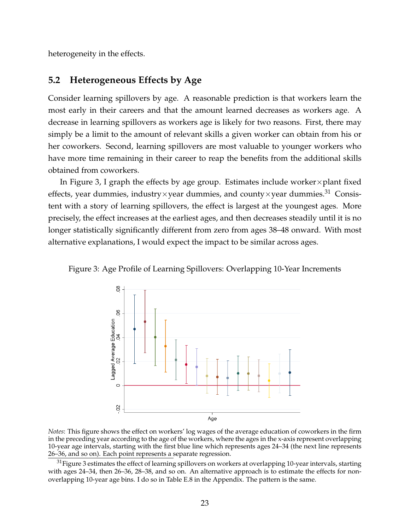heterogeneity in the effects.

#### <span id="page-23-0"></span>**5.2 Heterogeneous Effects by Age**

Consider learning spillovers by age. A reasonable prediction is that workers learn the most early in their careers and that the amount learned decreases as workers age. A decrease in learning spillovers as workers age is likely for two reasons. First, there may simply be a limit to the amount of relevant skills a given worker can obtain from his or her coworkers. Second, learning spillovers are most valuable to younger workers who have more time remaining in their career to reap the benefits from the additional skills obtained from coworkers.

In Figure [3,](#page-23-1) I graph the effects by age group. Estimates include worker $\times$  plant fixed effects, year dummies, industry×year dummies, and county×year dummies.<sup>[31](#page-0-0)</sup> Consistent with a story of learning spillovers, the effect is largest at the youngest ages. More precisely, the effect increases at the earliest ages, and then decreases steadily until it is no longer statistically significantly different from zero from ages 38–48 onward. With most alternative explanations, I would expect the impact to be similar across ages.

<span id="page-23-1"></span>Figure 3: Age Profile of Learning Spillovers: Overlapping 10-Year Increments



*Notes*: This figure shows the effect on workers' log wages of the average education of coworkers in the firm in the preceding year according to the age of the workers, where the ages in the x-axis represent overlapping 10-year age intervals, starting with the first blue line which represents ages 24–34 (the next line represents 26–36, and so on). Each point represents a separate regression.

<sup>31</sup>Figure [3](#page-23-1) estimates the effect of learning spillovers on workers at overlapping 10-year intervals, starting with ages 24–34, then 26–36, 28–38, and so on. An alternative approach is to estimate the effects for nonoverlapping 10-year age bins. I do so in Table [E.8](#page-77-0) in the Appendix. The pattern is the same.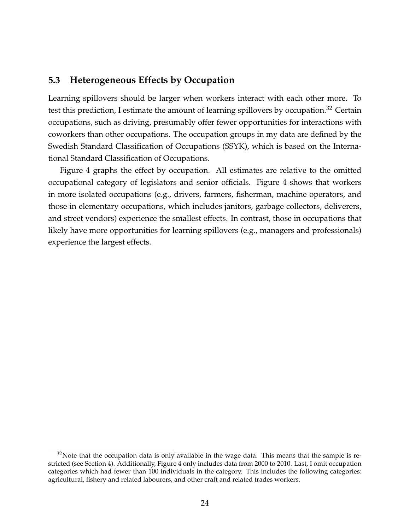### <span id="page-24-0"></span>**5.3 Heterogeneous Effects by Occupation**

Learning spillovers should be larger when workers interact with each other more. To test this prediction, I estimate the amount of learning spillovers by occupation.<sup>[32](#page-0-0)</sup> Certain occupations, such as driving, presumably offer fewer opportunities for interactions with coworkers than other occupations. The occupation groups in my data are defined by the Swedish Standard Classification of Occupations (SSYK), which is based on the International Standard Classification of Occupations.

Figure [4](#page-25-0) graphs the effect by occupation. All estimates are relative to the omitted occupational category of legislators and senior officials. Figure [4](#page-25-0) shows that workers in more isolated occupations (e.g., drivers, farmers, fisherman, machine operators, and those in elementary occupations, which includes janitors, garbage collectors, deliverers, and street vendors) experience the smallest effects. In contrast, those in occupations that likely have more opportunities for learning spillovers (e.g., managers and professionals) experience the largest effects.

 $32$ Note that the occupation data is only available in the wage data. This means that the sample is restricted (see Section [4\)](#page-15-0). Additionally, Figure [4](#page-25-0) only includes data from 2000 to 2010. Last, I omit occupation categories which had fewer than 100 individuals in the category. This includes the following categories: agricultural, fishery and related labourers, and other craft and related trades workers.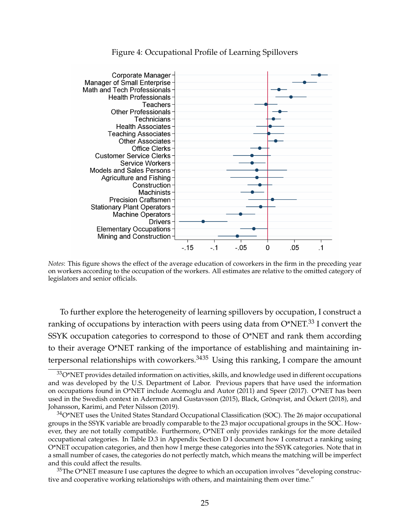<span id="page-25-0"></span>

#### Figure 4: Occupational Profile of Learning Spillovers

*Notes*: This figure shows the effect of the average education of coworkers in the firm in the preceding year on workers according to the occupation of the workers. All estimates are relative to the omitted category of legislators and senior officials.

To further explore the heterogeneity of learning spillovers by occupation, I construct a ranking of occupations by interaction with peers using data from O\*NET.<sup>[33](#page-0-0)</sup> I convert the SSYK occupation categories to correspond to those of O\*NET and rank them according to their average O\*NET ranking of the importance of establishing and maintaining interpersonal relationships with coworkers. $3435$  Using this ranking, I compare the amount

 $33O^*$ NET provides detailed information on activities, skills, and knowledge used in different occupations and was developed by the U.S. Department of Labor. Previous papers that have used the information on occupations found in O\*NET include [Acemoglu and Autor](#page-31-7) [\(2011\)](#page-31-7) and [Speer](#page-34-4) [\(2017\)](#page-34-4). O\*NET has been used in the Swedish context in [Adermon and Gustavsson](#page-31-8) [\(2015\)](#page-31-8), [Black, Grönqvist, and Öckert](#page-32-10) [\(2018\)](#page-32-10), and [Johansson, Karimi, and Peter Nilsson](#page-33-9) [\(2019\)](#page-33-9).

 $34$ O\*NET uses the United States Standard Occupational Classification (SOC). The 26 major occupational groups in the SSYK variable are broadly comparable to the 23 major occupational groups in the SOC. However, they are not totally compatible. Furthermore, O\*NET only provides rankings for the more detailed occupational categories. In Table [D.3](#page-70-0) in Appendix Section [D](#page-68-0) I document how I construct a ranking using O\*NET occupation categories, and then how I merge these categories into the SSYK categories. Note that in a small number of cases, the categories do not perfectly match, which means the matching will be imperfect and this could affect the results.

 $35$ The O\*NET measure I use captures the degree to which an occupation involves "developing constructive and cooperative working relationships with others, and maintaining them over time."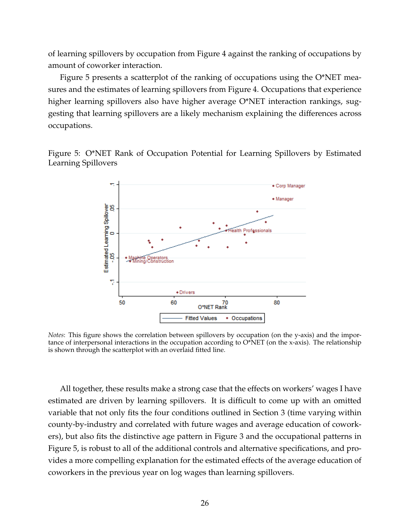of learning spillovers by occupation from Figure [4](#page-25-0) against the ranking of occupations by amount of coworker interaction.

Figure [5](#page-26-0) presents a scatterplot of the ranking of occupations using the O\*NET measures and the estimates of learning spillovers from Figure [4.](#page-25-0) Occupations that experience higher learning spillovers also have higher average O\*NET interaction rankings, suggesting that learning spillovers are a likely mechanism explaining the differences across occupations.

<span id="page-26-0"></span>



*Notes*: This figure shows the correlation between spillovers by occupation (on the y-axis) and the importance of interpersonal interactions in the occupation according to  $O<sup>*</sup>NET$  (on the x-axis). The relationship is shown through the scatterplot with an overlaid fitted line.

All together, these results make a strong case that the effects on workers' wages I have estimated are driven by learning spillovers. It is difficult to come up with an omitted variable that not only fits the four conditions outlined in Section [3](#page-11-0) (time varying within county-by-industry and correlated with future wages and average education of coworkers), but also fits the distinctive age pattern in Figure [3](#page-23-1) and the occupational patterns in Figure [5,](#page-26-0) is robust to all of the additional controls and alternative specifications, and provides a more compelling explanation for the estimated effects of the average education of coworkers in the previous year on log wages than learning spillovers.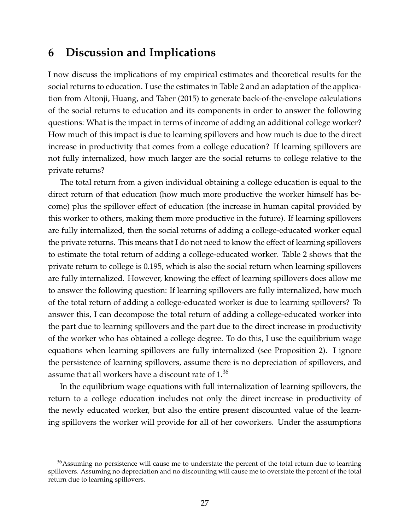### <span id="page-27-0"></span>**6 Discussion and Implications**

I now discuss the implications of my empirical estimates and theoretical results for the social returns to education. I use the estimates in Table [2](#page-19-1) and an adaptation of the application from [Altonji, Huang, and Taber](#page-31-9) [\(2015\)](#page-31-9) to generate back-of-the-envelope calculations of the social returns to education and its components in order to answer the following questions: What is the impact in terms of income of adding an additional college worker? How much of this impact is due to learning spillovers and how much is due to the direct increase in productivity that comes from a college education? If learning spillovers are not fully internalized, how much larger are the social returns to college relative to the private returns?

The total return from a given individual obtaining a college education is equal to the direct return of that education (how much more productive the worker himself has become) plus the spillover effect of education (the increase in human capital provided by this worker to others, making them more productive in the future). If learning spillovers are fully internalized, then the social returns of adding a college-educated worker equal the private returns. This means that I do not need to know the effect of learning spillovers to estimate the total return of adding a college-educated worker. Table [2](#page-19-1) shows that the private return to college is 0.195, which is also the social return when learning spillovers are fully internalized. However, knowing the effect of learning spillovers does allow me to answer the following question: If learning spillovers are fully internalized, how much of the total return of adding a college-educated worker is due to learning spillovers? To answer this, I can decompose the total return of adding a college-educated worker into the part due to learning spillovers and the part due to the direct increase in productivity of the worker who has obtained a college degree. To do this, I use the equilibrium wage equations when learning spillovers are fully internalized (see Proposition [2\)](#page-8-0). I ignore the persistence of learning spillovers, assume there is no depreciation of spillovers, and assume that all workers have a discount rate of 1.[36](#page-0-0)

In the equilibrium wage equations with full internalization of learning spillovers, the return to a college education includes not only the direct increase in productivity of the newly educated worker, but also the entire present discounted value of the learning spillovers the worker will provide for all of her coworkers. Under the assumptions

<sup>&</sup>lt;sup>36</sup>Assuming no persistence will cause me to understate the percent of the total return due to learning spillovers. Assuming no depreciation and no discounting will cause me to overstate the percent of the total return due to learning spillovers.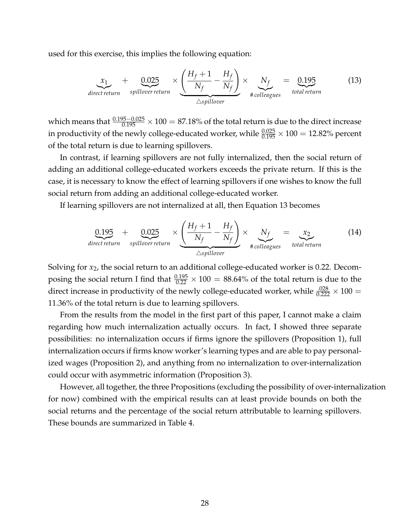used for this exercise, this implies the following equation:

<span id="page-28-0"></span>
$$
\underbrace{x_1}_{\text{direct return}} + \underbrace{0.025}_{\text{spillover return}} \times \underbrace{\left(\frac{H_f + 1}{N_f} - \frac{H_f}{N_f}\right)}_{\triangle spillover} \times \underbrace{N_f}_{\text{ftolleagus}} = \underbrace{0.195}_{\text{total return}}
$$
(13)

which means that  $\frac{0.195-0.025}{0.195} \times 100 = 87.18\%$  of the total return is due to the direct increase in productivity of the newly college-educated worker, while  $\frac{0.025}{0.195} \times 100 = 12.82\%$  percent of the total return is due to learning spillovers.

In contrast, if learning spillovers are not fully internalized, then the social return of adding an additional college-educated workers exceeds the private return. If this is the case, it is necessary to know the effect of learning spillovers if one wishes to know the full social return from adding an additional college-educated worker.

If learning spillovers are not internalized at all, then Equation [13](#page-28-0) becomes

$$
\underbrace{0.195}_{\text{direct return}} + \underbrace{0.025}_{\text{spillover return}} \times \underbrace{\left(\frac{H_f + 1}{N_f} - \frac{H_f}{N_f}\right)}_{\triangle spillover} \times \underbrace{N_f}_{\text{ftolleagus}} = \underbrace{x_2}_{\text{total return}}
$$
(14)

Solving for *x*2, the social return to an additional college-educated worker is 0.22. Decomposing the social return I find that  $\frac{0.195}{0.22} \times 100 = 88.64\%$  of the total return is due to the direct increase in productivity of the newly college-educated worker, while  $\frac{.028}{0.222} \times 100 =$ 11.36% of the total return is due to learning spillovers.

From the results from the model in the first part of this paper, I cannot make a claim regarding how much internalization actually occurs. In fact, I showed three separate possibilities: no internalization occurs if firms ignore the spillovers (Proposition [1\)](#page-7-0), full internalization occurs if firms know worker's learning types and are able to pay personalized wages (Proposition [2\)](#page-8-0), and anything from no internalization to over-internalization could occur with asymmetric information (Proposition [3\)](#page-10-0).

However, all together, the three Propositions (excluding the possibility of over-internalization for now) combined with the empirical results can at least provide bounds on both the social returns and the percentage of the social return attributable to learning spillovers. These bounds are summarized in Table [4.](#page-29-1)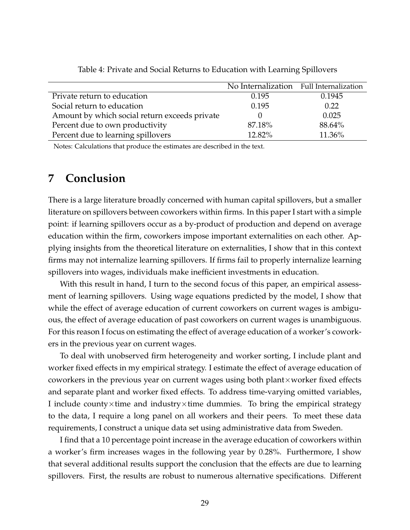<span id="page-29-1"></span>

|                                               | No Internalization Full Internalization |        |
|-----------------------------------------------|-----------------------------------------|--------|
| Private return to education                   | 0.195                                   | 0.1945 |
| Social return to education                    | 0.195                                   | 0.22   |
| Amount by which social return exceeds private |                                         | 0.025  |
| Percent due to own productivity               | 87.18%                                  | 88.64% |
| Percent due to learning spillovers            | 12.82%                                  | 11.36% |

Table 4: Private and Social Returns to Education with Learning Spillovers

Notes: Calculations that produce the estimates are described in the text.

### <span id="page-29-0"></span>**7 Conclusion**

There is a large literature broadly concerned with human capital spillovers, but a smaller literature on spillovers between coworkers within firms. In this paper I start with a simple point: if learning spillovers occur as a by-product of production and depend on average education within the firm, coworkers impose important externalities on each other. Applying insights from the theoretical literature on externalities, I show that in this context firms may not internalize learning spillovers. If firms fail to properly internalize learning spillovers into wages, individuals make inefficient investments in education.

With this result in hand, I turn to the second focus of this paper, an empirical assessment of learning spillovers. Using wage equations predicted by the model, I show that while the effect of average education of current coworkers on current wages is ambiguous, the effect of average education of past coworkers on current wages is unambiguous. For this reason I focus on estimating the effect of average education of a worker's coworkers in the previous year on current wages.

To deal with unobserved firm heterogeneity and worker sorting, I include plant and worker fixed effects in my empirical strategy. I estimate the effect of average education of coworkers in the previous year on current wages using both plant $\times$ worker fixed effects and separate plant and worker fixed effects. To address time-varying omitted variables, I include county $\times$ time and industry $\times$ time dummies. To bring the empirical strategy to the data, I require a long panel on all workers and their peers. To meet these data requirements, I construct a unique data set using administrative data from Sweden.

I find that a 10 percentage point increase in the average education of coworkers within a worker's firm increases wages in the following year by 0.28%. Furthermore, I show that several additional results support the conclusion that the effects are due to learning spillovers. First, the results are robust to numerous alternative specifications. Different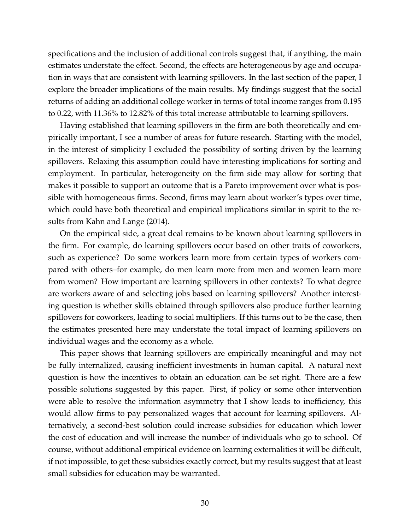specifications and the inclusion of additional controls suggest that, if anything, the main estimates understate the effect. Second, the effects are heterogeneous by age and occupation in ways that are consistent with learning spillovers. In the last section of the paper, I explore the broader implications of the main results. My findings suggest that the social returns of adding an additional college worker in terms of total income ranges from 0.195 to 0.22, with 11.36% to 12.82% of this total increase attributable to learning spillovers.

Having established that learning spillovers in the firm are both theoretically and empirically important, I see a number of areas for future research. Starting with the model, in the interest of simplicity I excluded the possibility of sorting driven by the learning spillovers. Relaxing this assumption could have interesting implications for sorting and employment. In particular, heterogeneity on the firm side may allow for sorting that makes it possible to support an outcome that is a Pareto improvement over what is possible with homogeneous firms. Second, firms may learn about worker's types over time, which could have both theoretical and empirical implications similar in spirit to the results from [Kahn and Lange](#page-33-10) [\(2014\)](#page-33-10).

On the empirical side, a great deal remains to be known about learning spillovers in the firm. For example, do learning spillovers occur based on other traits of coworkers, such as experience? Do some workers learn more from certain types of workers compared with others–for example, do men learn more from men and women learn more from women? How important are learning spillovers in other contexts? To what degree are workers aware of and selecting jobs based on learning spillovers? Another interesting question is whether skills obtained through spillovers also produce further learning spillovers for coworkers, leading to social multipliers. If this turns out to be the case, then the estimates presented here may understate the total impact of learning spillovers on individual wages and the economy as a whole.

This paper shows that learning spillovers are empirically meaningful and may not be fully internalized, causing inefficient investments in human capital. A natural next question is how the incentives to obtain an education can be set right. There are a few possible solutions suggested by this paper. First, if policy or some other intervention were able to resolve the information asymmetry that I show leads to inefficiency, this would allow firms to pay personalized wages that account for learning spillovers. Alternatively, a second-best solution could increase subsidies for education which lower the cost of education and will increase the number of individuals who go to school. Of course, without additional empirical evidence on learning externalities it will be difficult, if not impossible, to get these subsidies exactly correct, but my results suggest that at least small subsidies for education may be warranted.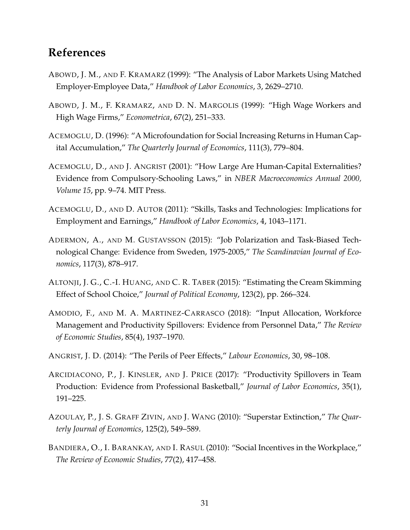## **References**

- ABOWD, J. M., AND F. KRAMARZ (1999): "The Analysis of Labor Markets Using Matched Employer-Employee Data," *Handbook of Labor Economics*, 3, 2629–2710.
- <span id="page-31-5"></span>ABOWD, J. M., F. KRAMARZ, AND D. N. MARGOLIS (1999): "High Wage Workers and High Wage Firms," *Econometrica*, 67(2), 251–333.
- <span id="page-31-0"></span>ACEMOGLU, D. (1996): "A Microfoundation for Social Increasing Returns in Human Capital Accumulation," *The Quarterly Journal of Economics*, 111(3), 779–804.
- <span id="page-31-6"></span>ACEMOGLU, D., AND J. ANGRIST (2001): "How Large Are Human-Capital Externalities? Evidence from Compulsory-Schooling Laws," in *NBER Macroeconomics Annual 2000, Volume 15*, pp. 9–74. MIT Press.
- <span id="page-31-7"></span>ACEMOGLU, D., AND D. AUTOR (2011): "Skills, Tasks and Technologies: Implications for Employment and Earnings," *Handbook of Labor Economics*, 4, 1043–1171.
- <span id="page-31-8"></span>ADERMON, A., AND M. GUSTAVSSON (2015): "Job Polarization and Task-Biased Technological Change: Evidence from Sweden, 1975-2005," *The Scandinavian Journal of Economics*, 117(3), 878–917.
- <span id="page-31-9"></span>ALTONJI, J. G., C.-I. HUANG, AND C. R. TABER (2015): "Estimating the Cream Skimming Effect of School Choice," *Journal of Political Economy*, 123(2), pp. 266–324.
- <span id="page-31-3"></span>AMODIO, F., AND M. A. MARTINEZ-CARRASCO (2018): "Input Allocation, Workforce Management and Productivity Spillovers: Evidence from Personnel Data," *The Review of Economic Studies*, 85(4), 1937–1970.
- ANGRIST, J. D. (2014): "The Perils of Peer Effects," *Labour Economics*, 30, 98–108.
- <span id="page-31-4"></span>ARCIDIACONO, P., J. KINSLER, AND J. PRICE (2017): "Productivity Spillovers in Team Production: Evidence from Professional Basketball," *Journal of Labor Economics*, 35(1), 191–225.
- <span id="page-31-2"></span>AZOULAY, P., J. S. GRAFF ZIVIN, AND J. WANG (2010): "Superstar Extinction," *The Quarterly Journal of Economics*, 125(2), 549–589.
- <span id="page-31-1"></span>BANDIERA, O., I. BARANKAY, AND I. RASUL (2010): "Social Incentives in the Workplace," *The Review of Economic Studies*, 77(2), 417–458.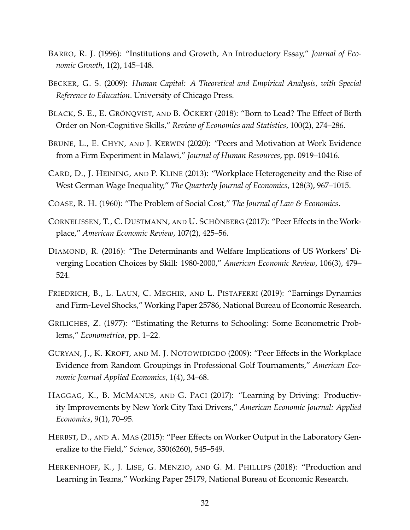- <span id="page-32-0"></span>BARRO, R. J. (1996): "Institutions and Growth, An Introductory Essay," *Journal of Economic Growth*, 1(2), 145–148.
- BECKER, G. S. (2009): *Human Capital: A Theoretical and Empirical Analysis, with Special Reference to Education*. University of Chicago Press.
- <span id="page-32-10"></span>BLACK, S. E., E. GRÖNQVIST, AND B. ÖCKERT (2018): "Born to Lead? The Effect of Birth Order on Non-Cognitive Skills," *Review of Economics and Statistics*, 100(2), 274–286.
- <span id="page-32-1"></span>BRUNE, L., E. CHYN, AND J. KERWIN (2020): "Peers and Motivation at Work Evidence from a Firm Experiment in Malawi," *Journal of Human Resources*, pp. 0919–10416.
- CARD, D., J. HEINING, AND P. KLINE (2013): "Workplace Heterogeneity and the Rise of West German Wage Inequality," *The Quarterly Journal of Economics*, 128(3), 967–1015.
- <span id="page-32-7"></span>COASE, R. H. (1960): "The Problem of Social Cost," *The Journal of Law & Economics*.
- <span id="page-32-2"></span>CORNELISSEN, T., C. DUSTMANN, AND U. SCHÖNBERG (2017): "Peer Effects in the Workplace," *American Economic Review*, 107(2), 425–56.
- DIAMOND, R. (2016): "The Determinants and Welfare Implications of US Workers' Diverging Location Choices by Skill: 1980-2000," *American Economic Review*, 106(3), 479– 524.
- <span id="page-32-9"></span>FRIEDRICH, B., L. LAUN, C. MEGHIR, AND L. PISTAFERRI (2019): "Earnings Dynamics and Firm-Level Shocks," Working Paper 25786, National Bureau of Economic Research.
- <span id="page-32-8"></span>GRILICHES, Z. (1977): "Estimating the Returns to Schooling: Some Econometric Problems," *Econometrica*, pp. 1–22.
- <span id="page-32-5"></span>GURYAN, J., K. KROFT, AND M. J. NOTOWIDIGDO (2009): "Peer Effects in the Workplace Evidence from Random Groupings in Professional Golf Tournaments," *American Economic Journal Applied Economics*, 1(4), 34–68.
- <span id="page-32-6"></span>HAGGAG, K., B. MCMANUS, AND G. PACI (2017): "Learning by Driving: Productivity Improvements by New York City Taxi Drivers," *American Economic Journal: Applied Economics*, 9(1), 70–95.
- <span id="page-32-4"></span>HERBST, D., AND A. MAS (2015): "Peer Effects on Worker Output in the Laboratory Generalize to the Field," *Science*, 350(6260), 545–549.
- <span id="page-32-3"></span>HERKENHOFF, K., J. LISE, G. MENZIO, AND G. M. PHILLIPS (2018): "Production and Learning in Teams," Working Paper 25179, National Bureau of Economic Research.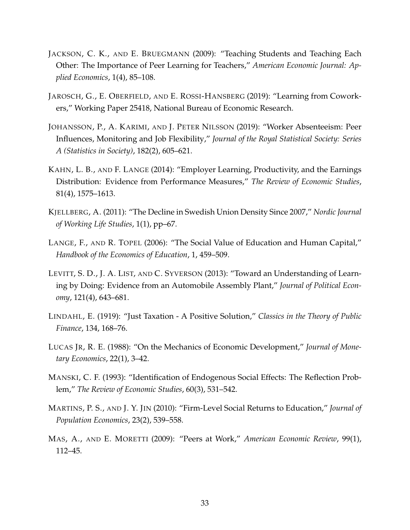- <span id="page-33-4"></span>JACKSON, C. K., AND E. BRUEGMANN (2009): "Teaching Students and Teaching Each Other: The Importance of Peer Learning for Teachers," *American Economic Journal: Applied Economics*, 1(4), 85–108.
- <span id="page-33-2"></span>JAROSCH, G., E. OBERFIELD, AND E. ROSSI-HANSBERG (2019): "Learning from Coworkers," Working Paper 25418, National Bureau of Economic Research.
- <span id="page-33-9"></span>JOHANSSON, P., A. KARIMI, AND J. PETER NILSSON (2019): "Worker Absenteeism: Peer Influences, Monitoring and Job Flexibility," *Journal of the Royal Statistical Society: Series A (Statistics in Society)*, 182(2), 605–621.
- <span id="page-33-10"></span>KAHN, L. B., AND F. LANGE (2014): "Employer Learning, Productivity, and the Earnings Distribution: Evidence from Performance Measures," *The Review of Economic Studies*, 81(4), 1575–1613.
- <span id="page-33-8"></span>KJELLBERG, A. (2011): "The Decline in Swedish Union Density Since 2007," *Nordic Journal of Working Life Studies*, 1(1), pp–67.
- <span id="page-33-0"></span>LANGE, F., AND R. TOPEL (2006): "The Social Value of Education and Human Capital," *Handbook of the Economics of Education*, 1, 459–509.
- <span id="page-33-5"></span>LEVITT, S. D., J. A. LIST, AND C. SYVERSON (2013): "Toward an Understanding of Learning by Doing: Evidence from an Automobile Assembly Plant," *Journal of Political Economy*, 121(4), 643–681.
- <span id="page-33-7"></span>LINDAHL, E. (1919): "Just Taxation - A Positive Solution," *Classics in the Theory of Public Finance*, 134, 168–76.
- <span id="page-33-6"></span>LUCAS JR, R. E. (1988): "On the Mechanics of Economic Development," *Journal of Monetary Economics*, 22(1), 3–42.
- MANSKI, C. F. (1993): "Identification of Endogenous Social Effects: The Reflection Problem," *The Review of Economic Studies*, 60(3), 531–542.
- <span id="page-33-3"></span>MARTINS, P. S., AND J. Y. JIN (2010): "Firm-Level Social Returns to Education," *Journal of Population Economics*, 23(2), 539–558.
- <span id="page-33-1"></span>MAS, A., AND E. MORETTI (2009): "Peers at Work," *American Economic Review*, 99(1), 112–45.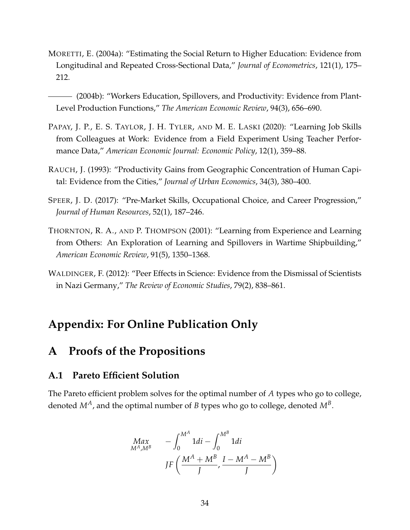MORETTI, E. (2004a): "Estimating the Social Return to Higher Education: Evidence from Longitudinal and Repeated Cross-Sectional Data," *Journal of Econometrics*, 121(1), 175– 212.

<span id="page-34-0"></span>(2004b): "Workers Education, Spillovers, and Productivity: Evidence from Plant-Level Production Functions," *The American Economic Review*, 94(3), 656–690.

- <span id="page-34-2"></span>PAPAY, J. P., E. S. TAYLOR, J. H. TYLER, AND M. E. LASKI (2020): "Learning Job Skills from Colleagues at Work: Evidence from a Field Experiment Using Teacher Performance Data," *American Economic Journal: Economic Policy*, 12(1), 359–88.
- RAUCH, J. (1993): "Productivity Gains from Geographic Concentration of Human Capital: Evidence from the Cities," *Journal of Urban Economics*, 34(3), 380–400.
- <span id="page-34-4"></span>SPEER, J. D. (2017): "Pre-Market Skills, Occupational Choice, and Career Progression," *Journal of Human Resources*, 52(1), 187–246.
- <span id="page-34-3"></span>THORNTON, R. A., AND P. THOMPSON (2001): "Learning from Experience and Learning from Others: An Exploration of Learning and Spillovers in Wartime Shipbuilding," *American Economic Review*, 91(5), 1350–1368.
- <span id="page-34-1"></span>WALDINGER, F. (2012): "Peer Effects in Science: Evidence from the Dismissal of Scientists in Nazi Germany," *The Review of Economic Studies*, 79(2), 838–861.

### **Appendix: For Online Publication Only**

### **A Proofs of the Propositions**

### **A.1 Pareto Efficient Solution**

The Pareto efficient problem solves for the optimal number of *A* types who go to college, denoted *MA*, and the optimal number of *B* types who go to college, denoted *M<sup>B</sup>* .

$$
Max_{M^A,M^B} \qquad -\int_0^{M^A} 1di - \int_0^{M^B} 1di
$$

$$
JF\left(\frac{M^A + M^B}{J}, \frac{I - M^A - M^B}{J}\right)
$$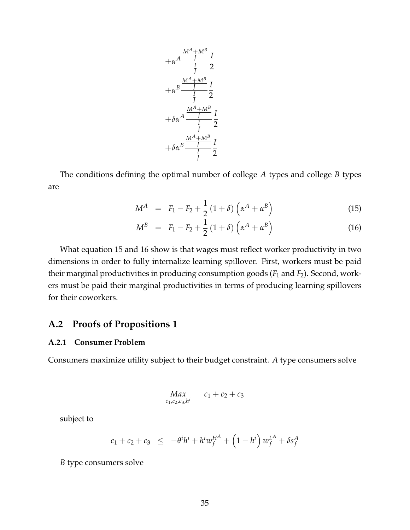$$
+\alpha^{A} \frac{\frac{M^{A}+M^{B}}{J}}{\frac{I}{J}} \frac{I}{2}
$$

$$
+\alpha^{B} \frac{\frac{M^{A}+M^{B}}{J}}{\frac{I}{J}} \frac{I}{2}
$$

$$
+\delta \alpha^{A} \frac{\frac{M^{A}+M^{B}}{J}}{\frac{I}{J}} \frac{I}{2}
$$

$$
+\delta \alpha^{B} \frac{\frac{M^{A}+M^{B}}{J}}{\frac{I}{J}} \frac{I}{2}
$$

The conditions defining the optimal number of college *A* types and college *B* types are

<span id="page-35-1"></span>
$$
M^{A} = F_{1} - F_{2} + \frac{1}{2} (1 + \delta) \left( \alpha^{A} + \alpha^{B} \right)
$$
 (15)

$$
M^{B} = F_1 - F_2 + \frac{1}{2} (1 + \delta) \left( \alpha^{A} + \alpha^{B} \right)
$$
 (16)

What equation [15](#page-35-1) and [16](#page-35-1) show is that wages must reflect worker productivity in two dimensions in order to fully internalize learning spillover. First, workers must be paid their marginal productivities in producing consumption goods (*F*<sup>1</sup> and *F*2). Second, workers must be paid their marginal productivities in terms of producing learning spillovers for their coworkers.

### <span id="page-35-0"></span>**A.2 Proofs of Propositions [1](#page-7-0)**

#### **A.2.1 Consumer Problem**

Consumers maximize utility subject to their budget constraint. *A* type consumers solve

$$
Max_{c_1,c_2,c_3,h^i} \t c_1+c_2+c_3
$$

subject to

$$
c_1 + c_2 + c_3 \le -\theta^i h^i + h^i w_f^{H^A} + (1 - h^i) w_f^{L^A} + \delta s_f^A
$$

*B* type consumers solve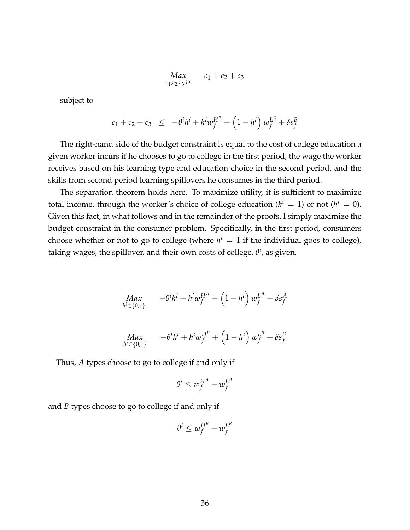*Max c*1 ,*c*2,*c*3,*h i*  $c_1 + c_2 + c_3$ 

subject to

$$
c_1 + c_2 + c_3 \leq -\theta^i h^i + h^i w_f^{H^B} + \left(1 - h^i\right) w_f^{L^B} + \delta s_f^B
$$

The right-hand side of the budget constraint is equal to the cost of college education a given worker incurs if he chooses to go to college in the first period, the wage the worker receives based on his learning type and education choice in the second period, and the skills from second period learning spillovers he consumes in the third period.

The separation theorem holds here. To maximize utility, it is sufficient to maximize total income, through the worker's choice of college education ( $h^i = 1$ ) or not ( $h^i = 0$ ). Given this fact, in what follows and in the remainder of the proofs, I simply maximize the budget constraint in the consumer problem. Specifically, in the first period, consumers choose whether or not to go to college (where  $h^i = 1$  if the individual goes to college), taking wages, the spillover, and their own costs of college, *θ i* , as given.

$$
\displaystyle \hspace{-5pt} \substack{Max \\ h^i \in \{0,1\}} \hspace{10pt} - \theta^i h^i + h^i w^{HA}_f + \left( 1 - h^i \right) w^{LA}_f + \delta s^A_f
$$

$$
Max_{h^{i}\in\{0,1\}} \t -\theta^{i}h^{i} + h^{i}w_{f}^{H^{B}} + \left(1-h^{i}\right)w_{f}^{L^{B}} + \delta s_{f}^{B}
$$

Thus, *A* types choose to go to college if and only if

$$
\theta^i \leq w_f^{H^A} - w_f^{L^A}
$$

and *B* types choose to go to college if and only if

$$
\theta^i \leq w^{H^B}_f - w^{L^B}_f
$$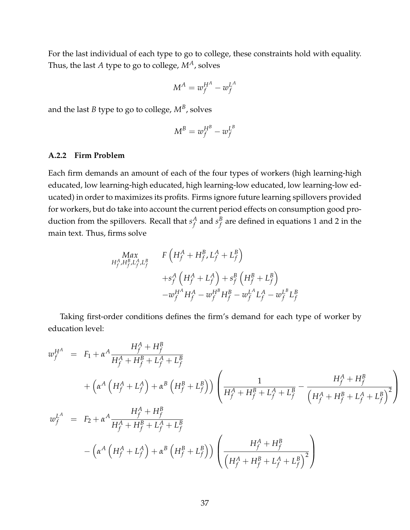For the last individual of each type to go to college, these constraints hold with equality. Thus, the last *A* type to go to college, *MA*, solves

$$
M^A = w_f^{H^A} - w_f^{L^A}
$$

and the last  $B$  type to go to college,  $M^B$ , solves

$$
M^B = w_f^{H^B} - w_f^{L^B}
$$

## **A.2.2 Firm Problem**

Each firm demands an amount of each of the four types of workers (high learning-high educated, low learning-high educated, high learning-low educated, low learning-low educated) in order to maximizes its profits. Firms ignore future learning spillovers provided for workers, but do take into account the current period effects on consumption good production from the spillovers. Recall that  $s_f^A$  $f_f^A$  and  $s_f^B$  $f_f^B$  are defined in equations [1](#page-5-0) and [2](#page-5-1) in the main text. Thus, firms solve

$$
Max_{H_f^A, H_f^B, L_f^A, L_f^B} F\left(H_f^A + H_f^B, L_f^A + L_f^B\right) + s_f^A \left(H_f^A + L_f^A\right) + s_f^B \left(H_f^B + L_f^B\right) - w_f^{H^A} H_f^A - w_f^{H^B} H_f^B - w_f^{L^A} L_f^A - w_f^{L^B} L_f^B
$$

Taking first-order conditions defines the firm's demand for each type of worker by education level:

$$
w_f^{H^A} = F_1 + \alpha^A \frac{H_f^A + H_f^B}{H_f^A + H_f^B + L_f^A + L_f^B}
$$
  
+ 
$$
\left(\alpha^A \left(H_f^A + L_f^A\right) + \alpha^B \left(H_f^B + L_f^B\right)\right) \left(\frac{1}{H_f^A + H_f^B + L_f^A + L_f^B} - \frac{H_f^A + H_f^B}{\left(H_f^A + H_f^B + L_f^A + L_f^B\right)^2}\right)
$$
  

$$
w_f^{L^A} = F_2 + \alpha^A \frac{H_f^A + H_f^B}{H_f^A + H_f^B + L_f^A + L_f^B}
$$
  
- 
$$
\left(\alpha^A \left(H_f^A + L_f^A\right) + \alpha^B \left(H_f^B + L_f^B\right)\right) \left(\frac{H_f^A + H_f^B}{\left(H_f^A + H_f^B + L_f^A + L_f^B\right)^2}\right)
$$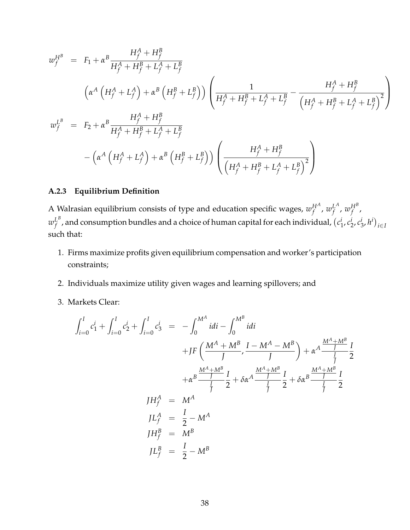$$
w_f^{H^B} = F_1 + \alpha^B \frac{H_f^A + H_f^B}{H_f^A + H_f^B + L_f^A + L_f^B}
$$
  
\n
$$
\left(\alpha^A \left(H_f^A + L_f^A\right) + \alpha^B \left(H_f^B + L_f^B\right)\right) \left(\frac{1}{H_f^A + H_f^B + L_f^A + L_f^B} - \frac{H_f^A + H_f^B}{\left(H_f^A + H_f^B + L_f^A + L_f^B\right)^2}\right)
$$
  
\n
$$
w_f^{L^B} = F_2 + \alpha^B \frac{H_f^A + H_f^B}{H_f^A + H_f^B + L_f^A + L_f^B}
$$
  
\n
$$
-\left(\alpha^A \left(H_f^A + L_f^A\right) + \alpha^B \left(H_f^B + L_f^B\right)\right) \left(\frac{H_f^A + H_f^B}{\left(H_f^A + H_f^B + L_f^A + L_f^B\right)^2}\right)
$$

## **A.2.3 Equilibrium Definition**

A Walrasian equilibrium consists of type and education specific wages,  $w^{HA}_{\ell}$  $_f^{H^A}$ ,  $w_f^{L^A}$  $_f^L$ <sup>,</sup>  $w_f^{H^B}$ *f* ,  $w_{f}^{L^{B}}$  $f^{L^B}_{f}$  , and consumption bundles and a choice of human capital for each individual,  $(c_1^B)$  $i_1$ ,  $c_2^i$  $\frac{i}{2}$ ,  $c^i_{\hat{z}}$  $\binom{i}{3}$ ,  $h^i$ )<sub>i $\in I$ </sub> such that:

- 1. Firms maximize profits given equilibrium compensation and worker's participation constraints;
- 2. Individuals maximize utility given wages and learning spillovers; and
- 3. Markets Clear:

$$
\int_{i=0}^{I} c_1^{i} + \int_{i=0}^{I} c_2^{i} + \int_{i=0}^{I} c_3^{i} = -\int_{0}^{M^A} i \, di - \int_{0}^{M^B} i \, di
$$
\n
$$
+ JF\left(\frac{M^A + M^B}{J}, \frac{I - M^A - M^B}{J}\right) + \alpha^A \frac{\frac{M^A + M^B}{J}}{\frac{I}{J}} \frac{I}{2}
$$
\n
$$
+ \alpha^B \frac{\frac{M^A + M^B}{J}}{\frac{I}{J}} \frac{I}{2} + \delta \alpha^A \frac{\frac{M^A + M^B}{J}}{\frac{I}{J}} \frac{I}{2} + \delta \alpha^B \frac{\frac{M^A + M^B}{J}}{\frac{I}{J}} \frac{I}{2}
$$
\n
$$
J H_f^A = M^A
$$
\n
$$
J L_f^A = \frac{I}{2} - M^A
$$
\n
$$
J L_f^B = M^B
$$
\n
$$
J L_f^B = \frac{I}{2} - M^B
$$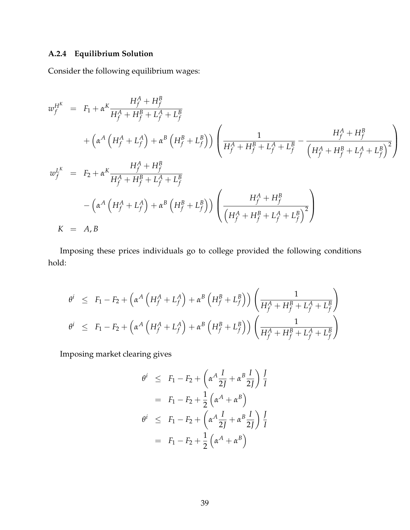# **A.2.4 Equilibrium Solution**

Consider the following equilibrium wages:

$$
w_f^{H^K} = F_1 + \alpha^K \frac{H_f^A + H_f^B}{H_f^A + H_f^B + L_f^A + L_f^B} + \left(\alpha^A \left(H_f^A + L_f^A\right) + \alpha^B \left(H_f^B + L_f^B\right)\right) \left(\frac{1}{H_f^A + H_f^B + L_f^A + L_f^B} - \frac{H_f^A + H_f^B}{\left(H_f^A + H_f^B + L_f^A + L_f^B\right)^2}\right) w_f^{L^K} = F_2 + \alpha^K \frac{H_f^A + H_f^B}{H_f^A + H_f^B + L_f^A + L_f^B} - \left(\alpha^A \left(H_f^A + L_f^A\right) + \alpha^B \left(H_f^B + L_f^B\right)\right) \left(\frac{H_f^A + H_f^B}{\left(H_f^A + H_f^B + L_f^A + L_f^B\right)^2}\right) K = A, B
$$

Imposing these prices individuals go to college provided the following conditions hold:

$$
\theta^{i} \leq F_1 - F_2 + \left(\alpha^A \left(H_f^A + L_f^A\right) + \alpha^B \left(H_f^B + L_f^B\right)\right) \left(\frac{1}{H_f^A + H_f^B + L_f^A + L_f^B}\right)
$$
  

$$
\theta^{i} \leq F_1 - F_2 + \left(\alpha^A \left(H_f^A + L_f^A\right) + \alpha^B \left(H_f^B + L_f^B\right)\right) \left(\frac{1}{H_f^A + H_f^B + L_f^A + L_f^B}\right)
$$

Imposing market clearing gives

$$
\theta^{i} \leq F_1 - F_2 + \left(\alpha^A \frac{I}{2J} + \alpha^B \frac{I}{2J}\right) \frac{I}{I}
$$
  

$$
= F_1 - F_2 + \frac{1}{2} \left(\alpha^A + \alpha^B\right)
$$
  

$$
\theta^{i} \leq F_1 - F_2 + \left(\alpha^A \frac{I}{2J} + \alpha^B \frac{I}{2J}\right) \frac{I}{I}
$$
  

$$
= F_1 - F_2 + \frac{1}{2} \left(\alpha^A + \alpha^B\right)
$$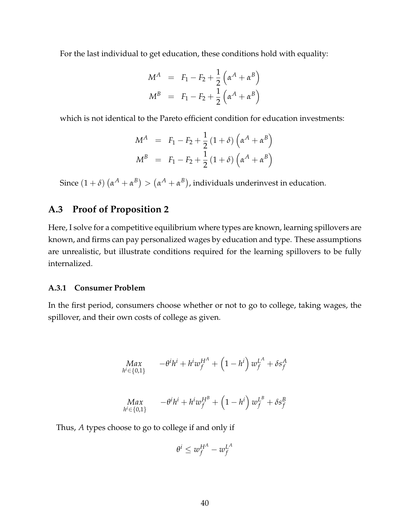For the last individual to get education, these conditions hold with equality:

$$
M^{A} = F_{1} - F_{2} + \frac{1}{2} \left( \alpha^{A} + \alpha^{B} \right)
$$
  

$$
M^{B} = F_{1} - F_{2} + \frac{1}{2} \left( \alpha^{A} + \alpha^{B} \right)
$$

which is not identical to the Pareto efficient condition for education investments:

$$
M^{A} = F_{1} - F_{2} + \frac{1}{2} (1 + \delta) \left( \alpha^{A} + \alpha^{B} \right)
$$
  

$$
M^{B} = F_{1} - F_{2} + \frac{1}{2} (1 + \delta) \left( \alpha^{A} + \alpha^{B} \right)
$$

Since  $(1+\delta)(\alpha^A+\alpha^B) > (\alpha^A+\alpha^B)$ , individuals underinvest in education.

## **A.3 Proof of Proposition [2](#page-8-0)**

Here, I solve for a competitive equilibrium where types are known, learning spillovers are known, and firms can pay personalized wages by education and type. These assumptions are unrealistic, but illustrate conditions required for the learning spillovers to be fully internalized.

## <span id="page-40-0"></span>**A.3.1 Consumer Problem**

In the first period, consumers choose whether or not to go to college, taking wages, the spillover, and their own costs of college as given.

$$
Max_{h^{i} \in \{0,1\}} -\theta^{i}h^{i} + h^{i}w_{f}^{H^{A}} + (1 - h^{i}) w_{f}^{L^{A}} + \delta s_{f}^{A}
$$
\n
$$
Max_{h^{i} \in \{0,1\}} -\theta^{i}h^{i} + h^{i}w_{f}^{H^{B}} + (1 - h^{i}) w_{f}^{L^{B}} + \delta s_{f}^{B}
$$

Thus, *A* types choose to go to college if and only if

$$
\theta^i \leq w_f^{H^A} - w_f^{L^A}
$$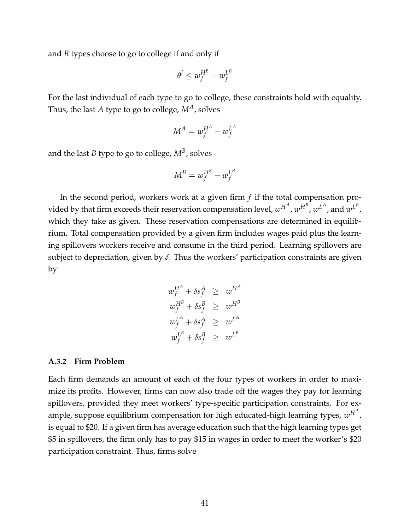and *B* types choose to go to college if and only if

$$
\theta^i \leq w_f^{H^B} - w_f^{L^B}
$$

For the last individual of each type to go to college, these constraints hold with equality. Thus, the last *A* type to go to college, *MA*, solves

$$
M^A = w_f^{H^A} - w_f^{L^A}
$$

and the last  $B$  type to go to college,  $M^B$ , solves

$$
M^B = w_f^{H^B} - w_f^{L^B}
$$

In the second period, workers work at a given firm *f* if the total compensation provided by that firm exceeds their reservation compensation level,  $w^{H^A}$ ,  $w^{H^B}$ ,  $w^{L^A}$ , and  $w^{L^B}$ , which they take as given. These reservation compensations are determined in equilibrium. Total compensation provided by a given firm includes wages paid plus the learning spillovers workers receive and consume in the third period. Learning spillovers are subject to depreciation, given by *δ*. Thus the workers' participation constraints are given by:

$$
w_f^{H^A} + \delta s_f^A \geq w^{H^A}
$$
  
\n
$$
w_f^{H^B} + \delta s_f^B \geq w^{H^B}
$$
  
\n
$$
w_f^{L^A} + \delta s_f^A \geq w^{L^A}
$$
  
\n
$$
w_f^{L^B} + \delta s_f^B \geq w^{L^B}
$$

### <span id="page-41-0"></span>**A.3.2 Firm Problem**

Each firm demands an amount of each of the four types of workers in order to maximize its profits. However, firms can now also trade off the wages they pay for learning spillovers, provided they meet workers' type-specific participation constraints. For example, suppose equilibrium compensation for high educated-high learning types,  $w^{H^A}$ , is equal to \$20. If a given firm has average education such that the high learning types get \$5 in spillovers, the firm only has to pay \$15 in wages in order to meet the worker's \$20 participation constraint. Thus, firms solve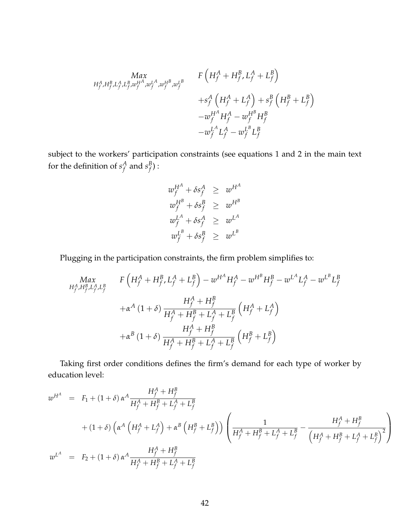$$
Max_{H_f^A, H_f^B, L_f^A, L_f^B, w_f^{HA}, w_f^{HA}, w_f^{HA}, w_f^{HA}} F\left(H_f^A + H_f^B, L_f^A + L_f^B\right) + s_f^A \left(H_f^A + L_f^A\right) + s_f^B \left(H_f^B + L_f^B\right) - w_f^{HA} H_f^A - w_f^{HA} H_f^B - w_f^{LA} L_f^A - w_f^{LB} L_f^B
$$

subject to the workers' participation constraints (see equations [1](#page-5-0) and [2](#page-5-1) in the main text for the definition of  $s_f^A$  $f_f^A$  and  $s_f^B$  $_f^{\mathcal{B}})$  :

$$
w_f^{H^A} + \delta s_f^A \geq w^{H^A}
$$
  
\n
$$
w_f^{H^B} + \delta s_f^B \geq w^{H^B}
$$
  
\n
$$
w_f^{L^A} + \delta s_f^A \geq w^{L^A}
$$
  
\n
$$
w_f^{L^B} + \delta s_f^B \geq w^{L^B}
$$

Plugging in the participation constraints, the firm problem simplifies to:

$$
Max_{H_f^A, H_f^B, L_f^A, L_f^B} F\left(H_f^A + H_f^B, L_f^A + L_f^B\right) - w^{H^A} H_f^A - w^{H^B} H_f^B - w^{L^A} L_f^A - w^{L^B} L_f^B
$$
  
+
$$
\alpha^A (1 + \delta) \frac{H_f^A + H_f^B}{H_f^A + H_f^B + L_f^A + L_f^B} \left(H_f^A + L_f^A\right)
$$
  
+
$$
\alpha^B (1 + \delta) \frac{H_f^A + H_f^B}{H_f^A + H_f^B + L_f^A + L_f^B} \left(H_f^B + L_f^B\right)
$$

Taking first order conditions defines the firm's demand for each type of worker by education level:

$$
w^{H^A} = F_1 + (1+\delta) \alpha^A \frac{H_f^A + H_f^B}{H_f^A + H_f^B + L_f^A + L_f^B}
$$
  
+ 
$$
(1+\delta) \left(\alpha^A \left(H_f^A + L_f^A\right) + \alpha^B \left(H_f^B + L_f^B\right)\right) \left(\frac{1}{H_f^A + H_f^B + L_f^A + L_f^B} - \frac{H_f^A + H_f^B}{\left(H_f^A + H_f^B + L_f^A + L_f^B\right)^2}\right)
$$
  

$$
w^{L^A} = F_2 + (1+\delta) \alpha^A \frac{H_f^A + H_f^B}{H_f^A + H_f^B + L_f^A + L_f^B}
$$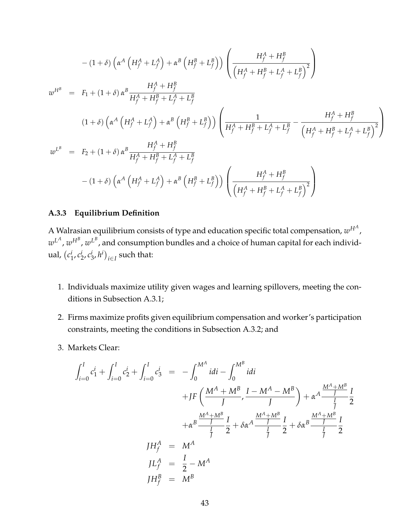$$
-(1+\delta)\left(\alpha^{A}\left(H_{f}^{A}+L_{f}^{A}\right)+\alpha^{B}\left(H_{f}^{B}+L_{f}^{B}\right)\right)\left(\frac{H_{f}^{A}+H_{f}^{B}}{\left(H_{f}^{A}+H_{f}^{B}+L_{f}^{A}+L_{f}^{B}\right)^{2}}\right)
$$
\n
$$
w^{H^{B}} = F_{1} + (1+\delta)\alpha^{B}\frac{H_{f}^{A}+H_{f}^{B}}{H_{f}^{A}+H_{f}^{B}+L_{f}^{A}+L_{f}^{B}}
$$
\n
$$
(1+\delta)\left(\alpha^{A}\left(H_{f}^{A}+L_{f}^{A}\right)+\alpha^{B}\left(H_{f}^{B}+L_{f}^{B}\right)\right)\left(\frac{1}{H_{f}^{A}+H_{f}^{B}+L_{f}^{A}+L_{f}^{B}}-\frac{H_{f}^{A}+H_{f}^{B}}{\left(H_{f}^{A}+H_{f}^{B}+L_{f}^{A}+L_{f}^{B}\right)^{2}}\right)
$$
\n
$$
w^{L^{B}} = F_{2} + (1+\delta)\alpha^{B}\frac{H_{f}^{A}+H_{f}^{B}}{H_{f}^{A}+H_{f}^{B}+L_{f}^{A}+L_{f}^{B}}
$$
\n
$$
-(1+\delta)\left(\alpha^{A}\left(H_{f}^{A}+L_{f}^{A}\right)+\alpha^{B}\left(H_{f}^{B}+L_{f}^{B}\right)\right)\left(\frac{H_{f}^{A}+H_{f}^{B}}{\left(H_{f}^{A}+H_{f}^{B}+L_{f}^{A}+L_{f}^{B}\right)^{2}}\right)
$$

## **A.3.3 Equilibrium Definition**

A Walrasian equilibrium consists of type and education specific total compensation,  $w^{H^A}$  ,  $w^{L^A}, w^{H^B}, w^{L^B}$ , and consumption bundles and a choice of human capital for each individual, *c i*  $i_1$ ,  $c_2^i$  $\frac{i}{2}$ ,  $c^i_{\tilde{z}}$  $\binom{i}{3}$ ,  $h^i$ )<sub>i∈I</sub> such that:

- 1. Individuals maximize utility given wages and learning spillovers, meeting the conditions in Subsection [A.3.1;](#page-40-0)
- 2. Firms maximize profits given equilibrium compensation and worker's participation constraints, meeting the conditions in Subsection [A.3.2;](#page-41-0) and
- 3. Markets Clear:

$$
\int_{i=0}^{I} c_1^{i} + \int_{i=0}^{I} c_2^{i} + \int_{i=0}^{I} c_3^{i} = -\int_{0}^{M^A} idi - \int_{0}^{M^B} idi
$$
  
+ 
$$
JF\left(\frac{M^A + M^B}{J}, \frac{I - M^A - M^B}{J}\right) + \alpha^A \frac{\frac{M^A + M^B}{J}}{\frac{I}{J}} \frac{I}{2}
$$
  
+ 
$$
\alpha^B \frac{\frac{M^A + M^B}{J}}{\frac{I}{J}} \frac{I}{2} + \delta \alpha^A \frac{\frac{M^A + M^B}{J}}{\frac{I}{J}} \frac{I}{2} + \delta \alpha^B \frac{\frac{M^A + M^B}{J}}{\frac{I}{J}} \frac{I}{2}
$$
  

$$
JH_f^A = M^A
$$
  

$$
JH_f^B = M^B
$$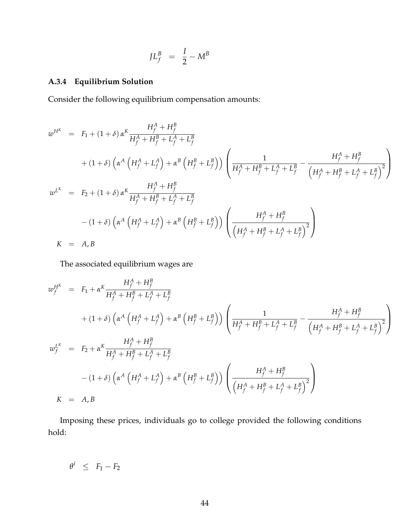$$
J L_f^B = \frac{I}{2} - M^B
$$

## **A.3.4 Equilibrium Solution**

Consider the following equilibrium compensation amounts:

$$
w^{H^K} = F_1 + (1 + \delta) \alpha^K \frac{H_f^A + H_f^B}{H_f^A + H_f^B + L_f^A + L_f^B}
$$
  
+ 
$$
(1 + \delta) \left( \alpha^A \left( H_f^A + L_f^A \right) + \alpha^B \left( H_f^B + L_f^B \right) \right) \left( \frac{1}{H_f^A + H_f^B + L_f^A + L_f^B} - \frac{H_f^A + H_f^B}{\left( H_f^A + H_f^B + L_f^A + L_f^B \right)^2} \right)
$$
  

$$
w^{L^K} = F_2 + (1 + \delta) \alpha^K \frac{H_f^A + H_f^B}{H_f^A + H_f^B + L_f^A + L_f^B}
$$
  
- 
$$
(1 + \delta) \left( \alpha^A \left( H_f^A + L_f^A \right) + \alpha^B \left( H_f^B + L_f^B \right) \right) \left( \frac{H_f^A + H_f^B}{\left( H_f^A + H_f^B + L_f^A + L_f^B \right)^2} \right)
$$
  

$$
K = A, B
$$

The associated equilibrium wages are

$$
w_f^{H^K} = F_1 + \alpha^K \frac{H_f^A + H_f^B}{H_f^A + H_f^B + L_f^A + L_f^B}
$$
  
+ 
$$
(1 + \delta) \left( \alpha^A \left( H_f^A + L_f^A \right) + \alpha^B \left( H_f^B + L_f^B \right) \right) \left( \frac{1}{H_f^A + H_f^B + L_f^A + L_f^B} - \frac{H_f^A + H_f^B}{\left( H_f^A + H_f^B + L_f^A + L_f^B \right)^2} \right)
$$
  

$$
w_f^{L^K} = F_2 + \alpha^K \frac{H_f^A + H_f^B}{H_f^A + H_f^B + L_f^A + L_f^B}
$$
  
- 
$$
(1 + \delta) \left( \alpha^A \left( H_f^A + L_f^A \right) + \alpha^B \left( H_f^B + L_f^B \right) \right) \left( \frac{H_f^A + H_f^B}{\left( H_f^A + H_f^B + L_f^A + L_f^B \right)^2} \right)
$$
  

$$
K = A, B
$$

Imposing these prices, individuals go to college provided the following conditions hold:

 $\theta^i \leq F_1 - F_2$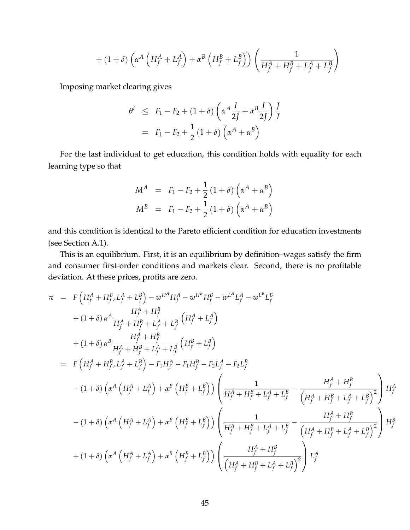$$
+(1+\delta)\left(\alpha^A\left(H_f^A+L_f^A\right)+\alpha^B\left(H_f^B+L_f^B\right)\right)\left(\frac{1}{H_f^A+H_f^B+L_f^A+L_f^B}\right)
$$

Imposing market clearing gives

$$
\theta^{i} \leq F_1 - F_2 + (1+\delta) \left( \alpha^{A} \frac{I}{2J} + \alpha^{B} \frac{I}{2J} \right) \frac{I}{I}
$$

$$
= F_1 - F_2 + \frac{1}{2} (1+\delta) \left( \alpha^{A} + \alpha^{B} \right)
$$

For the last individual to get education, this condition holds with equality for each learning type so that

$$
M^{A} = F_{1} - F_{2} + \frac{1}{2} (1 + \delta) (\alpha^{A} + \alpha^{B})
$$
  

$$
M^{B} = F_{1} - F_{2} + \frac{1}{2} (1 + \delta) (\alpha^{A} + \alpha^{B})
$$

and this condition is identical to the Pareto efficient condition for education investments (see Section [A.1\)](#page-34-0).

This is an equilibrium. First, it is an equilibrium by definition–wages satisfy the firm and consumer first-order conditions and markets clear. Second, there is no profitable deviation. At these prices, profits are zero.

$$
\pi = F\left(H_f^A + H_f^B, L_f^A + L_f^B\right) - w^{H^A} H_f^A - w^{H^B} H_f^B - w^{L^A} L_f^A - w^{L^B} L_f^B \n+ (1+\delta) \alpha^A \frac{H_f^A + H_f^B}{H_f^A + H_f^B + L_f^A + L_f^B} \left(H_f^A + L_f^A\right) \n+ (1+\delta) \alpha^B \frac{H_f^A + H_f^B}{H_f^A + H_f^B + L_f^A + L_f^B} \left(H_f^B + L_f^B\right) \n= F\left(H_f^A + H_f^B, L_f^A + L_f^B\right) - F_1 H_f^A - F_1 H_f^B - F_2 L_f^A - F_2 L_f^B \n- (1+\delta) \left(\alpha^A \left(H_f^A + L_f^A\right) + \alpha^B \left(H_f^B + L_f^B\right)\right) \left(\frac{1}{H_f^A + H_f^B + L_f^A + L_f^B} - \frac{H_f^A + H_f^B}{\left(H_f^A + H_f^B + L_f^A + L_f^B\right)^2}\right) H_f^A \n- (1+\delta) \left(\alpha^A \left(H_f^A + L_f^A\right) + \alpha^B \left(H_f^B + L_f^B\right)\right) \left(\frac{1}{H_f^A + H_f^B + L_f^A + L_f^B} - \frac{H_f^A + H_f^B}{\left(H_f^A + H_f^B + L_f^A + L_f^B\right)^2}\right) H_f^B \n+ (1+\delta) \left(\alpha^A \left(H_f^A + L_f^A\right) + \alpha^B \left(H_f^B + L_f^B\right)\right) \left(\frac{H_f^A + H_f^B}{\left(H_f^A + H_f^B + L_f^A + L_f^B\right)^2}\right) L_f^A
$$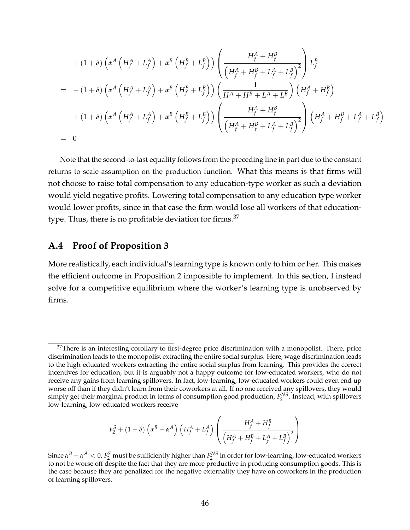$$
+ (1 + \delta) \left( \alpha^{A} \left( H_{f}^{A} + L_{f}^{A} \right) + \alpha^{B} \left( H_{f}^{B} + L_{f}^{B} \right) \right) \left( \frac{H_{f}^{A} + H_{f}^{B}}{\left( H_{f}^{A} + H_{f}^{B} + L_{f}^{A} + L_{f}^{B} \right)^{2}} \right) L_{f}^{B}
$$
\n
$$
= - (1 + \delta) \left( \alpha^{A} \left( H_{f}^{A} + L_{f}^{A} \right) + \alpha^{B} \left( H_{f}^{B} + L_{f}^{B} \right) \right) \left( \frac{1}{H^{A} + H^{B} + L^{A} + L^{B}} \right) \left( H_{f}^{A} + H_{f}^{B} \right)
$$
\n
$$
+ (1 + \delta) \left( \alpha^{A} \left( H_{f}^{A} + L_{f}^{A} \right) + \alpha^{B} \left( H_{f}^{B} + L_{f}^{B} \right) \right) \left( \frac{H_{f}^{A} + H_{f}^{B}}{\left( H_{f}^{A} + H_{f}^{B} + L_{f}^{A} + L_{f}^{B} \right)^{2}} \right) \left( H_{f}^{A} + H_{f}^{B} + L_{f}^{A} + L_{f}^{B} \right)
$$
\n
$$
= 0
$$

Note that the second-to-last equality follows from the preceding line in part due to the constant returns to scale assumption on the production function. What this means is that firms will not choose to raise total compensation to any education-type worker as such a deviation would yield negative profits. Lowering total compensation to any education type worker would lower profits, since in that case the firm would lose all workers of that education-type. Thus, there is no profitable deviation for firms.<sup>[37](#page-0-0)</sup>

## **A.4 Proof of Proposition [3](#page-10-0)**

More realistically, each individual's learning type is known only to him or her. This makes the efficient outcome in Proposition [2](#page-8-0) impossible to implement. In this section, I instead solve for a competitive equilibrium where the worker's learning type is unobserved by firms.

$$
F_2^S + \left(1+\delta\right)\left(\alpha^B - \alpha^A\right)\left(H_f^A + L_f^A\right)\left(\frac{H_f^A + H_f^B}{\left(H_f^A + H_f^B + L_f^A + L_f^B\right)^2}\right)
$$

 $37$ There is an interesting corollary to first-degree price discrimination with a monopolist. There, price discrimination leads to the monopolist extracting the entire social surplus. Here, wage discrimination leads to the high-educated workers extracting the entire social surplus from learning. This provides the correct incentives for education, but it is arguably not a happy outcome for low-educated workers, who do not receive any gains from learning spillovers. In fact, low-learning, low-educated workers could even end up worse off than if they didn't learn from their coworkers at all. If no one received any spillovers, they would simply get their marginal product in terms of consumption good production,  $F_2^{NS}$ . Instead, with spillovers low-learning, low-educated workers receive

Since  $\alpha^B-\alpha^A < 0$ ,  $F_2^S$  must be sufficiently higher than  $F_2^{NS}$  in order for low-learning, low-educated workers to not be worse off despite the fact that they are more productive in producing consumption goods. This is the case because they are penalized for the negative externality they have on coworkers in the production of learning spillovers.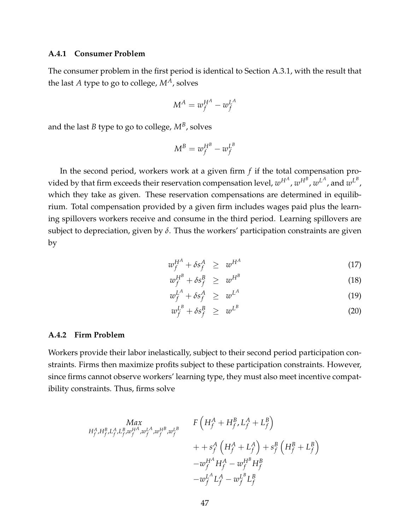## <span id="page-47-0"></span>**A.4.1 Consumer Problem**

The consumer problem in the first period is identical to Section [A.3.1,](#page-40-0) with the result that the last *A* type to go to college,  $M^A$ , solves

$$
M^A = w^{H^A}_f - w^{L^A}_f
$$

and the last  $B$  type to go to college,  $M^B$ , solves

$$
M^B = w_f^{H^B} - w_f^{L^B}
$$

In the second period, workers work at a given firm *f* if the total compensation provided by that firm exceeds their reservation compensation level,  $w^{H^A}$ ,  $w^{H^B}$ ,  $w^{L^A}$ , and  $w^{L^B}$ , which they take as given. These reservation compensations are determined in equilibrium. Total compensation provided by a given firm includes wages paid plus the learning spillovers workers receive and consume in the third period. Learning spillovers are subject to depreciation, given by *δ*. Thus the workers' participation constraints are given by

$$
w_f^{H^A} + \delta s_f^A \geq w^{H^A} \tag{17}
$$

$$
w_f^{H^B} + \delta s_f^B \geq w^{H^B} \tag{18}
$$

$$
w_f^{L^A} + \delta s_f^A \geq w^{L^A} \tag{19}
$$

$$
w_f^{L^B} + \delta s_f^B \geq w^{L^B} \tag{20}
$$

#### <span id="page-47-1"></span>**A.4.2 Firm Problem**

Workers provide their labor inelastically, subject to their second period participation constraints. Firms then maximize profits subject to these participation constraints. However, since firms cannot observe workers' learning type, they must also meet incentive compatibility constraints. Thus, firms solve

$$
Max\n\begin{array}{l}\nMax \\
H_f^A, H_f^B, L_f^A, L_f^B, w_f^{HA}, w_f^{HA}, w_f^{HB}, w_f^{LB} \\
+ + s_f^A \left( H_f^A + L_f^A \right) + s_f^B \left( H_f^B + L_f^B \right) \\
-u_f^{HA} H_f^A - w_f^{HB} H_f^B \\
-w_f^{HA} L_f^A - w_f^{LB} L_f^B\n\end{array}
$$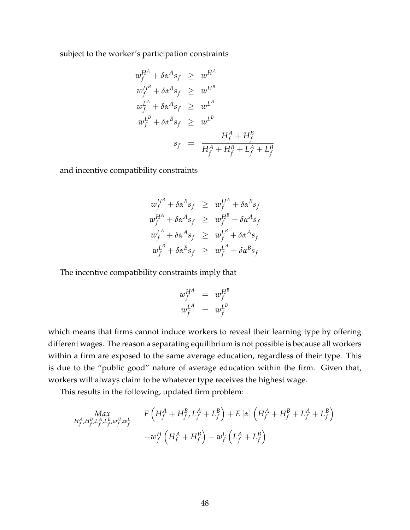subject to the worker's participation constraints

$$
w_f^{H^A} + \delta \alpha^A s_f \geq w^{H^A}
$$
  
\n
$$
w_f^{H^B} + \delta \alpha^B s_f \geq w^{H^B}
$$
  
\n
$$
w_f^{L^A} + \delta \alpha^A s_f \geq w^{L^A}
$$
  
\n
$$
w_f^{L^B} + \delta \alpha^B s_f \geq w^{L^B}
$$
  
\n
$$
s_f = \frac{H_f^A + H_f^B}{H_f^A + H_f^B + L_f^A + L_f^B}
$$

and incentive compatibility constraints

$$
w_f^{H^B} + \delta \alpha^B s_f \geq w_f^{H^A} + \delta \alpha^B s_f
$$
  
\n
$$
w_f^{H^A} + \delta \alpha^A s_f \geq w_f^{H^B} + \delta \alpha^A s_f
$$
  
\n
$$
w_f^{L^A} + \delta \alpha^A s_f \geq w_f^{L^B} + \delta \alpha^A s_f
$$
  
\n
$$
w_f^{L^B} + \delta \alpha^B s_f \geq w_f^{L^A} + \delta \alpha^B s_f
$$

The incentive compatibility constraints imply that

$$
w_f^{H^A} = w_f^{H^B}
$$
  

$$
w_f^{L^A} = w_f^{L^B}
$$

which means that firms cannot induce workers to reveal their learning type by offering different wages. The reason a separating equilibrium is not possible is because all workers within a firm are exposed to the same average education, regardless of their type. This is due to the "public good" nature of average education within the firm. Given that, workers will always claim to be whatever type receives the highest wage.

This results in the following, updated firm problem:

$$
Max_{H_f^A, H_f^B, L_f^A, L_f^B, w_f^L} F\left(H_f^A + H_f^B, L_f^A + L_f^B\right) + E\left[\alpha\right] \left(H_f^A + H_f^B + L_f^A + L_f^B\right)
$$

$$
- w_f^H \left(H_f^A + H_f^B\right) - w_f^L \left(L_f^A + L_f^B\right)
$$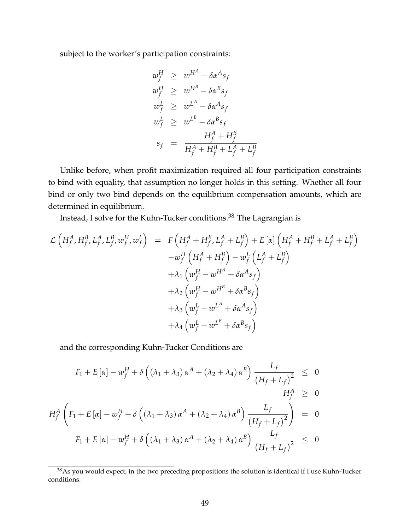subject to the worker's participation constraints:

$$
w_f^H \geq w^{H^A} - \delta \alpha^A s_f
$$
  
\n
$$
w_f^H \geq w^{H^B} - \delta \alpha^B s_f
$$
  
\n
$$
w_f^L \geq w^{L^A} - \delta \alpha^A s_f
$$
  
\n
$$
w_f^L \geq w^{L^B} - \delta \alpha^B s_f
$$
  
\n
$$
s_f = \frac{H_f^A + H_f^B}{H_f^A + H_f^B + L_f^A + L_f^B}
$$

Unlike before, when profit maximization required all four participation constraints to bind with equality, that assumption no longer holds in this setting. Whether all four bind or only two bind depends on the equilibrium compensation amounts, which are determined in equilibrium.

Instead, I solve for the Kuhn-Tucker conditions.[38](#page-0-0) The Lagrangian is

$$
\mathcal{L}\left(H_f^A, H_f^B, L_f^A, L_f^B, w_f^H, w_f^L\right) = F\left(H_f^A + H_f^B, L_f^A + L_f^B\right) + E\left[\alpha\right]\left(H_f^A + H_f^B + L_f^A + L_f^B\right) \n- w_f^H\left(H_f^A + H_f^B\right) - w_f^L\left(L_f^A + L_f^B\right) \n+ \lambda_1\left(w_f^H - w^{H^A} + \delta\alpha^A s_f\right) \n+ \lambda_2\left(w_f^H - w^{H^B} + \delta\alpha^B s_f\right) \n+ \lambda_3\left(w_f^L - w^{L^A} + \delta\alpha^A s_f\right) \n+ \lambda_4\left(w_f^L - w^{L^B} + \delta\alpha^B s_f\right)
$$

and the corresponding Kuhn-Tucker Conditions are

$$
F_1 + E[\alpha] - w_f^H + \delta\left((\lambda_1 + \lambda_3) \alpha^A + (\lambda_2 + \lambda_4) \alpha^B\right) \frac{L_f}{\left(H_f + L_f\right)^2} \leq 0
$$
  
\n
$$
H_f^A \left(F_1 + E[\alpha] - w_f^H + \delta\left((\lambda_1 + \lambda_3) \alpha^A + (\lambda_2 + \lambda_4) \alpha^B\right) \frac{L_f}{\left(H_f + L_f\right)^2}\right) = 0
$$
  
\n
$$
F_1 + E[\alpha] - w_f^H + \delta\left((\lambda_1 + \lambda_3) \alpha^A + (\lambda_2 + \lambda_4) \alpha^B\right) \frac{L_f}{\left(H_f + L_f\right)^2} \leq 0
$$

<sup>38</sup>As you would expect, in the two preceding propositions the solution is identical if I use Kuhn-Tucker conditions.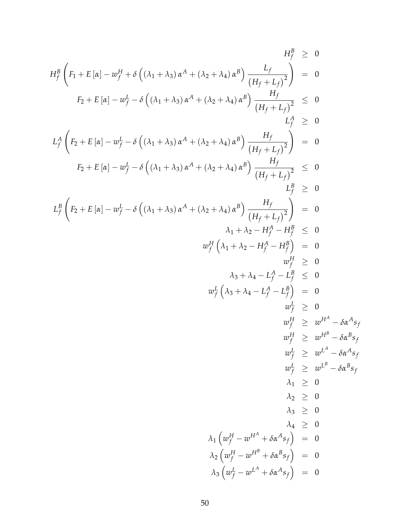$$
H_f^B \left(F_1 + E[\alpha] - w_f^H + \delta \left((\lambda_1 + \lambda_3) \alpha^A + (\lambda_2 + \lambda_4) \alpha^B\right) \frac{L_f}{(H_f + L_f)^2}\right) = 0
$$
  
\n
$$
F_2 + E[\alpha] - w_f^L - \delta \left((\lambda_1 + \lambda_3) \alpha^A + (\lambda_2 + \lambda_4) \alpha^B\right) \frac{H_f}{(H_f + L_f)^2} \leq 0
$$
  
\n
$$
L_f^A \left(F_2 + E[\alpha] - w_f^L - \delta \left((\lambda_1 + \lambda_3) \alpha^A + (\lambda_2 + \lambda_4) \alpha^B\right) \frac{H_f}{(H_f + L_f)^2}\right) = 0
$$
  
\n
$$
F_2 + E[\alpha] - w_f^L - \delta \left((\lambda_1 + \lambda_3) \alpha^A + (\lambda_2 + \lambda_4) \alpha^B\right) \frac{H_f}{(H_f + L_f)^2} \leq 0
$$
  
\n
$$
L_f^B \left(F_2 + E[\alpha] - w_f^L - \delta \left((\lambda_1 + \lambda_3) \alpha^A + (\lambda_2 + \lambda_4) \alpha^B\right) \frac{H_f}{(H_f + L_f)^2}\right) = 0
$$
  
\n
$$
\lambda_1 + \lambda_2 - H_f^A - H_f^B \leq 0
$$
  
\n
$$
w_f^H \left(\lambda_1 + \lambda_2 - H_f^A - H_f^B\right) = 0
$$
  
\n
$$
\lambda_3 + \lambda_4 - L_f^A - L_f^B \leq 0
$$
  
\n
$$
w_f^H \geq w^H - \delta \alpha^A s_f
$$
  
\n
$$
w_f^H \geq w^H - \delta \alpha^A s_f
$$
  
\n
$$
w_f^H \geq w^H - \delta \alpha^A s_f
$$
  
\n
$$
w_f^H \geq w^H - \delta \alpha^B s_f
$$
  
\n
$$
w_f^H \geq w^H - \delta \alpha^B s_f
$$
  
\n
$$
\lambda_1 \geq 0
$$
  
\n
$$
\lambda_2 \geq 0
$$
  
\n
$$
\lambda_3 \geq 0
$$
  
\n<math display="</math>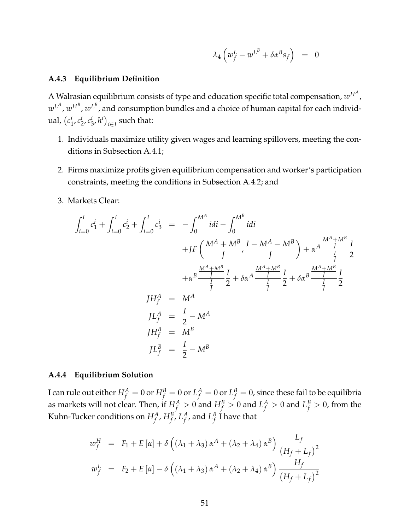$$
\lambda_4 \left( w_f^L - w^{L^B} + \delta \alpha^B s_f \right) = 0
$$

## **A.4.3 Equilibrium Definition**

A Walrasian equilibrium consists of type and education specific total compensation*,*  $w^{H^A}$  *,*  $w^{L^A}, w^{H^B}, w^{L^B}$ , and consumption bundles and a choice of human capital for each individual, *c i*  $i_1$ ,  $c_2^i$  $\frac{i}{2}$ ,  $c^i_{\tilde{z}}$  $\binom{i}{3}$ ,  $h^i$ )<sub>i∈I</sub> such that:

- 1. Individuals maximize utility given wages and learning spillovers, meeting the conditions in Subsection [A.4.1;](#page-47-0)
- 2. Firms maximize profits given equilibrium compensation and worker's participation constraints, meeting the conditions in Subsection [A.4.2;](#page-47-1) and
- 3. Markets Clear:

$$
\int_{i=0}^{I} c_1^{i} + \int_{i=0}^{I} c_2^{i} + \int_{i=0}^{I} c_3^{i} = -\int_0^{M^A} i \, di - \int_0^{M^B} i \, di
$$
\n
$$
+ JF\left(\frac{M^A + M^B}{J}, \frac{I - M^A - M^B}{J}\right) + \alpha^A \frac{\frac{M^A + M^B}{J}}{\frac{I}{J}} \frac{I}{2}
$$
\n
$$
+ \alpha^B \frac{\frac{M^A + M^B}{J}}{\frac{I}{J}} \frac{I}{2} + \delta \alpha^A \frac{\frac{M^A + M^B}{J}}{\frac{I}{J}} \frac{I}{2} + \delta \alpha^B \frac{\frac{M^A + M^B}{J}}{\frac{I}{J}} \frac{I}{2}
$$
\n
$$
J H_f^A = M^A
$$
\n
$$
J L_f^A = \frac{I}{2} - M^A
$$
\n
$$
J L_f^B = \frac{I}{2} - M^B
$$

## **A.4.4 Equilibrium Solution**

I can rule out either  $H_f^A=0$  or  $H_f^B=0$  or  $L_f^A=0$  or  $L_f^B=0$ , since these fail to be equilibria as markets will not clear. Then, if  $H_f^A > 0$  and  $H_f^B > 0$  and  $L_f^A > 0$  and  $L_f^B > 0$ , from the Kuhn-Tucker conditions on  $H_f^A$ ,  $H_f^B$ ,  $L_f^A$  $f^A_f$ , and  $L^B_f$  $^{\mathcal{B}}_f$  I have that

$$
w_f^H = F_1 + E[\alpha] + \delta \left( (\lambda_1 + \lambda_3) \alpha^A + (\lambda_2 + \lambda_4) \alpha^B \right) \frac{L_f}{\left( H_f + L_f \right)^2}
$$
  

$$
w_f^L = F_2 + E[\alpha] - \delta \left( (\lambda_1 + \lambda_3) \alpha^A + (\lambda_2 + \lambda_4) \alpha^B \right) \frac{H_f}{\left( H_f + L_f \right)^2}
$$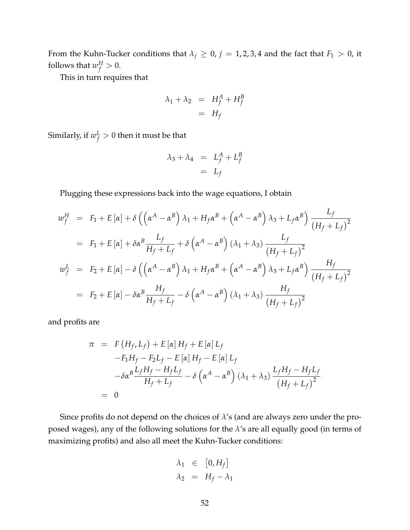From the Kuhn-Tucker conditions that  $\lambda_j \geq 0$ ,  $j = 1, 2, 3, 4$  and the fact that  $F_1 > 0$ , it follows that  $w_f^H > 0$ .

This in turn requires that

$$
\lambda_1 + \lambda_2 = H_f^A + H_f^B
$$

$$
= H_f
$$

Similarly, if  $w_f^L > 0$  then it must be that

$$
\lambda_3 + \lambda_4 = L_f^A + L_f^B
$$
  
=  $L_f$ 

Plugging these expressions back into the wage equations, I obtain

$$
w_f^H = F_1 + E[\alpha] + \delta \left( \left( \alpha^A - \alpha^B \right) \lambda_1 + H_f \alpha^B + \left( \alpha^A - \alpha^B \right) \lambda_3 + L_f \alpha^B \right) \frac{L_f}{\left( H_f + L_f \right)^2}
$$
  
\n
$$
= F_1 + E[\alpha] + \delta \alpha^B \frac{L_f}{H_f + L_f} + \delta \left( \alpha^A - \alpha^B \right) (\lambda_1 + \lambda_3) \frac{L_f}{\left( H_f + L_f \right)^2}
$$
  
\n
$$
w_f^L = F_2 + E[\alpha] - \delta \left( \left( \alpha^A - \alpha^B \right) \lambda_1 + H_f \alpha^B + \left( \alpha^A - \alpha^B \right) \lambda_3 + L_f \alpha^B \right) \frac{H_f}{\left( H_f + L_f \right)^2}
$$
  
\n
$$
= F_2 + E[\alpha] - \delta \alpha^B \frac{H_f}{H_f + L_f} - \delta \left( \alpha^A - \alpha^B \right) (\lambda_1 + \lambda_3) \frac{H_f}{\left( H_f + L_f \right)^2}
$$

and profits are

$$
\pi = F(H_f, L_f) + E[\alpha] H_f + E[\alpha] L_f
$$
  
\n
$$
-F_1 H_f - F_2 L_f - E[\alpha] H_f - E[\alpha] L_f
$$
  
\n
$$
- \delta \alpha^B \frac{L_f H_f - H_f L_f}{H_f + L_f} - \delta (\alpha^A - \alpha^B) (\lambda_1 + \lambda_3) \frac{L_f H_f - H_f L_f}{(H_f + L_f)^2}
$$
  
\n= 0

Since profits do not depend on the choices of *λ*'s (and are always zero under the proposed wages), any of the following solutions for the *λ*'s are all equally good (in terms of maximizing profits) and also all meet the Kuhn-Tucker conditions:

$$
\lambda_1 \in [0, H_f]
$$
  

$$
\lambda_2 = H_f - \lambda_1
$$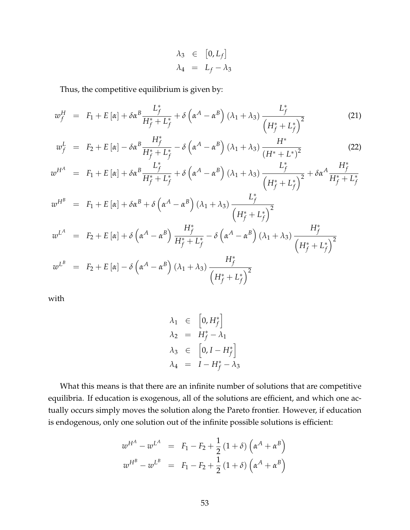$$
\lambda_3 \in [0, L_f]
$$
  

$$
\lambda_4 = L_f - \lambda_3
$$

Thus, the competitive equilibrium is given by:

$$
w_f^H = F_1 + E[\alpha] + \delta \alpha^B \frac{L_f^*}{H_f^* + L_f^*} + \delta \left(\alpha^A - \alpha^B\right) (\lambda_1 + \lambda_3) \frac{L_f^*}{\left(H_f^* + L_f^*\right)^2}
$$
(21)

$$
w_f^L = F_2 + E\left[\alpha\right] - \delta \alpha^B \frac{H_f^*}{H_f^* + L_f^*} - \delta \left(\alpha^A - \alpha^B\right) \left(\lambda_1 + \lambda_3\right) \frac{H^*}{\left(H^* + L^*\right)^2}
$$
(22)

$$
w^{H^A} = F_1 + E[\alpha] + \delta \alpha^B \frac{L_f^*}{H_f^* + L_f^*} + \delta (\alpha^A - \alpha^B) (\lambda_1 + \lambda_3) \frac{L_f^*}{(H_f^* + L_f^*)^2} + \delta \alpha^A \frac{H_f^*}{H_f^* + L_f^*}
$$
  
\n
$$
w^{H^B} = F_1 + E[\alpha] + \delta \alpha^B + \delta (\alpha^A - \alpha^B) (\lambda_1 + \lambda_3) \frac{L_f^*}{(H_f^* + L_f^*)^2}
$$
  
\n
$$
w^{L^A} = F_2 + E[\alpha] + \delta (\alpha^A - \alpha^B) \frac{H_f^*}{H_f^* + L_f^*} - \delta (\alpha^A - \alpha^B) (\lambda_1 + \lambda_3) \frac{H_f^*}{(H_f^* + L_f^*)^2}
$$
  
\n
$$
w^{L^B} = F_2 + E[\alpha] - \delta (\alpha^A - \alpha^B) (\lambda_1 + \lambda_3) \frac{H_f^*}{(H_f^* + L_f^*)^2}
$$

with

$$
\lambda_1 \in [0, H_f^*]
$$
  
\n
$$
\lambda_2 = H_f^* - \lambda_1
$$
  
\n
$$
\lambda_3 \in [0, I - H_f^*]
$$
  
\n
$$
\lambda_4 = I - H_f^* - \lambda_3
$$

What this means is that there are an infinite number of solutions that are competitive equilibria. If education is exogenous, all of the solutions are efficient, and which one actually occurs simply moves the solution along the Pareto frontier. However, if education is endogenous, only one solution out of the infinite possible solutions is efficient:

$$
w^{H^A} - w^{L^A} = F_1 - F_2 + \frac{1}{2} (1 + \delta) \left( \alpha^A + \alpha^B \right)
$$
  

$$
w^{H^B} - w^{L^B} = F_1 - F_2 + \frac{1}{2} (1 + \delta) \left( \alpha^A + \alpha^B \right)
$$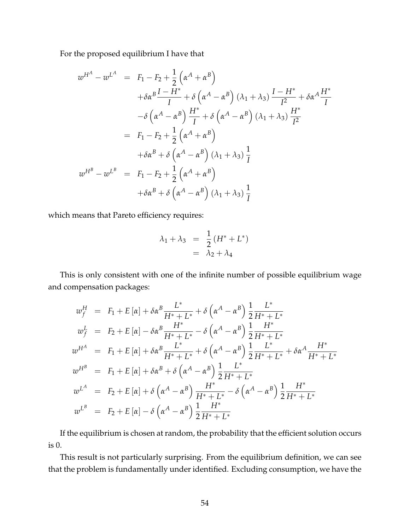For the proposed equilibrium I have that

$$
w^{H^A} - w^{L^A} = F_1 - F_2 + \frac{1}{2} \left( \alpha^A + \alpha^B \right)
$$
  
+  $\delta \alpha^B \frac{I - H^*}{I} + \delta \left( \alpha^A - \alpha^B \right) (\lambda_1 + \lambda_3) \frac{I - H^*}{I^2} + \delta \alpha^A \frac{H^*}{I}$   
-  $\delta \left( \alpha^A - \alpha^B \right) \frac{H^*}{I} + \delta \left( \alpha^A - \alpha^B \right) (\lambda_1 + \lambda_3) \frac{H^*}{I^2}$   
=  $F_1 - F_2 + \frac{1}{2} \left( \alpha^A + \alpha^B \right)$   
+  $\delta \alpha^B + \delta \left( \alpha^A - \alpha^B \right) (\lambda_1 + \lambda_3) \frac{1}{I}$   

$$
w^{H^B} - w^{L^B} = F_1 - F_2 + \frac{1}{2} \left( \alpha^A + \alpha^B \right)
$$
  
+  $\delta \alpha^B + \delta \left( \alpha^A - \alpha^B \right) (\lambda_1 + \lambda_3) \frac{1}{I}$ 

which means that Pareto efficiency requires:

$$
\lambda_1 + \lambda_3 = \frac{1}{2} (H^* + L^*)
$$
  
= 
$$
\lambda_2 + \lambda_4
$$

This is only consistent with one of the infinite number of possible equilibrium wage and compensation packages:

$$
w_{f}^{H} = F_{1} + E[\alpha] + \delta \alpha^{B} \frac{L^{*}}{H^{*} + L^{*}} + \delta (\alpha^{A} - \alpha^{B}) \frac{1}{2} \frac{L^{*}}{H^{*} + L^{*}}
$$
  
\n
$$
w_{f}^{L} = F_{2} + E[\alpha] - \delta \alpha^{B} \frac{H^{*}}{H^{*} + L^{*}} - \delta (\alpha^{A} - \alpha^{B}) \frac{1}{2} \frac{H^{*}}{H^{*} + L^{*}}
$$
  
\n
$$
w^{H^{A}} = F_{1} + E[\alpha] + \delta \alpha^{B} \frac{L^{*}}{H^{*} + L^{*}} + \delta (\alpha^{A} - \alpha^{B}) \frac{1}{2} \frac{L^{*}}{H^{*} + L^{*}} + \delta \alpha^{A} \frac{H^{*}}{H^{*} + L^{*}}
$$
  
\n
$$
w^{H^{B}} = F_{1} + E[\alpha] + \delta \alpha^{B} + \delta (\alpha^{A} - \alpha^{B}) \frac{1}{2} \frac{L^{*}}{H^{*} + L^{*}}
$$
  
\n
$$
w^{L^{A}} = F_{2} + E[\alpha] + \delta (\alpha^{A} - \alpha^{B}) \frac{H^{*}}{H^{*} + L^{*}} - \delta (\alpha^{A} - \alpha^{B}) \frac{1}{2} \frac{H^{*}}{H^{*} + L^{*}}
$$
  
\n
$$
w^{L^{B}} = F_{2} + E[\alpha] - \delta (\alpha^{A} - \alpha^{B}) \frac{1}{2} \frac{H^{*}}{H^{*} + L^{*}}
$$

If the equilibrium is chosen at random, the probability that the efficient solution occurs is 0.

This result is not particularly surprising. From the equilibrium definition, we can see that the problem is fundamentally under identified. Excluding consumption, we have the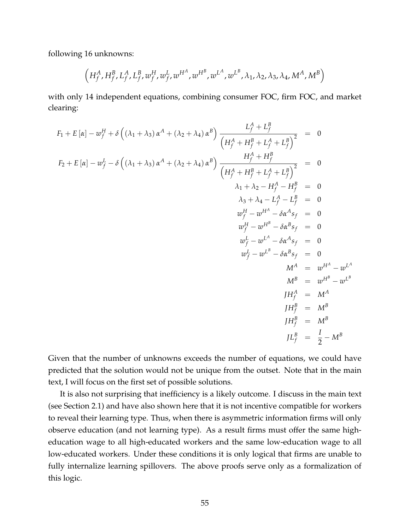following 16 unknowns:

$$
\left(H_f^A,H_f^B,L_f^A,L_f^B,w_f^H,w_f^L,w^{H^A},w^{H^B},w^{L^A},w^{L^B},\lambda_1,\lambda_2,\lambda_3,\lambda_4,M^A,M^B\right)
$$

with only 14 independent equations, combining consumer FOC, firm FOC, and market clearing:

$$
F_1 + E[\alpha] - w_f^H + \delta \left( (\lambda_1 + \lambda_3) \alpha^A + (\lambda_2 + \lambda_4) \alpha^B \right) \frac{L_f^A + L_f^B}{\left( H_f^A + H_f^B + L_f^A + L_f^B \right)^2} = 0
$$
  
\n
$$
F_2 + E[\alpha] - w_f^L - \delta \left( (\lambda_1 + \lambda_3) \alpha^A + (\lambda_2 + \lambda_4) \alpha^B \right) \frac{H_f^A + H_f^B}{\left( H_f^A + H_f^B + L_f^A + L_f^B \right)^2} = 0
$$
  
\n
$$
\lambda_1 + \lambda_2 - H_f^A - H_f^B = 0
$$
  
\n
$$
\lambda_3 + \lambda_4 - L_f^A - L_f^B = 0
$$
  
\n
$$
w_f^H - w^{H^A} - \delta \alpha^A s_f = 0
$$
  
\n
$$
w_f^H - w^{H^A} - \delta \alpha^A s_f = 0
$$
  
\n
$$
w_f^L - w^{L^B} - \delta \alpha^B s_f = 0
$$
  
\n
$$
W_f^A = w^{H^A} - w^{L^B}
$$
  
\n
$$
M^A = w^{H^A} - w^{L^B}
$$
  
\n
$$
M^B = w^{H^B} - w^{L^B}
$$
  
\n
$$
H_f^B = M^A
$$
  
\n
$$
H_f^B = M^B
$$
  
\n
$$
J H_f^B = M^B
$$
  
\n
$$
J H_f^B = M^B
$$
  
\n
$$
J H_f^B = M^B
$$

Given that the number of unknowns exceeds the number of equations, we could have predicted that the solution would not be unique from the outset. Note that in the main text, I will focus on the first set of possible solutions.

It is also not surprising that inefficiency is a likely outcome. I discuss in the main text (see Section [2.1\)](#page-7-0) and have also shown here that it is not incentive compatible for workers to reveal their learning type. Thus, when there is asymmetric information firms will only observe education (and not learning type). As a result firms must offer the same higheducation wage to all high-educated workers and the same low-education wage to all low-educated workers. Under these conditions it is only logical that firms are unable to fully internalize learning spillovers. The above proofs serve only as a formalization of this logic.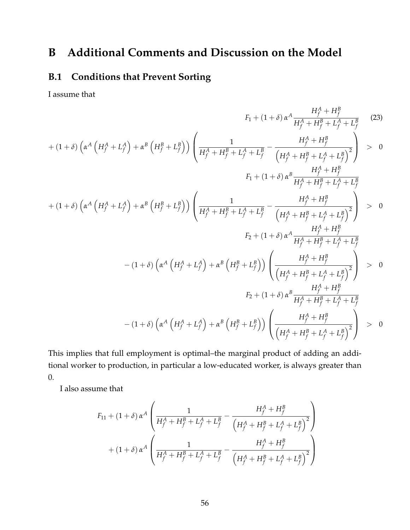# **B Additional Comments and Discussion on the Model**

## **B.1 Conditions that Prevent Sorting**

I assume that

<span id="page-56-0"></span>
$$
F_{1} + (1 + \delta) \alpha^{A} \frac{H_{f}^{A} + H_{f}^{B}}{H_{f}^{A} + H_{f}^{B} + L_{f}^{A} + L_{f}^{B}} \qquad (23)
$$
  
+ 
$$
(1 + \delta) \left(\alpha^{A} \left(H_{f}^{A} + L_{f}^{A}\right) + \alpha^{B} \left(H_{f}^{B} + L_{f}^{B}\right)\right) \left(\frac{1}{H_{f}^{A} + H_{f}^{B} + L_{f}^{A} + L_{f}^{B}} - \frac{H_{f}^{A} + H_{f}^{B}}{\left(H_{f}^{A} + H_{f}^{B} + L_{f}^{A} + L_{f}^{B}\right)^{2}}\right) > 0
$$
  

$$
F_{1} + (1 + \delta) \alpha^{B} \frac{H_{f}^{A} + H_{f}^{B}}{H_{f}^{A} + H_{f}^{B} + L_{f}^{A} + L_{f}^{B}}
$$
  
+ 
$$
(1 + \delta) \left(\alpha^{A} \left(H_{f}^{A} + L_{f}^{A}\right) + \alpha^{B} \left(H_{f}^{B} + L_{f}^{B}\right)\right) \left(\frac{1}{H_{f}^{A} + H_{f}^{B} + L_{f}^{A} + L_{f}^{B}} - \frac{H_{f}^{A} + H_{f}^{B}}{\left(H_{f}^{A} + H_{f}^{B} + L_{f}^{A} + L_{f}^{B}\right)^{2}}\right) > 0
$$
  

$$
F_{2} + (1 + \delta) \alpha^{A} \frac{H_{f}^{A} + H_{f}^{B}}{H_{f}^{A} + H_{f}^{B} + L_{f}^{A} + L_{f}^{B}}
$$
  
- 
$$
(1 + \delta) \left(\alpha^{A} \left(H_{f}^{A} + L_{f}^{A}\right) + \alpha^{B} \left(H_{f}^{B} + L_{f}^{B}\right)\right) \left(\frac{H_{f}^{A} + H_{f}^{B}}{\left(H_{f}^{A} + H_{f}^{B} + L_{f}^{A} + L_{f}^{B}\right)^{2}}\right) > 0
$$
  

$$
F_{2} + (1 + \delta) \alpha^{B} \frac{H_{f}^{A} + H_{f}^{B}}{H_{f}^{A} + H_{f}^{B} + L_{f
$$

This implies that full employment is optimal–the marginal product of adding an additional worker to production, in particular a low-educated worker, is always greater than 0.

I also assume that

$$
F_{11} + (1 + \delta) \alpha^{A} \left( \frac{1}{H_{f}^{A} + H_{f}^{B} + L_{f}^{A} + L_{f}^{B}} - \frac{H_{f}^{A} + H_{f}^{B}}{\left(H_{f}^{A} + H_{f}^{B} + L_{f}^{A} + L_{f}^{B}\right)^{2}} \right) + (1 + \delta) \alpha^{A} \left( \frac{1}{H_{f}^{A} + H_{f}^{B} + L_{f}^{A} + L_{f}^{B}} - \frac{H_{f}^{A} + H_{f}^{B}}{\left(H_{f}^{A} + H_{f}^{B} + L_{f}^{A} + L_{f}^{B}\right)^{2}} \right)
$$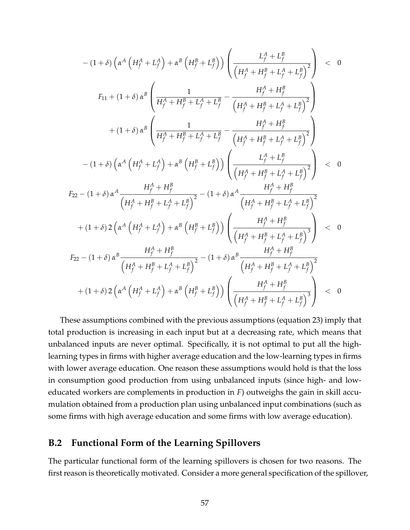$$
-(1+\delta)\left(\alpha^{A}\left(H_{f}^{A}+L_{f}^{A}\right)+\alpha^{B}\left(H_{f}^{B}+L_{f}^{B}\right)\right)\left(\frac{L_{f}^{A}+L_{f}^{B}}{\left(H_{f}^{A}+H_{f}^{B}+L_{f}^{A}+L_{f}^{B}\right)^{2}}\right) < 0
$$
  
\n
$$
F_{11}+(1+\delta)\alpha^{B}\left(\frac{1}{H_{f}^{A}+H_{f}^{B}+L_{f}^{A}+L_{f}^{B}}-\frac{H_{f}^{A}+H_{f}^{B}}{\left(H_{f}^{A}+H_{f}^{B}+L_{f}^{A}+L_{f}^{B}\right)^{2}}\right) \n+(1+\delta)\alpha^{B}\left(\frac{1}{H_{f}^{A}+H_{f}^{B}+L_{f}^{A}+L_{f}^{B}}-\frac{H_{f}^{A}+H_{f}^{B}}{\left(H_{f}^{A}+H_{f}^{B}+L_{f}^{A}+L_{f}^{B}\right)^{2}}\right) \n-(1+\delta)\left(\alpha^{A}\left(H_{f}^{A}+L_{f}^{A}\right)+\alpha^{B}\left(H_{f}^{B}+L_{f}^{B}\right)\right)\left(\frac{L_{f}^{A}+L_{f}^{B}}{\left(H_{f}^{A}+H_{f}^{B}+L_{f}^{A}+L_{f}^{B}\right)^{2}}\right) < 0
$$
  
\n
$$
F_{22}-(1+\delta)\alpha^{A}\frac{H_{f}^{A}+H_{f}^{B}}{\left(H_{f}^{A}+H_{f}^{B}+L_{f}^{A}+L_{f}^{B}\right)^{2}}-(1+\delta)\alpha^{A}\frac{H_{f}^{A}+H_{f}^{B}}{\left(H_{f}^{A}+H_{f}^{B}+L_{f}^{A}+L_{f}^{B}\right)^{2}} \n+(1+\delta)2\left(\alpha^{A}\left(H_{f}^{A}+L_{f}^{A}\right)+\alpha^{B}\left(H_{f}^{B}+L_{f}^{B}\right)\right)\left(\frac{H_{f}^{A}+H_{f}^{B}+L_{f}^{A}+L_{f}^{B}\right)^{3}}{\left(H_{f}^{A}+H_{f}^{B}+L_{f}^{A}+L_{f}^{B}\right)^{3}}\right) < 0
$$

These assumptions combined with the previous assumptions (equation [23\)](#page-56-0) imply that total production is increasing in each input but at a decreasing rate, which means that unbalanced inputs are never optimal. Specifically, it is not optimal to put all the highlearning types in firms with higher average education and the low-learning types in firms with lower average education. One reason these assumptions would hold is that the loss in consumption good production from using unbalanced inputs (since high- and loweducated workers are complements in production in *F*) outweighs the gain in skill accumulation obtained from a production plan using unbalanced input combinations (such as some firms with high average education and some firms with low average education).

## **B.2 Functional Form of the Learning Spillovers**

The particular functional form of the learning spillovers is chosen for two reasons. The first reason is theoretically motivated. Consider a more general specification of the spillover,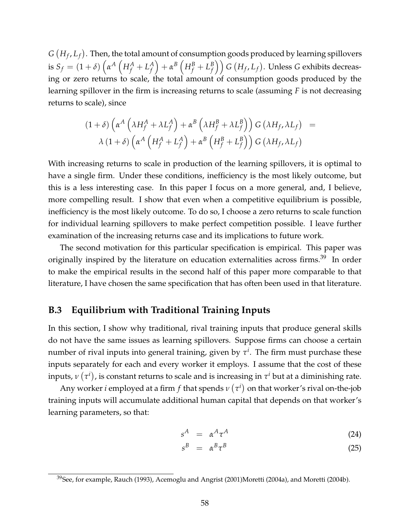$G\left(H_{f},L_{f}\right)$ . Then, the total amount of consumption goods produced by learning spillovers  $\int_{f}$  is  $S_f = (1+\delta) \left( \alpha^A \left( H_f^A + L_f^A \right) \right)$ *f*  $\left( H_f^B + L_f^B \right)$  $\left( \begin{matrix} B \ f \end{matrix} \right)$   $G$   $(H_f, L_f)$ . Unless  $G$  exhibits decreasing or zero returns to scale, the total amount of consumption goods produced by the learning spillover in the firm is increasing returns to scale (assuming *F* is not decreasing returns to scale), since

$$
(1+\delta)\left(\alpha^A\left(\lambda H_f^A + \lambda L_f^A\right) + \alpha^B\left(\lambda H_f^B + \lambda L_f^B\right)\right)G\left(\lambda H_f, \lambda L_f\right) =
$$
  

$$
\lambda (1+\delta)\left(\alpha^A\left(H_f^A + L_f^A\right) + \alpha^B\left(H_f^B + L_f^B\right)\right)G\left(\lambda H_f, \lambda L_f\right)
$$

With increasing returns to scale in production of the learning spillovers, it is optimal to have a single firm. Under these conditions, inefficiency is the most likely outcome, but this is a less interesting case. In this paper I focus on a more general, and, I believe, more compelling result. I show that even when a competitive equilibrium is possible, inefficiency is the most likely outcome. To do so, I choose a zero returns to scale function for individual learning spillovers to make perfect competition possible. I leave further examination of the increasing returns case and its implications to future work.

The second motivation for this particular specification is empirical. This paper was originally inspired by the literature on education externalities across firms.<sup>[39](#page-0-0)</sup> In order to make the empirical results in the second half of this paper more comparable to that literature, I have chosen the same specification that has often been used in that literature.

## **B.3 Equilibrium with Traditional Training Inputs**

In this section, I show why traditional, rival training inputs that produce general skills do not have the same issues as learning spillovers. Suppose firms can choose a certain number of rival inputs into general training, given by  $\tau^i$ . The firm must purchase these inputs separately for each and every worker it employs. I assume that the cost of these inputs,  $\nu\left(\tau^i\right)$ , is constant returns to scale and is increasing in  $\tau^i$  but at a diminishing rate.

Any worker  $i$  employed at a firm  $f$  that spends  $\nu\left(\tau^i\right)$  on that worker's rival on-the-job training inputs will accumulate additional human capital that depends on that worker's learning parameters, so that:

$$
s^A = \alpha^A \tau^A \tag{24}
$$

$$
s^B = \alpha^B \tau^B \tag{25}
$$

<sup>&</sup>lt;sup>39</sup>See, for example, [Rauch](#page-34-1) [\(1993\)](#page-34-1), [Acemoglu and Angrist](#page-31-0) [\(2001\)](#page-31-0)[Moretti](#page-34-2) [\(2004a\)](#page-34-2), and [Moretti](#page-34-3) [\(2004b\)](#page-34-3).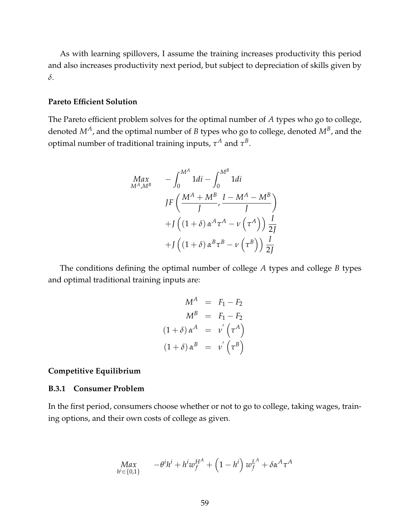As with learning spillovers, I assume the training increases productivity this period and also increases productivity next period, but subject to depreciation of skills given by *δ*.

#### **Pareto Efficient Solution**

The Pareto efficient problem solves for the optimal number of *A* types who go to college, denoted *MA*, and the optimal number of *B* types who go to college, denoted *M<sup>B</sup>* , and the optimal number of traditional training inputs,  $\tau^A$  and  $\tau^B$ .

$$
Max_{M^{A},M^{B}} \quad -\int_{0}^{M^{A}} 1di - \int_{0}^{M^{B}} 1di
$$
\n
$$
JF\left(\frac{M^{A} + M^{B}}{J}, \frac{I - M^{A} - M^{B}}{J}\right)
$$
\n
$$
+J\left((1+\delta)\alpha^{A}\tau^{A} - \nu(\tau^{A})\right)\frac{I}{2J}
$$
\n
$$
+J\left((1+\delta)\alpha^{B}\tau^{B} - \nu(\tau^{B})\right)\frac{I}{2J}
$$

The conditions defining the optimal number of college *A* types and college *B* types and optimal traditional training inputs are:

$$
M^{A} = F_{1} - F_{2}
$$
  
\n
$$
M^{B} = F_{1} - F_{2}
$$
  
\n
$$
(1 + \delta) \alpha^{A} = \nu' \left(\tau^{A}\right)
$$
  
\n
$$
(1 + \delta) \alpha^{B} = \nu' \left(\tau^{B}\right)
$$

## **Competitive Equilibrium**

## **B.3.1 Consumer Problem**

In the first period, consumers choose whether or not to go to college, taking wages, training options, and their own costs of college as given.

$$
\displaystyle\begin{array}{lll}Max & -\theta^ih^i+h^iw_f^{H^A}+\left(1-h^i\right)w_f^{L^A}+\delta\alpha^A\tau^A \\ \end{array}
$$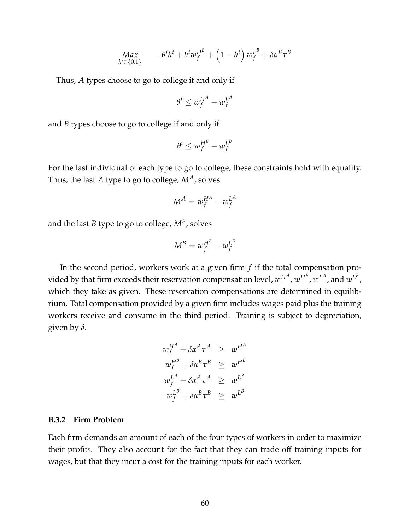$$
\displaystyle\begin{array}{lll}Max & -\theta^ih^i+h^iw_f^{HB}+\left(1-h^i\right)w_f^{L^B}+\delta\alpha^B\tau^B\\ \scriptstyle h^i\in\{0,1\} \end{array}
$$

Thus, *A* types choose to go to college if and only if

$$
\theta^i \leq w_f^{H^A} - w_f^{L^A}
$$

and *B* types choose to go to college if and only if

$$
\theta^i \leq w_f^{H^B} - w_f^{L^B}
$$

For the last individual of each type to go to college, these constraints hold with equality. Thus, the last *A* type to go to college, *MA*, solves

$$
M^A = w_f^{H^A} - w_f^{L^A}
$$

and the last  $B$  type to go to college,  $M^B$ , solves

$$
M^B = w_f^{H^B} - w_f^{L^B}
$$

In the second period, workers work at a given firm *f* if the total compensation provided by that firm exceeds their reservation compensation level,  $w^{H^A}$ ,  $w^{H^B}$ ,  $w^{L^A}$ , and  $w^{L^B}$ , which they take as given. These reservation compensations are determined in equilibrium. Total compensation provided by a given firm includes wages paid plus the training workers receive and consume in the third period. Training is subject to depreciation, given by *δ*.

$$
w_f^{H^A} + \delta \alpha^A \tau^A \geq w^{H^A}
$$
  
\n
$$
w_f^{H^B} + \delta \alpha^B \tau^B \geq w^{H^B}
$$
  
\n
$$
w_f^{L^A} + \delta \alpha^A \tau^A \geq w^{L^A}
$$
  
\n
$$
w_f^{L^B} + \delta \alpha^B \tau^B \geq w^{L^B}
$$

#### **B.3.2 Firm Problem**

Each firm demands an amount of each of the four types of workers in order to maximize their profits. They also account for the fact that they can trade off training inputs for wages, but that they incur a cost for the training inputs for each worker.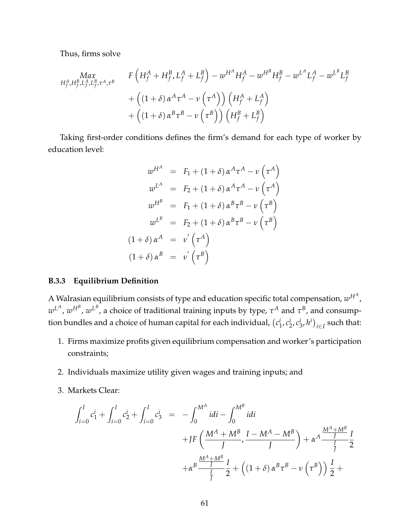Thus, firms solve

$$
Max_{H_f^A, H_f^B, L_f^A, L_f^B, \tau^A, \tau^B} \qquad F\left(H_f^A + H_f^B, L_f^A + L_f^B\right) - w^{H^A} H_f^A - w^{H^B} H_f^B - w^{L^A} L_f^A - w^{L^B} L_f^B
$$
  
+  $\left((1 + \delta) \alpha^A \tau^A - v \left(\tau^A\right)\right) \left(H_f^A + L_f^A\right)$   
+  $\left((1 + \delta) \alpha^B \tau^B - v \left(\tau^B\right)\right) \left(H_f^B + L_f^B\right)$ 

Taking first-order conditions defines the firm's demand for each type of worker by education level:

$$
w^{H^A} = F_1 + (1+\delta) \alpha^A \tau^A - \nu (\tau^A)
$$
  
\n
$$
w^{L^A} = F_2 + (1+\delta) \alpha^A \tau^A - \nu (\tau^A)
$$
  
\n
$$
w^{H^B} = F_1 + (1+\delta) \alpha^B \tau^B - \nu (\tau^B)
$$
  
\n
$$
w^{L^B} = F_2 + (1+\delta) \alpha^B \tau^B - \nu (\tau^B)
$$
  
\n
$$
(1+\delta) \alpha^A = \nu' (\tau^A)
$$
  
\n
$$
(1+\delta) \alpha^B = \nu' (\tau^B)
$$

#### **B.3.3 Equilibrium Definition**

A Walrasian equilibrium consists of type and education specific total compensation,  $w^{H^A}$  ,  $w^{L^A}, w^{H^B}, w^{L^B}$ , a choice of traditional training inputs by type,  $\tau^A$  and  $\tau^B$ , and consumption bundles and a choice of human capital for each individual,  $(c_1^i)$  $i_1$ ,  $c_2^i$  $\frac{i}{2}$ ,  $c^i_{\hat{z}}$  $\binom{i}{3}$ ,  $h^i$ )<sub>i∈I</sub> such that:

- 1. Firms maximize profits given equilibrium compensation and worker's participation constraints;
- 2. Individuals maximize utility given wages and training inputs; and
- 3. Markets Clear:

$$
\int_{i=0}^{I} c_{1}^{i} + \int_{i=0}^{I} c_{2}^{i} + \int_{i=0}^{I} c_{3}^{i} = -\int_{0}^{M^{A}} idi - \int_{0}^{M^{B}} idi
$$
  
+
$$
JF\left(\frac{M^{A} + M^{B}}{J}, \frac{I - M^{A} - M^{B}}{J}\right) + \alpha^{A} \frac{M^{A} + M^{B}}{J} \frac{I}{2}
$$
  
+
$$
\alpha^{B} \frac{M^{A} + M^{B}}{J} \frac{I}{2} + \left((1 + \delta) \alpha^{B} \tau^{B} - \nu \left(\tau^{B}\right)\right) \frac{I}{2} +
$$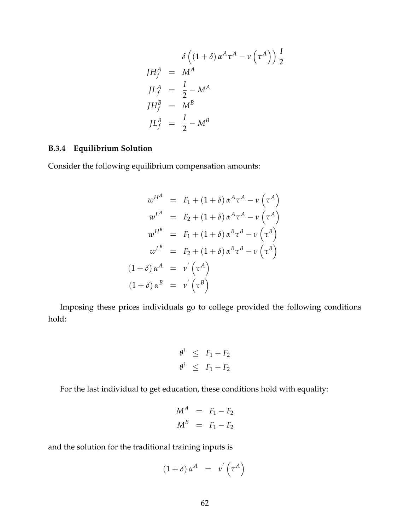$$
\delta\left((1+\delta)\alpha^{A}\tau^{A} - \nu\left(\tau^{A}\right)\right)\frac{I}{2}
$$
\n
$$
J H_{f}^{A} = M^{A}
$$
\n
$$
J L_{f}^{A} = \frac{I}{2} - M^{A}
$$
\n
$$
J H_{f}^{B} = M^{B}
$$
\n
$$
J L_{f}^{B} = \frac{I}{2} - M^{B}
$$

## **B.3.4 Equilibrium Solution**

Consider the following equilibrium compensation amounts:

$$
w^{H^A} = F_1 + (1+\delta) \alpha^A \tau^A - \nu \left(\tau^A\right)
$$
  
\n
$$
w^{L^A} = F_2 + (1+\delta) \alpha^A \tau^A - \nu \left(\tau^A\right)
$$
  
\n
$$
w^{H^B} = F_1 + (1+\delta) \alpha^B \tau^B - \nu \left(\tau^B\right)
$$
  
\n
$$
w^{L^B} = F_2 + (1+\delta) \alpha^B \tau^B - \nu \left(\tau^B\right)
$$
  
\n
$$
(1+\delta) \alpha^A = \nu' \left(\tau^A\right)
$$
  
\n
$$
(1+\delta) \alpha^B = \nu' \left(\tau^B\right)
$$

Imposing these prices individuals go to college provided the following conditions hold:

$$
\begin{array}{rcl}\n\theta^i & \leq & F_1 - F_2 \\
\theta^i & \leq & F_1 - F_2\n\end{array}
$$

For the last individual to get education, these conditions hold with equality:

$$
M^A = F_1 - F_2
$$
  

$$
M^B = F_1 - F_2
$$

and the solution for the traditional training inputs is

$$
(1+\delta)\,\alpha^A = v'\left(\tau^A\right)
$$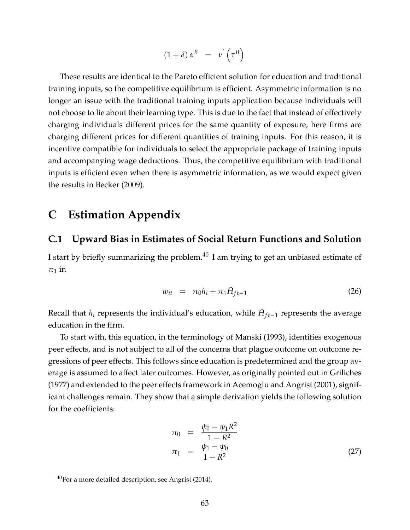$$
(1+\delta)\,\alpha^B = v'\left(\tau^B\right)
$$

These results are identical to the Pareto efficient solution for education and traditional training inputs, so the competitive equilibrium is efficient. Asymmetric information is no longer an issue with the traditional training inputs application because individuals will not choose to lie about their learning type. This is due to the fact that instead of effectively charging individuals different prices for the same quantity of exposure, here firms are charging different prices for different quantities of training inputs. For this reason, it is incentive compatible for individuals to select the appropriate package of training inputs and accompanying wage deductions. Thus, the competitive equilibrium with traditional inputs is efficient even when there is asymmetric information, as we would expect given the results in [Becker](#page-32-0) [\(2009\)](#page-32-0).

# **C Estimation Appendix**

## **C.1 Upward Bias in Estimates of Social Return Functions and Solution**

I start by briefly summarizing the problem. $40$  I am trying to get an unbiased estimate of  $\pi_1$  in

<span id="page-63-0"></span>
$$
w_{it} = \pi_0 h_i + \pi_1 \bar{H}_{ft-1}
$$
 (26)

Recall that  $h_i$  represents the individual's education, while  $\bar{H}_{ft-1}$  represents the average education in the firm.

To start with, this equation, in the terminology of [Manski](#page-33-0) [\(1993\)](#page-33-0), identifies exogenous peer effects, and is not subject to all of the concerns that plague outcome on outcome regressions of peer effects. This follows since education is predetermined and the group average is assumed to affect later outcomes. However, as originally pointed out in [Griliches](#page-32-1) [\(1977\)](#page-32-1) and extended to the peer effects framework in [Acemoglu and Angrist](#page-31-0) [\(2001\)](#page-31-0), significant challenges remain. They show that a simple derivation yields the following solution for the coefficients:

<span id="page-63-1"></span>
$$
\pi_0 = \frac{\psi_0 - \psi_1 R^2}{1 - R^2} \n\pi_1 = \frac{\psi_1 - \psi_0}{1 - R^2}
$$
\n(27)

<sup>40</sup>For a more detailed description, see [Angrist](#page-31-1) [\(2014\)](#page-31-1).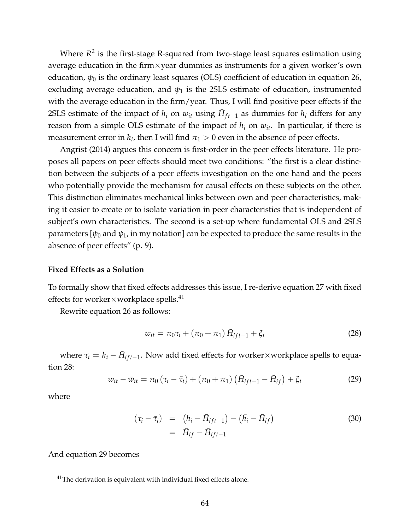Where  $R^2$  is the first-stage R-squared from two-stage least squares estimation using average education in the firm $\times$ year dummies as instruments for a given worker's own education,  $\psi_0$  is the ordinary least squares (OLS) coefficient of education in equation [26,](#page-63-0) excluding average education, and  $\psi_1$  is the 2SLS estimate of education, instrumented with the average education in the firm/year. Thus, I will find positive peer effects if the 2SLS estimate of the impact of  $h_i$  on  $w_{it}$  using  $\bar{H}_{ft-1}$  as dummies for  $h_i$  differs for any reason from a simple OLS estimate of the impact of  $h_i$  on  $w_{it}$ . In particular, if there is measurement error in  $h_i$ , then I will find  $\pi_1 > 0$  even in the absence of peer effects.

[Angrist](#page-31-1) [\(2014\)](#page-31-1) argues this concern is first-order in the peer effects literature. He proposes all papers on peer effects should meet two conditions: "the first is a clear distinction between the subjects of a peer effects investigation on the one hand and the peers who potentially provide the mechanism for causal effects on these subjects on the other. This distinction eliminates mechanical links between own and peer characteristics, making it easier to create or to isolate variation in peer characteristics that is independent of subject's own characteristics. The second is a set-up where fundamental OLS and 2SLS parameters  $[\psi_0$  and  $\psi_1$ , in my notation] can be expected to produce the same results in the absence of peer effects" (p. 9).

#### **Fixed Effects as a Solution**

To formally show that fixed effects addresses this issue, I re-derive equation [27](#page-63-1) with fixed effects for worker×workplace spells. $^{41}$  $^{41}$  $^{41}$ 

Rewrite equation [26](#page-63-0) as follows:

<span id="page-64-0"></span>
$$
w_{it} = \pi_0 \tau_i + (\pi_0 + \pi_1) \bar{H}_{ift-1} + \xi_i
$$
 (28)

where  $\tau_i = h_i - \bar{H}_{ift-1}$ . Now add fixed effects for worker×workplace spells to equation [28:](#page-64-0)

<span id="page-64-1"></span>
$$
w_{it} - \bar{w}_{it} = \pi_0 (\tau_i - \bar{\tau}_i) + (\pi_0 + \pi_1) (\bar{H}_{ift-1} - \bar{H}_{if}) + \xi_i
$$
 (29)

where

$$
(\tau_i - \bar{\tau}_i) = (h_i - \bar{H}_{ift-1}) - (\bar{h}_i - \bar{H}_{if})
$$
  
=  $\bar{H}_{if} - \bar{H}_{ift-1}$  (30)

And equation [29](#page-64-1) becomes

<sup>&</sup>lt;sup>41</sup>The derivation is equivalent with individual fixed effects alone.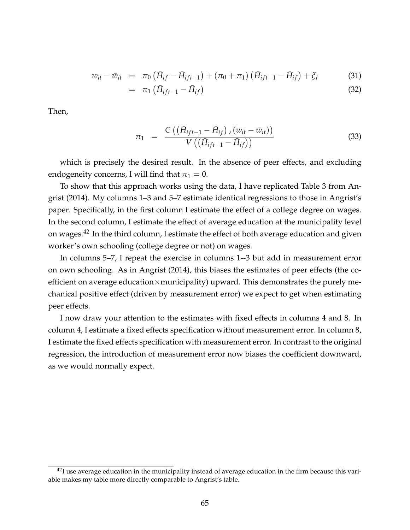$$
w_{it} - \bar{w}_{it} = \pi_0 \left( \bar{H}_{if} - \bar{H}_{ift-1} \right) + (\pi_0 + \pi_1) \left( \bar{H}_{ift-1} - \bar{H}_{if} \right) + \xi_i \tag{31}
$$

$$
= \pi_1 \left( \bar{H}_{ift-1} - \bar{H}_{if} \right) \tag{32}
$$

Then,

$$
\pi_1 = \frac{C\left(\left(\bar{H}_{ift-1} - \bar{H}_{if}\right), \left(w_{it} - \bar{w}_{it}\right)\right)}{V\left(\left(\bar{H}_{ift-1} - \bar{H}_{if}\right)\right)}
$$
(33)

which is precisely the desired result. In the absence of peer effects, and excluding endogeneity concerns, I will find that  $\pi_1 = 0$ .

To show that this approach works using the data, I have replicated Table 3 from [An](#page-31-1)[grist](#page-31-1) [\(2014\)](#page-31-1). My columns 1–3 and 5–7 estimate identical regressions to those in Angrist's paper. Specifically, in the first column I estimate the effect of a college degree on wages. In the second column, I estimate the effect of average education at the municipality level on wages.<sup>[42](#page-0-0)</sup> In the third column, I estimate the effect of both average education and given worker's own schooling (college degree or not) on wages.

In columns 5–7, I repeat the exercise in columns 1--3 but add in measurement error on own schooling. As in [Angrist](#page-31-1) [\(2014\)](#page-31-1), this biases the estimates of peer effects (the coefficient on average education $\times$ municipality) upward. This demonstrates the purely mechanical positive effect (driven by measurement error) we expect to get when estimating peer effects.

I now draw your attention to the estimates with fixed effects in columns 4 and 8. In column 4, I estimate a fixed effects specification without measurement error. In column 8, I estimate the fixed effects specification with measurement error. In contrast to the original regression, the introduction of measurement error now biases the coefficient downward, as we would normally expect.

 $^{42}$ I use average education in the municipality instead of average education in the firm because this variable makes my table more directly comparable to Angrist's table.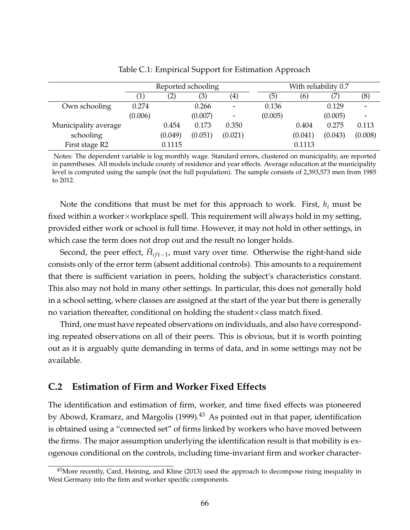|                      |         | Reported schooling |         |                     | With reliability 0.7 |         |         |                          |  |  |
|----------------------|---------|--------------------|---------|---------------------|----------------------|---------|---------|--------------------------|--|--|
|                      |         | $\left( 2\right)$  | (3)     | $\scriptstyle{(4)}$ | (5)                  | (6)     |         | (8)                      |  |  |
| Own schooling        | 0.274   |                    | 0.266   |                     | 0.136                |         | 0.129   | $\overline{\phantom{a}}$ |  |  |
|                      | (0.006) |                    | (0.007) | -                   | (0.005)              |         | (0.005) |                          |  |  |
| Municipality average |         | 0.454              | 0.173   | 0.350               |                      | 0.404   | 0.275   | 0.113                    |  |  |
| schooling            |         | (0.049)            | (0.051) | (0.021)             |                      | (0.041) | (0.043) | (0.008)                  |  |  |
| First stage R2       |         | 0.1115             |         |                     |                      | 0.1113  |         |                          |  |  |

Table C.1: Empirical Support for Estimation Approach

Notes: The dependent variable is log monthly wage. Standard errors, clustered on municipality, are reported in parentheses. All models include county of residence and year effects. Average education at the municipality level is computed using the sample (not the full population). The sample consists of 2,393,573 men from 1985 to 2012.

Note the conditions that must be met for this approach to work. First, *h<sup>i</sup>* must be fixed within a worker $\times$ workplace spell. This requirement will always hold in my setting, provided either work or school is full time. However, it may not hold in other settings, in which case the term does not drop out and the result no longer holds.

Second, the peer effect,  $\bar{H}_{ift-1}$ , must vary over time. Otherwise the right-hand side consists only of the error term (absent additional controls). This amounts to a requirement that there is sufficient variation in peers, holding the subject's characteristics constant. This also may not hold in many other settings. In particular, this does not generally hold in a school setting, where classes are assigned at the start of the year but there is generally no variation thereafter, conditional on holding the student $\times$ class match fixed.

Third, one must have repeated observations on individuals, and also have corresponding repeated observations on all of their peers. This is obvious, but it is worth pointing out as it is arguably quite demanding in terms of data, and in some settings may not be available.

## **C.2 Estimation of Firm and Worker Fixed Effects**

The identification and estimation of firm, worker, and time fixed effects was pioneered by [Abowd, Kramarz, and Margolis](#page-31-2) [\(1999\)](#page-31-2).<sup>[43](#page-0-0)</sup> As pointed out in that paper, identification is obtained using a "connected set" of firms linked by workers who have moved between the firms. The major assumption underlying the identification result is that mobility is exogenous conditional on the controls, including time-invariant firm and worker character-

<sup>&</sup>lt;sup>43</sup>More recently, [Card, Heining, and Kline](#page-32-2) [\(2013\)](#page-32-2) used the approach to decompose rising inequality in West Germany into the firm and worker specific components.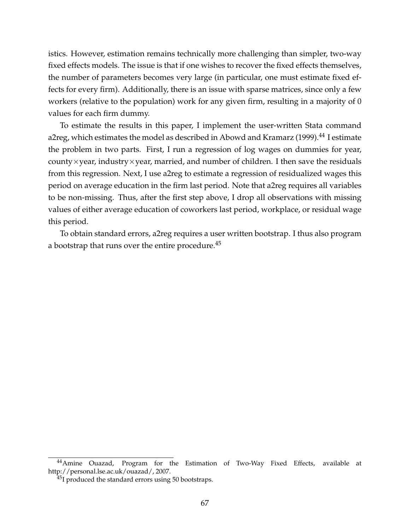istics. However, estimation remains technically more challenging than simpler, two-way fixed effects models. The issue is that if one wishes to recover the fixed effects themselves, the number of parameters becomes very large (in particular, one must estimate fixed effects for every firm). Additionally, there is an issue with sparse matrices, since only a few workers (relative to the population) work for any given firm, resulting in a majority of 0 values for each firm dummy.

To estimate the results in this paper, I implement the user-written Stata command a2reg, which estimates the model as described in [Abowd and Kramarz](#page-31-3) [\(1999\)](#page-31-3).<sup>[44](#page-0-0)</sup> I estimate the problem in two parts. First, I run a regression of log wages on dummies for year, county $\times$ year, industry $\times$ year, married, and number of children. I then save the residuals from this regression. Next, I use a2reg to estimate a regression of residualized wages this period on average education in the firm last period. Note that a2reg requires all variables to be non-missing. Thus, after the first step above, I drop all observations with missing values of either average education of coworkers last period, workplace, or residual wage this period.

To obtain standard errors, a2reg requires a user written bootstrap. I thus also program a bootstrap that runs over the entire procedure.<sup>[45](#page-0-0)</sup>

<sup>&</sup>lt;sup>44</sup> Amine Ouazad, Program for the Estimation of Two-Way Fixed Effects, available at http://personal.lse.ac.uk/ouazad/, 2007.

<sup>&</sup>lt;sup>45</sup>I produced the standard errors using 50 bootstraps.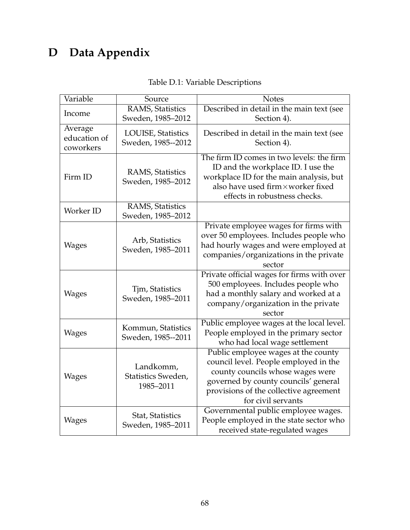# **D Data Appendix**

| Variable                             | Source                                       | <b>Notes</b>                                                                                                                                                                                                             |  |  |  |  |  |
|--------------------------------------|----------------------------------------------|--------------------------------------------------------------------------------------------------------------------------------------------------------------------------------------------------------------------------|--|--|--|--|--|
| Income                               | RAMS, Statistics<br>Sweden, 1985-2012        | Described in detail in the main text (see<br>Section 4).                                                                                                                                                                 |  |  |  |  |  |
| Average<br>education of<br>coworkers | LOUISE, Statistics<br>Sweden, 1985--2012     | Described in detail in the main text (see<br>Section 4).                                                                                                                                                                 |  |  |  |  |  |
| Firm ID                              | <b>RAMS, Statistics</b><br>Sweden, 1985-2012 | The firm ID comes in two levels: the firm<br>ID and the workplace ID. I use the<br>workplace ID for the main analysis, but<br>also have used firm×worker fixed<br>effects in robustness checks.                          |  |  |  |  |  |
| Worker ID                            | <b>RAMS, Statistics</b><br>Sweden, 1985-2012 |                                                                                                                                                                                                                          |  |  |  |  |  |
| <b>Wages</b>                         | Arb, Statistics<br>Sweden, 1985-2011         | Private employee wages for firms with<br>over 50 employees. Includes people who<br>had hourly wages and were employed at<br>companies/organizations in the private<br>sector                                             |  |  |  |  |  |
| <b>Wages</b>                         | Tjm, Statistics<br>Sweden, 1985-2011         | Private official wages for firms with over<br>500 employees. Includes people who<br>had a monthly salary and worked at a<br>company/organization in the private<br>sector                                                |  |  |  |  |  |
| <b>Wages</b>                         | Kommun, Statistics<br>Sweden, 1985--2011     | Public employee wages at the local level.<br>People employed in the primary sector<br>who had local wage settlement                                                                                                      |  |  |  |  |  |
| <b>Wages</b>                         | Landkomm,<br>Statistics Sweden,<br>1985-2011 | Public employee wages at the county<br>council level. People employed in the<br>county councils whose wages were<br>governed by county councils' general<br>provisions of the collective agreement<br>for civil servants |  |  |  |  |  |
| Wages                                | Stat, Statistics<br>Sweden, 1985-2011        | Governmental public employee wages.<br>People employed in the state sector who<br>received state-regulated wages                                                                                                         |  |  |  |  |  |

|  | Table D.1: Variable Descriptions |
|--|----------------------------------|
|  |                                  |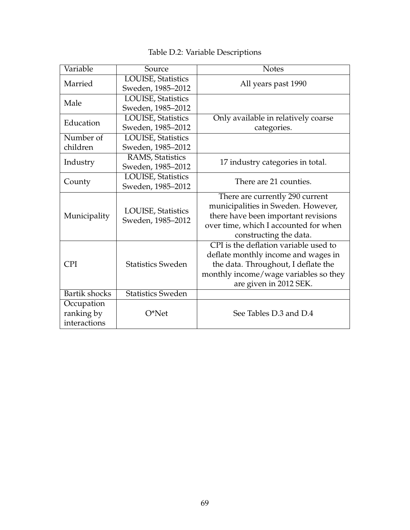# Table D.2: Variable Descriptions

| Variable                                 | Source                                          | <b>Notes</b>                                                                                                                                                                           |
|------------------------------------------|-------------------------------------------------|----------------------------------------------------------------------------------------------------------------------------------------------------------------------------------------|
| Married                                  | LOUISE, Statistics<br>Sweden, 1985-2012         | All years past 1990                                                                                                                                                                    |
| Male                                     | <b>LOUISE</b> , Statistics<br>Sweden, 1985-2012 |                                                                                                                                                                                        |
| Education                                | <b>LOUISE</b> , Statistics<br>Sweden, 1985-2012 | Only available in relatively coarse<br>categories.                                                                                                                                     |
| Number of                                | <b>LOUISE</b> , Statistics                      |                                                                                                                                                                                        |
| children                                 | Sweden, 1985-2012                               |                                                                                                                                                                                        |
| Industry                                 | <b>RAMS, Statistics</b><br>Sweden, 1985-2012    | 17 industry categories in total.                                                                                                                                                       |
| County                                   | LOUISE, Statistics<br>Sweden, 1985-2012         | There are 21 counties.                                                                                                                                                                 |
| Municipality                             | <b>LOUISE</b> , Statistics<br>Sweden, 1985-2012 | There are currently 290 current<br>municipalities in Sweden. However,<br>there have been important revisions<br>over time, which I accounted for when<br>constructing the data.        |
| <b>CPI</b>                               | <b>Statistics Sweden</b>                        | CPI is the deflation variable used to<br>deflate monthly income and wages in<br>the data. Throughout, I deflate the<br>monthly income/wage variables so they<br>are given in 2012 SEK. |
| Bartik shocks                            | <b>Statistics Sweden</b>                        |                                                                                                                                                                                        |
| Occupation<br>ranking by<br>interactions | $O*Net$                                         | See Tables D.3 and D.4                                                                                                                                                                 |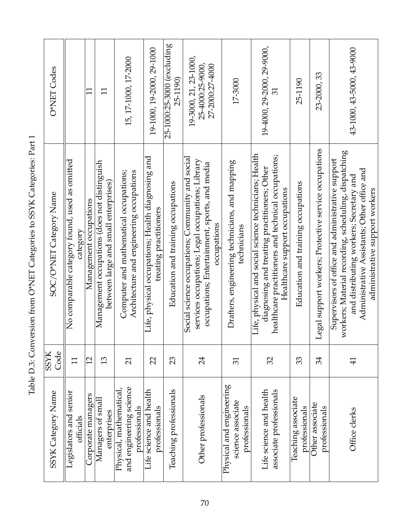<span id="page-70-0"></span>

| O*NET Codes             |                                                           | $\overline{1}$         | $\Xi$                                                                                | 15, 17-1000, 17-2000                                                               | 19-1000, 19-2000, 29-1000                                                   | 25-1000:25-3000 (excluding<br>25-1190) | 19-3000, 21, 23-1000,<br>25-4000:25-9000,<br>27-2000:27-4000<br>17-3000                                                                                              |                                                                | 19-4000, 29-2000, 29-9000,<br>31                                                                                                                                                               | 25-1190                             | 23-2000, 33                                           | 43-1000, 43-5000, 43-9000                                                                                                                                                                                                            |
|-------------------------|-----------------------------------------------------------|------------------------|--------------------------------------------------------------------------------------|------------------------------------------------------------------------------------|-----------------------------------------------------------------------------|----------------------------------------|----------------------------------------------------------------------------------------------------------------------------------------------------------------------|----------------------------------------------------------------|------------------------------------------------------------------------------------------------------------------------------------------------------------------------------------------------|-------------------------------------|-------------------------------------------------------|--------------------------------------------------------------------------------------------------------------------------------------------------------------------------------------------------------------------------------------|
| SOC/O*NET Category Name | No comparable category found, used as omitted<br>category | Management occupations | Management occupations (does not distinguish<br>between large and small enterprises) | Architecture and engineering occupations<br>Computer and mathematical occupations; | Life, physical occupations; Health diagnosing and<br>treating practitioners | Education and training occupations     | Social science occupations; Community and social<br>services occupations; Legal occupations; Library<br>occupations; Entertainment, sports, and media<br>occupations | Drafters, engineering technicians, and mapping<br>technicians  | Life, physical and social science technicians; Health<br>healthcare practitioners and technical occupations;<br>diagnosing and treating practitioners; Other<br>Healthcare support occupations | Education and training occupations  | Legal support workers; Protective service occupations | workers; Material recording, scheduling, dispatching<br>Supervisors of office and administrative support<br>Administrative Assistants; Other office and<br>and distributing workers; Secretary and<br>administrative support workers |
| <b>SSYK</b><br>Code     | 11                                                        | 12                     | 13                                                                                   | $\overline{21}$                                                                    | 22                                                                          | 23                                     | 24                                                                                                                                                                   | $\overline{31}$                                                | 32                                                                                                                                                                                             | 33                                  | 34                                                    | $\overline{4}$                                                                                                                                                                                                                       |
| SSYK Category Name      | Legislators and senior<br>officials                       | Corporate managers     | Managers of smal<br>enterprises                                                      | and engineering science<br>Physical, mathematical,<br>professionals                | Life science and health<br>professionals                                    | Teaching professionals                 | Other professionals                                                                                                                                                  | Physical and engineering<br>science associate<br>professionals | Life science and health<br>associate professionals                                                                                                                                             | Teaching associate<br>professionals | Other associate<br>professionals                      | Office clerks                                                                                                                                                                                                                        |

Table D.3: Conversion from O\*NET Categories to SSYK Categories: Part 1 Table D.3: Conversion from O\*NET Categories to SSYK Categories: Part 1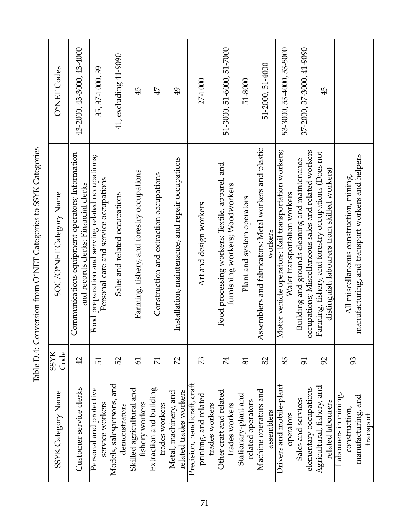| くへん きょくしょう<br>J                                        |
|--------------------------------------------------------|
| くいさく<br>י<br>ג                                         |
|                                                        |
|                                                        |
| I<br>١                                                 |
|                                                        |
| くーーー・・・・・<br>֧֦֧֦֧֦֦֦֧֦֦֦֧֧֧֧֧֝֝֝֝֬֝֓֝֬֝֓֝֬֝֓֝֬֝֓֝֬֝֓֝ |
|                                                        |
| とくさま とここ                                               |
| I<br>ı                                                 |
| <br> <br> <br>(                                        |
| $\vdots$<br>I                                          |
| l                                                      |
| I                                                      |

<span id="page-71-0"></span>

| O*NET Codes             | 43-2000, 43-3000, 43-4000                                                               | 35, 37-1000, 39                                                                            | 41, excluding 41-9090                         | 45                                          | 47                                        | $\overline{6}$                                    | 27-1000                                                                 | 51-3000, 51-6000, 51-7000                                                         | 51-8000                                   | 51-2000, 51-4000                                                 | 53-3000, 53-4000, 53-5000                                                             | 37-2000, 37-3000, 41-9090                                                                             | 45                                                                                                  |                                                                                             |
|-------------------------|-----------------------------------------------------------------------------------------|--------------------------------------------------------------------------------------------|-----------------------------------------------|---------------------------------------------|-------------------------------------------|---------------------------------------------------|-------------------------------------------------------------------------|-----------------------------------------------------------------------------------|-------------------------------------------|------------------------------------------------------------------|---------------------------------------------------------------------------------------|-------------------------------------------------------------------------------------------------------|-----------------------------------------------------------------------------------------------------|---------------------------------------------------------------------------------------------|
| SOC/O*NET Category Name | Communications equipment operators; Information<br>and records clerks; Financial clerks | Food preparation and serving related occupations;<br>Personal care and service occupations | Sales and related occupations                 | Farming, fishery, and forestry occupations  | Construction and extraction occupations   | Installation, maintenance, and repair occupations | Art and design workers                                                  | Food processing workers; Textile, apparel, and<br>furnishing workers; Woodworkers | Plant and system operators                | Assemblers and fabricators; Metal workers and plastic<br>workers | Motor vehicle operators; Rail transportation workers;<br>Water transportation workers | occupations; Miscellaneous sales and related workers<br>Building and grounds cleaning and maintenance | Farming, fishery, and forestry occupations (Does not<br>distinguish labourers from skilled workers) | manufacturing, and transport workers and helpers<br>All miscellaneous construction, mining, |
| SSYK<br>Code            | 42                                                                                      | $\overline{51}$                                                                            | 52                                            | $\overline{6}$                              | $\overline{7}$                            | $\mathcal{L}$                                     | 73                                                                      | 74                                                                                | 81                                        | 82                                                               | 83                                                                                    | 51                                                                                                    | 92                                                                                                  | 93                                                                                          |
| SSYK Category Name      | Customer service clerks                                                                 | Personal and protective<br>service workers                                                 | and<br>Models, salespersons,<br>demonstrators | Skilled agricultural and<br>fishery workers | Extraction and building<br>trades workers | related trades workers<br>Metal, machinery, and   | Precision, handicraft, craft<br>printing, and related<br>trades workers | Other craft and related<br>trades workers                                         | Stationary-plant and<br>related operators | Machine operators and<br>assemblers                              | Drivers and mobile-plant<br>operators                                                 | elementary occupations<br>Sales and services                                                          | Agricultural, fishery, and<br>related labourers                                                     | Labourers in mining,<br>manufacturing, and<br>construction,<br>transport                    |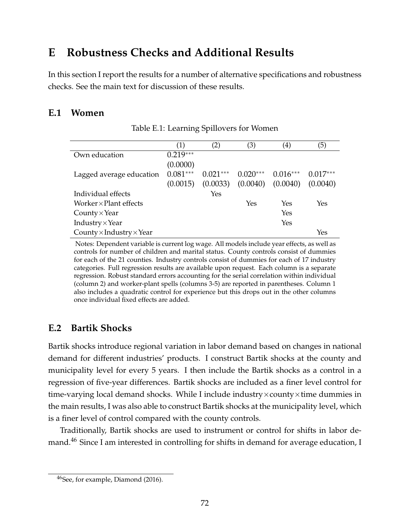# **E Robustness Checks and Additional Results**

In this section I report the results for a number of alternative specifications and robustness checks. See the main text for discussion of these results.

# **E.1 Women**

|                                        | (1)        | (2)        | (3)        | $\left( 4\right)$ | (5)        |
|----------------------------------------|------------|------------|------------|-------------------|------------|
| Own education                          | $0.219***$ |            |            |                   |            |
|                                        | (0.0000)   |            |            |                   |            |
| Lagged average education               | $0.081***$ | $0.021***$ | $0.020***$ | $0.016***$        | $0.017***$ |
|                                        | (0.0015)   | (0.0033)   | (0.0040)   | (0.0040)          | (0.0040)   |
| Individual effects                     |            | Yes        |            |                   |            |
| Worker $\times$ Plant effects          |            |            | Yes        | Yes               | Yes        |
| $Country \times Year$                  |            |            |            | Yes               |            |
| Industry × Year                        |            |            |            | Yes               |            |
| County $\times$ Industry $\times$ Year |            |            |            |                   | Yes        |

Table E.1: Learning Spillovers for Women

Notes: Dependent variable is current log wage. All models include year effects, as well as controls for number of children and marital status. County controls consist of dummies for each of the 21 counties. Industry controls consist of dummies for each of 17 industry categories. Full regression results are available upon request. Each column is a separate regression. Robust standard errors accounting for the serial correlation within individual (column 2) and worker-plant spells (columns 3-5) are reported in parentheses. Column 1 also includes a quadratic control for experience but this drops out in the other columns once individual fixed effects are added.

# **E.2 Bartik Shocks**

Bartik shocks introduce regional variation in labor demand based on changes in national demand for different industries' products. I construct Bartik shocks at the county and municipality level for every 5 years. I then include the Bartik shocks as a control in a regression of five-year differences. Bartik shocks are included as a finer level control for time-varying local demand shocks. While I include industry $\times$ county $\times$ time dummies in the main results, I was also able to construct Bartik shocks at the municipality level, which is a finer level of control compared with the county controls.

Traditionally, Bartik shocks are used to instrument or control for shifts in labor de-mand.<sup>[46](#page-0-0)</sup> Since I am interested in controlling for shifts in demand for average education, I

<sup>46</sup>See, for example, [Diamond](#page-32-0) [\(2016\)](#page-32-0).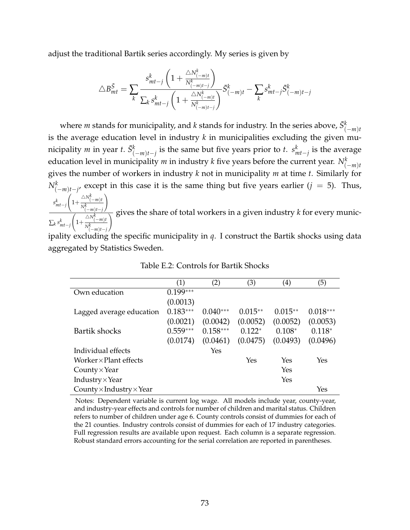adjust the traditional Bartik series accordingly. My series is given by

$$
\triangle B_{mt}^{\bar{S}} = \sum_{k} \frac{s_{mt-j}^{k} \left(1 + \frac{\triangle N_{(-m)t}^{k}}{N_{(-m)t-j}^{k}}\right)}{\sum_{k} s_{mt-j}^{k} \left(1 + \frac{\triangle N_{(-m)t}^{k}}{N_{(-m)t-j}^{k}}\right)} \bar{S}_{(-m)t}^{k} - \sum_{k} s_{mt-j}^{k} \bar{S}_{(-m)t-j}^{k}
$$

where *m* stands for municipality, and *k* stands for industry. In the series above,  $\bar{S}^k_{(-m)t}$ is the average education level in industry  $k$  in municipalities excluding the given municipality *m* in year *t*.  $\bar{S}^k_{(-m)t-j}$  is the same but five years prior to *t*.  $s^k_{mt-j}$  is the average education level in municipality  $m$  in industry  $k$  five years before the current year.  $N_{(-m)t}^k$ gives the number of workers in industry *k* not in municipality *m* at time *t*. Similarly for  $N_{(−m)t-j'}^k$  except in this case it is the same thing but five years earlier (*j* = 5). Thus, *s k mt*−*j*  $\sqrt{ }$ 1+  $\triangle N^k_{(-m)}$ t *Nk* (−*m*)*t*−*j* ! ∑*k s k mt*−*j*  $\sqrt{ }$ 1+  $\triangle N^k_{(-m)t}$  $\frac{1}{\setminus}$  gives the share of total workers in a given industry  $k$  for every munic-

*Nk* (−*m*)*t*−*j* ipality excluding the specific municipality in *q*. I construct the Bartik shocks using data aggregated by Statistics Sweden.

|                                        | (1)        | (2)        | (3)       | $\left( 4\right)$ | (5)        |
|----------------------------------------|------------|------------|-----------|-------------------|------------|
| Own education                          | $0.199***$ |            |           |                   |            |
|                                        | (0.0013)   |            |           |                   |            |
| Lagged average education               | $0.183***$ | $0.040***$ | $0.015**$ | $0.015**$         | $0.018***$ |
|                                        | (0.0021)   | (0.0042)   | (0.0052)  | (0.0052)          | (0.0053)   |
| Bartik shocks                          | $0.559***$ | $0.158***$ | $0.122*$  | $0.108*$          | $0.118*$   |
|                                        | (0.0174)   | (0.0461)   | (0.0475)  | (0.0493)          | (0.0496)   |
| Individual effects                     |            | Yes        |           |                   |            |
| $Worker \times Plant$ effects          |            |            | Yes       | Yes               | Yes        |
| County $\times$ Year                   |            |            |           | Yes               |            |
| Industry $\times$ Year                 |            |            |           | Yes               |            |
| County $\times$ Industry $\times$ Year |            |            |           |                   | Yes        |

Table E.2: Controls for Bartik Shocks

Notes: Dependent variable is current log wage. All models include year, county-year, and industry-year effects and controls for number of children and marital status. Children refers to number of children under age 6. County controls consist of dummies for each of the 21 counties. Industry controls consist of dummies for each of 17 industry categories. Full regression results are available upon request. Each column is a separate regression. Robust standard errors accounting for the serial correlation are reported in parentheses.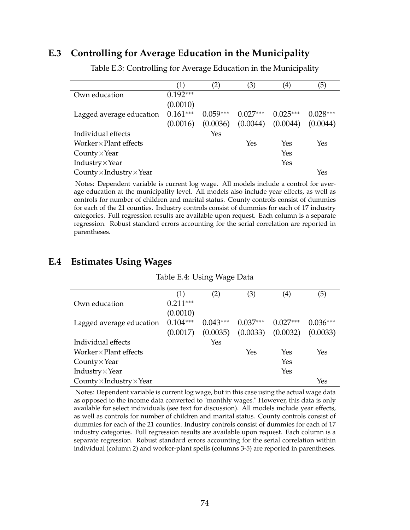#### **E.3 Controlling for Average Education in the Municipality**

|                                        | (1)        | $\left( 2\right)$ | (3)        | $\left( 4\right)$ | (5)        |
|----------------------------------------|------------|-------------------|------------|-------------------|------------|
| Own education                          | $0.192***$ |                   |            |                   |            |
|                                        | (0.0010)   |                   |            |                   |            |
| Lagged average education               | $0.161***$ | $0.059***$        | $0.027***$ | $0.025***$        | $0.028***$ |
|                                        | (0.0016)   | (0.0036)          | (0.0044)   | (0.0044)          | (0.0044)   |
| Individual effects                     |            | Yes               |            |                   |            |
| Worker $\times$ Plant effects          |            |                   | Yes        | Yes               | Yes        |
| County $\times$ Year                   |            |                   |            | Yes               |            |
| Industry $\times$ Year                 |            |                   |            | Yes               |            |
| County $\times$ Industry $\times$ Year |            |                   |            |                   | Yes        |

Table E.3: Controlling for Average Education in the Municipality

Notes: Dependent variable is current log wage. All models include a control for average education at the municipality level. All models also include year effects, as well as controls for number of children and marital status. County controls consist of dummies for each of the 21 counties. Industry controls consist of dummies for each of 17 industry categories. Full regression results are available upon request. Each column is a separate regression. Robust standard errors accounting for the serial correlation are reported in parentheses.

#### **E.4 Estimates Using Wages**

| Table E.4: Using Wage Data |  |  |  |
|----------------------------|--|--|--|
|----------------------------|--|--|--|

|                                        | (1)        | (2)        | (3)        | (4)        | (5)        |
|----------------------------------------|------------|------------|------------|------------|------------|
| Own education                          | $0.211***$ |            |            |            |            |
|                                        | (0.0010)   |            |            |            |            |
| Lagged average education               | $0.104***$ | $0.043***$ | $0.037***$ | $0.027***$ | $0.036***$ |
|                                        | (0.0017)   | (0.0035)   | (0.0033)   | (0.0032)   | (0.0033)   |
| Individual effects                     |            | Yes        |            |            |            |
| Worker $\times$ Plant effects          |            |            | Yes        | Yes        | Yes        |
| County $\times$ Year                   |            |            |            | Yes        |            |
| Industry $\times$ Year                 |            |            |            | Yes        |            |
| County $\times$ Industry $\times$ Year |            |            |            |            | Yes        |

Notes: Dependent variable is current log wage, but in this case using the actual wage data as opposed to the income data converted to "monthly wages." However, this data is only available for select individuals (see text for discussion). All models include year effects, as well as controls for number of children and marital status. County controls consist of dummies for each of the 21 counties. Industry controls consist of dummies for each of 17 industry categories. Full regression results are available upon request. Each column is a separate regression. Robust standard errors accounting for the serial correlation within individual (column 2) and worker-plant spells (columns 3-5) are reported in parentheses.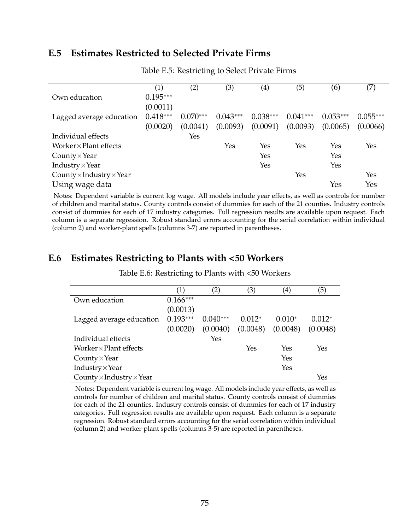#### **E.5 Estimates Restricted to Selected Private Firms**

|                                        | $\left( 1\right)$ | (2)        | (3)        | $\left( 4\right)$ | (5)        | (6)        |            |
|----------------------------------------|-------------------|------------|------------|-------------------|------------|------------|------------|
| Own education                          | $0.195***$        |            |            |                   |            |            |            |
|                                        | (0.0011)          |            |            |                   |            |            |            |
| Lagged average education               | $0.418***$        | $0.070***$ | $0.043***$ | $0.038***$        | $0.041***$ | $0.053***$ | $0.055***$ |
|                                        | (0.0020)          | (0.0041)   | (0.0093)   | (0.0091)          | (0.0093)   | (0.0065)   | (0.0066)   |
| Individual effects                     |                   | Yes        |            |                   |            |            |            |
| Worker $\times$ Plant effects          |                   |            | Yes        | Yes               | Yes        | Yes        | Yes        |
| County $\times$ Year                   |                   |            |            | Yes               |            | Yes        |            |
| Industry $\times$ Year                 |                   |            |            | Yes               |            | Yes        |            |
| County $\times$ Industry $\times$ Year |                   |            |            |                   | Yes        |            | Yes        |
| Using wage data                        |                   |            |            |                   |            | Yes        | Yes        |

Table E.5: Restricting to Select Private Firms

Notes: Dependent variable is current log wage. All models include year effects, as well as controls for number of children and marital status. County controls consist of dummies for each of the 21 counties. Industry controls consist of dummies for each of 17 industry categories. Full regression results are available upon request. Each column is a separate regression. Robust standard errors accounting for the serial correlation within individual (column 2) and worker-plant spells (columns 3-7) are reported in parentheses.

# **E.6 Estimates Restricting to Plants with <50 Workers**

|                                        | (1)        | $\left( 2\right)$ | (3)      | $\left( 4\right)$ | (5)      |
|----------------------------------------|------------|-------------------|----------|-------------------|----------|
| Own education                          | $0.166***$ |                   |          |                   |          |
|                                        | (0.0013)   |                   |          |                   |          |
| Lagged average education               | $0.193***$ | $0.040***$        | $0.012*$ | $0.010*$          | $0.012*$ |
|                                        | (0.0020)   | (0.0040)          | (0.0048) | (0.0048)          | (0.0048) |
| Individual effects                     |            | Yes               |          |                   |          |
| Worker $\times$ Plant effects          |            |                   | Yes      | Yes               | Yes      |
| County $\times$ Year                   |            |                   |          | Yes               |          |
| Industry $\times$ Year                 |            |                   |          | Yes               |          |
| County $\times$ Industry $\times$ Year |            |                   |          |                   | Yes      |

Table E.6: Restricting to Plants with <50 Workers

Notes: Dependent variable is current log wage. All models include year effects, as well as controls for number of children and marital status. County controls consist of dummies for each of the 21 counties. Industry controls consist of dummies for each of 17 industry categories. Full regression results are available upon request. Each column is a separate regression. Robust standard errors accounting for the serial correlation within individual (column 2) and worker-plant spells (columns 3-5) are reported in parentheses.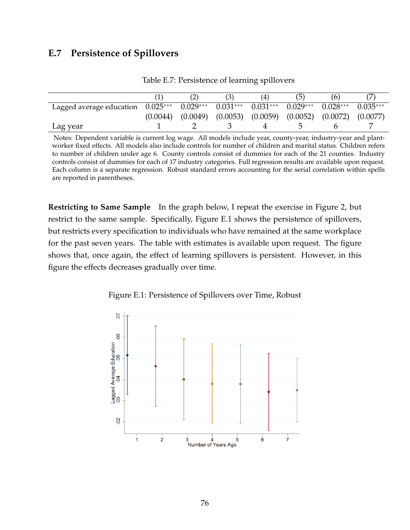## **E.7 Persistence of Spillovers**

|                          |            | (2)                   | ۱Ć.        | (4)        |                                  | [b]        |            |
|--------------------------|------------|-----------------------|------------|------------|----------------------------------|------------|------------|
| Lagged average education | $0.025***$ | $0.029***$            | $0.031***$ | $0.031***$ | $0.029***$                       | $0.028***$ | $0.035***$ |
|                          | (0.0044)   | $(0.0049)$ $(0.0053)$ |            | (0.0059)   | $(0.0052)$ $(0.0072)$ $(0.0077)$ |            |            |
| Lag year                 |            |                       |            |            |                                  |            |            |

Table E.7: Persistence of learning spillovers

Notes: Dependent variable is current log wage. All models include year, county-year, industry-year and plantworker fixed effects. All models also include controls for number of children and marital status. Children refers to number of children under age 6. County controls consist of dummies for each of the 21 counties. Industry controls consist of dummies for each of 17 industry categories. Full regression results are available upon request. Each column is a separate regression. Robust standard errors accounting for the serial correlation within spells are reported in parentheses.

**Restricting to Same Sample** In the graph below, I repeat the exercise in Figure [2,](#page-21-0) but restrict to the same sample. Specifically, Figure [E.1](#page-76-0) shows the persistence of spillovers, but restricts every specification to individuals who have remained at the same workplace for the past seven years. The table with estimates is available upon request. The figure shows that, once again, the effect of learning spillovers is persistent. However, in this figure the effects decreases gradually over time.

<span id="page-76-0"></span>

Figure E.1: Persistence of Spillovers over Time, Robust